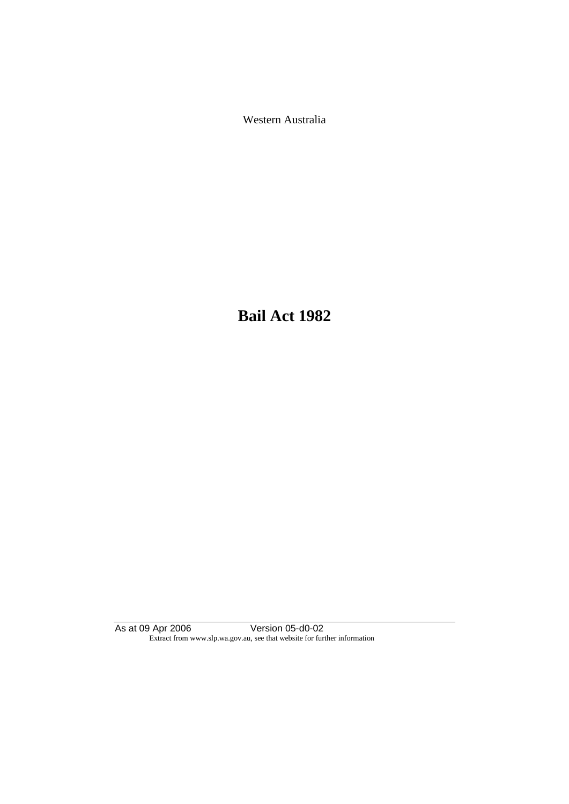Western Australia

**Bail Act 1982**

As at 09 Apr 2006 Version 05-d0-02 Extract from www.slp.wa.gov.au, see that website for further information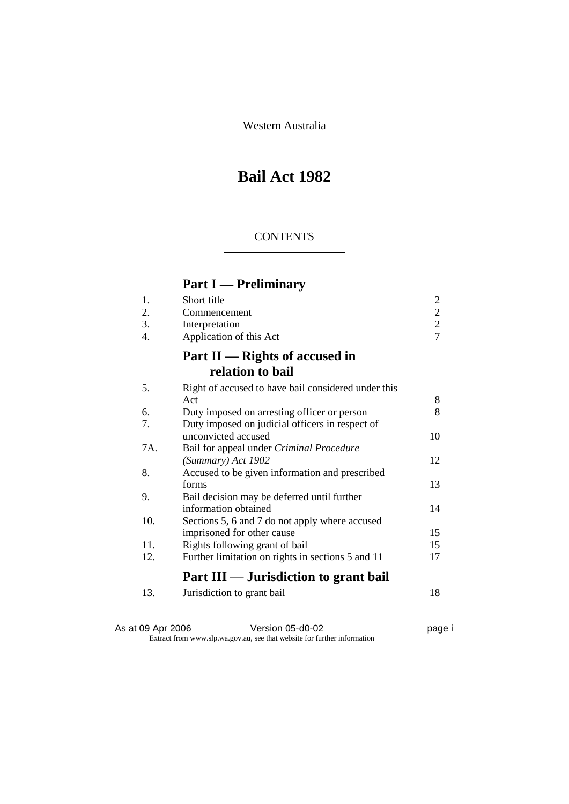Western Australia

# **Bail Act 1982**

# **CONTENTS**

# **Part I — Preliminary**

| 1.  | Short title                                         | 2              |
|-----|-----------------------------------------------------|----------------|
| 2.  | Commencement                                        | $\overline{c}$ |
| 3.  | Interpretation                                      | $\overline{c}$ |
| 4.  | Application of this Act                             | $\overline{7}$ |
|     | Part $II$ — Rights of accused in                    |                |
|     | relation to bail                                    |                |
| 5.  | Right of accused to have bail considered under this |                |
|     | Act                                                 | 8              |
| 6.  | Duty imposed on arresting officer or person         | 8              |
| 7.  | Duty imposed on judicial officers in respect of     |                |
|     | unconvicted accused                                 | 10             |
| 7A. | Bail for appeal under Criminal Procedure            |                |
|     | (Summary) Act 1902                                  | 12             |
| 8.  | Accused to be given information and prescribed      |                |
|     | forms                                               | 13             |
| 9.  | Bail decision may be deferred until further         |                |
|     | information obtained                                | 14             |
| 10. | Sections 5, 6 and 7 do not apply where accused      |                |
|     | imprisoned for other cause                          | 15             |
| 11. | Rights following grant of bail                      | 15             |
| 12. | Further limitation on rights in sections 5 and 11   | 17             |
|     | Part III — Jurisdiction to grant bail               |                |
| 13. | Jurisdiction to grant bail                          | 18             |

| As at 09 Apr 2006 | Version 05-d0-02                                                         | page i |
|-------------------|--------------------------------------------------------------------------|--------|
|                   | Extract from www.slp.wa.gov.au, see that website for further information |        |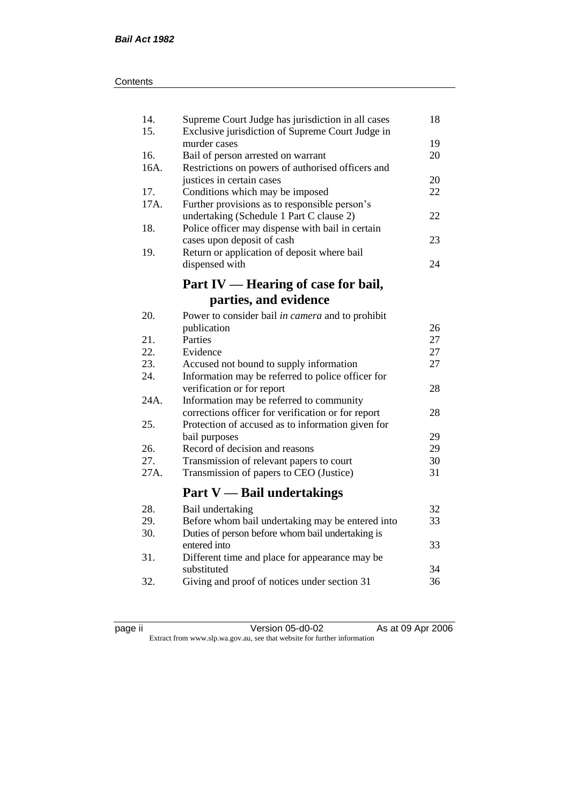| 14.<br>15. | Supreme Court Judge has jurisdiction in all cases<br>Exclusive jurisdiction of Supreme Court Judge in | 18 |
|------------|-------------------------------------------------------------------------------------------------------|----|
|            | murder cases                                                                                          | 19 |
| 16.        | Bail of person arrested on warrant                                                                    | 20 |
| 16A.       | Restrictions on powers of authorised officers and                                                     |    |
|            | justices in certain cases                                                                             | 20 |
| 17.        | Conditions which may be imposed                                                                       | 22 |
| 17A.       | Further provisions as to responsible person's                                                         |    |
|            | undertaking (Schedule 1 Part C clause 2)                                                              | 22 |
| 18.        | Police officer may dispense with bail in certain                                                      |    |
|            | cases upon deposit of cash                                                                            | 23 |
| 19.        | Return or application of deposit where bail                                                           |    |
|            | dispensed with                                                                                        | 24 |
|            | Part IV — Hearing of case for bail,                                                                   |    |
|            | parties, and evidence                                                                                 |    |
| 20.        |                                                                                                       |    |
|            | Power to consider bail in camera and to prohibit                                                      | 26 |
|            | publication<br>Parties                                                                                | 27 |
| 21.<br>22. |                                                                                                       |    |
|            | Evidence                                                                                              | 27 |
| 23.        | Accused not bound to supply information                                                               | 27 |
| 24.        | Information may be referred to police officer for                                                     |    |
|            | verification or for report                                                                            | 28 |
| 24A.       | Information may be referred to community                                                              |    |
|            | corrections officer for verification or for report                                                    | 28 |
| 25.        | Protection of accused as to information given for                                                     |    |
|            | bail purposes                                                                                         | 29 |
| 26.        | Record of decision and reasons                                                                        | 29 |
| 27.        | Transmission of relevant papers to court                                                              | 30 |
| 27A.       | Transmission of papers to CEO (Justice)                                                               | 31 |
|            | <b>Part V</b> — Bail undertakings                                                                     |    |
| 28.        | Bail undertaking                                                                                      | 32 |
| 29.        | Before whom bail undertaking may be entered into                                                      | 33 |
| 30.        | Duties of person before whom bail undertaking is                                                      |    |
|            | entered into                                                                                          | 33 |
| 31.        | Different time and place for appearance may be                                                        |    |
|            | substituted                                                                                           | 34 |
| 32.        | Giving and proof of notices under section 31                                                          | 36 |
|            |                                                                                                       |    |

| . . |  |
|-----|--|
|     |  |
|     |  |
|     |  |

page ii Version 05-d0-02 As at 09 Apr 2006 Extract from www.slp.wa.gov.au, see that website for further information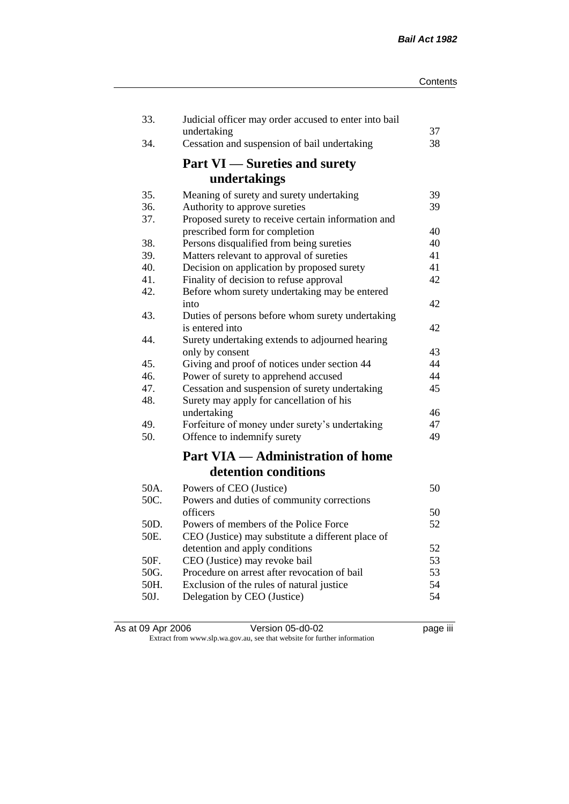| 33.  | Judicial officer may order accused to enter into bail<br>undertaking | 37 |
|------|----------------------------------------------------------------------|----|
| 34.  | Cessation and suspension of bail undertaking                         | 38 |
|      | <b>Part VI</b> — Sureties and surety                                 |    |
|      | undertakings                                                         |    |
| 35.  | Meaning of surety and surety undertaking                             | 39 |
| 36.  | Authority to approve sureties                                        | 39 |
| 37.  | Proposed surety to receive certain information and                   |    |
|      | prescribed form for completion                                       | 40 |
| 38.  | Persons disqualified from being sureties                             | 40 |
| 39.  | Matters relevant to approval of sureties                             | 41 |
| 40.  | Decision on application by proposed surety                           | 41 |
| 41.  | Finality of decision to refuse approval                              | 42 |
| 42.  | Before whom surety undertaking may be entered                        |    |
|      | into                                                                 | 42 |
| 43.  | Duties of persons before whom surety undertaking<br>is entered into  | 42 |
| 44.  |                                                                      |    |
|      | Surety undertaking extends to adjourned hearing<br>only by consent   | 43 |
| 45.  | Giving and proof of notices under section 44                         | 44 |
| 46.  | Power of surety to apprehend accused                                 | 44 |
| 47.  | Cessation and suspension of surety undertaking                       | 45 |
| 48.  | Surety may apply for cancellation of his                             |    |
|      | undertaking                                                          | 46 |
| 49.  | Forfeiture of money under surety's undertaking                       | 47 |
| 50.  | Offence to indemnify surety                                          | 49 |
|      | <b>Part VIA — Administration of home</b>                             |    |
|      | detention conditions                                                 |    |
| 50A. | Powers of CEO (Justice)                                              | 50 |
| 50C. | Powers and duties of community corrections                           |    |
|      | officers                                                             | 50 |
| 50D. | Powers of members of the Police Force                                | 52 |
| 50E. | CEO (Justice) may substitute a different place of                    |    |
|      | detention and apply conditions                                       | 52 |
| 50F. | CEO (Justice) may revoke bail                                        | 53 |
| 50G. | Procedure on arrest after revocation of bail                         | 53 |
| 50H. | Exclusion of the rules of natural justice                            | 54 |
| 50J. | Delegation by CEO (Justice)                                          | 54 |
|      |                                                                      |    |

| As at 09 Apr 2006 | Version 05-d0-02                                                         | <br>page III |
|-------------------|--------------------------------------------------------------------------|--------------|
|                   | Extract from www.slp.wa.gov.au, see that website for further information |              |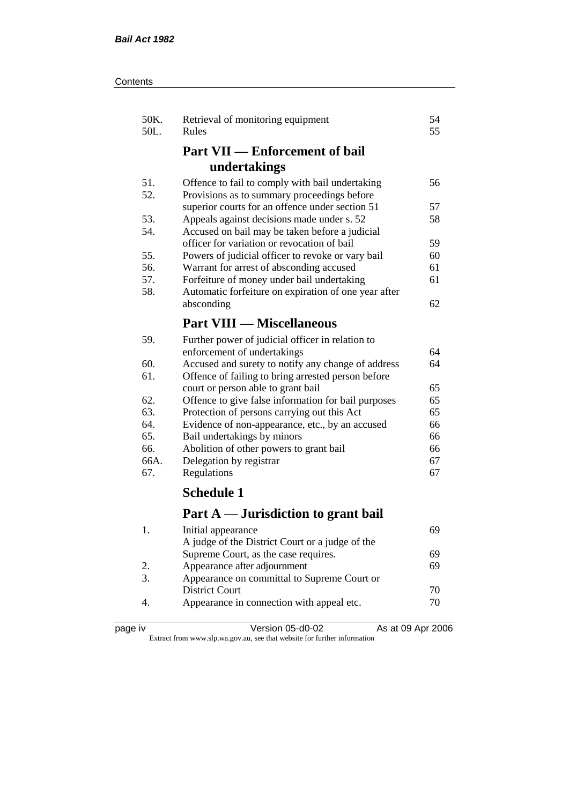| Contents |
|----------|
|----------|

| 50K.<br>50L. | Retrieval of monitoring equipment<br>Rules           | 54<br>55 |
|--------------|------------------------------------------------------|----------|
|              | <b>Part VII — Enforcement of bail</b>                |          |
|              | undertakings                                         |          |
| 51.          | Offence to fail to comply with bail undertaking      | 56       |
| 52.          | Provisions as to summary proceedings before          |          |
|              | superior courts for an offence under section 51      | 57       |
| 53.          | Appeals against decisions made under s. 52           | 58       |
| 54.          | Accused on bail may be taken before a judicial       |          |
|              | officer for variation or revocation of bail          | 59       |
| 55.          | Powers of judicial officer to revoke or vary bail    | 60       |
| 56.          | Warrant for arrest of absconding accused             | 61       |
| 57.          | Forfeiture of money under bail undertaking           | 61       |
| 58.          | Automatic forfeiture on expiration of one year after |          |
|              | absconding                                           | 62       |
|              | <b>Part VIII — Miscellaneous</b>                     |          |
| 59.          | Further power of judicial officer in relation to     |          |
|              | enforcement of undertakings                          | 64       |
| 60.          | Accused and surety to notify any change of address   | 64       |
| 61.          | Offence of failing to bring arrested person before   |          |
|              | court or person able to grant bail                   | 65       |
| 62.          | Offence to give false information for bail purposes  | 65       |
| 63.          | Protection of persons carrying out this Act          | 65       |
| 64.          | Evidence of non-appearance, etc., by an accused      | 66       |
| 65.          | Bail undertakings by minors                          | 66       |
| 66.          | Abolition of other powers to grant bail              | 66       |
| 66A.         | Delegation by registrar                              | 67       |
| 67.          | Regulations                                          | 67       |
|              | <b>Schedule 1</b>                                    |          |
|              | Part A — Jurisdiction to grant bail                  |          |
| 1.           | Initial appearance                                   | 69       |
|              | A judge of the District Court or a judge of the      |          |
|              | Supreme Court, as the case requires.                 | 69       |
| 2.           | Appearance after adjournment                         | 69       |
| 3.           | Appearance on committal to Supreme Court or          |          |
|              | <b>District Court</b>                                | 70       |
|              |                                                      |          |

4. Appearance in connection with appeal etc.  $\frac{70}{2}$ 

|     | ιv |
|-----|----|
| aae |    |
|     |    |

page iv Version 05-d0-02 As at 09 Apr 2006 Extract from www.slp.wa.gov.au, see that website for further information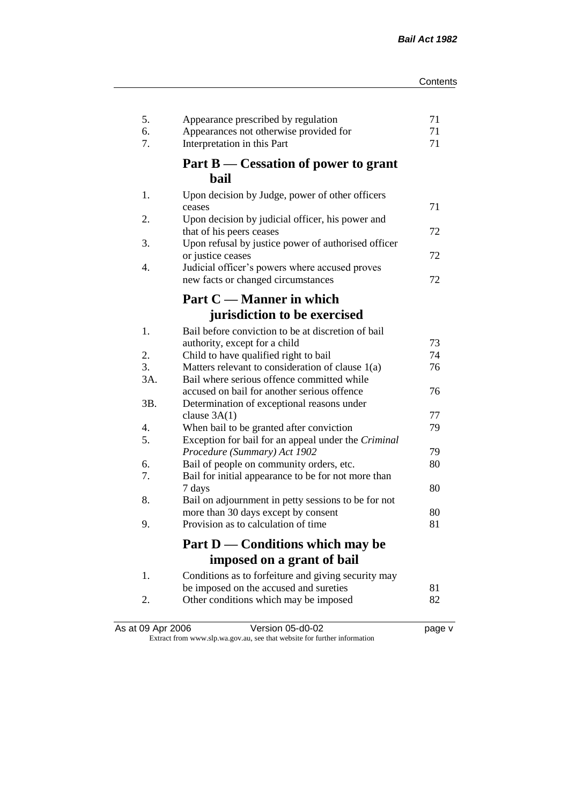| 5.<br>6.<br>7. | Appearance prescribed by regulation<br>Appearances not otherwise provided for<br>Interpretation in this Part | 71<br>71<br>71 |
|----------------|--------------------------------------------------------------------------------------------------------------|----------------|
|                | Part B — Cessation of power to grant<br>bail                                                                 |                |
| 1.             | Upon decision by Judge, power of other officers                                                              |                |
|                | ceases                                                                                                       | 71             |
| 2.             | Upon decision by judicial officer, his power and<br>that of his peers ceases                                 | 72             |
| 3.             | Upon refusal by justice power of authorised officer                                                          |                |
|                | or justice ceases                                                                                            | 72             |
| 4.             | Judicial officer's powers where accused proves                                                               |                |
|                | new facts or changed circumstances                                                                           | 72             |
|                | Part C — Manner in which                                                                                     |                |
|                | jurisdiction to be exercised                                                                                 |                |
| 1.             | Bail before conviction to be at discretion of bail                                                           |                |
|                | authority, except for a child                                                                                | 73             |
| 2.             | Child to have qualified right to bail                                                                        | 74             |
| 3.             | Matters relevant to consideration of clause 1(a)                                                             | 76             |
| 3A.            | Bail where serious offence committed while                                                                   |                |
|                | accused on bail for another serious offence                                                                  | 76             |
| 3B.            | Determination of exceptional reasons under                                                                   |                |
|                | clause $3A(1)$                                                                                               | 77             |
| 4.<br>5.       | When bail to be granted after conviction<br>Exception for bail for an appeal under the Criminal              | 79             |
|                | Procedure (Summary) Act 1902                                                                                 | 79             |
| 6.             | Bail of people on community orders, etc.                                                                     | 80             |
| 7.             | Bail for initial appearance to be for not more than                                                          |                |
|                | 7 days                                                                                                       | 80             |
| 8.             | Bail on adjournment in petty sessions to be for not                                                          |                |
|                | more than 30 days except by consent                                                                          | 80             |
| 9.             | Provision as to calculation of time                                                                          | 81             |
|                | Part D — Conditions which may be                                                                             |                |
|                | imposed on a grant of bail                                                                                   |                |
| 1.             | Conditions as to forfeiture and giving security may                                                          |                |
|                | be imposed on the accused and sureties                                                                       | 81             |
| 2.             | Other conditions which may be imposed                                                                        | 82             |
|                |                                                                                                              |                |

| As at 09 Apr 2006 | Version 05-d0-02                                                         | page v |
|-------------------|--------------------------------------------------------------------------|--------|
|                   | Extract from www.slp.wa.gov.au, see that website for further information |        |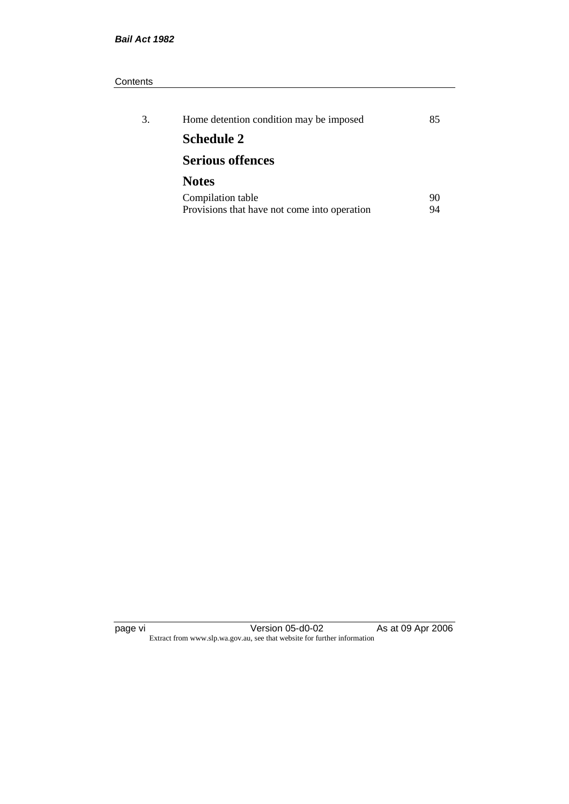#### **Contents**

| 3. | Home detention condition may be imposed      | 85. |
|----|----------------------------------------------|-----|
|    | <b>Schedule 2</b>                            |     |
|    | <b>Serious offences</b>                      |     |
|    | <b>Notes</b>                                 |     |
|    | Compilation table                            | 90  |
|    | Provisions that have not come into operation | 94  |

page vi Version 05-d0-02 As at 09 Apr 2006 Extract from www.slp.wa.gov.au, see that website for further information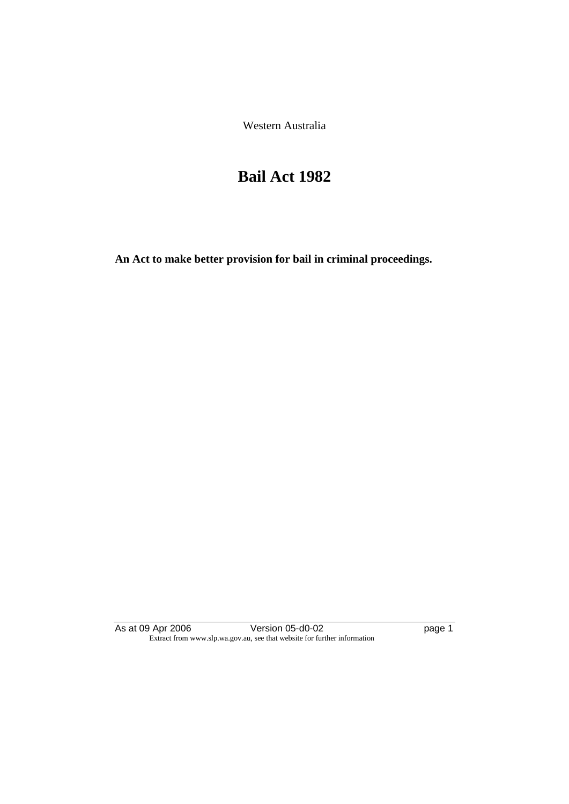Western Australia

# **Bail Act 1982**

**An Act to make better provision for bail in criminal proceedings.** 

As at 09 Apr 2006 **Version 05-d0-02 page 1** Extract from www.slp.wa.gov.au, see that website for further information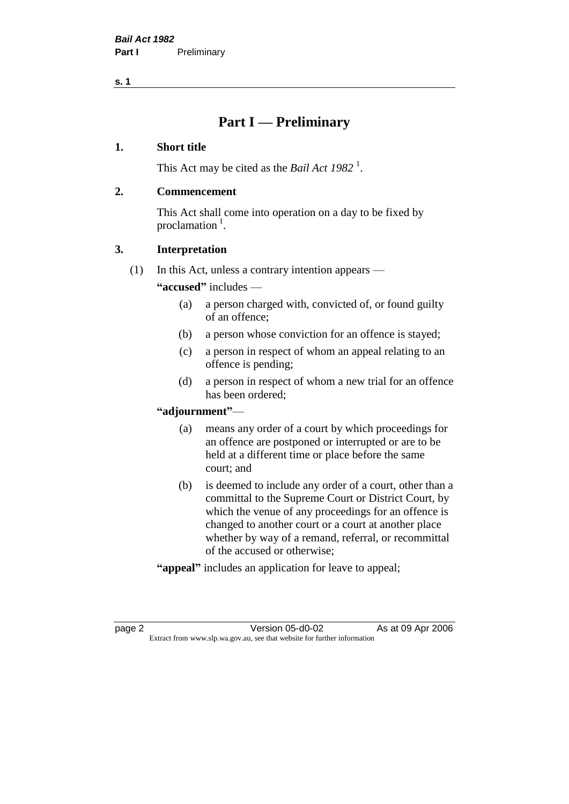# **Part I — Preliminary**

#### **1. Short title**

This Act may be cited as the *Bail Act* 1982<sup>1</sup>.

#### **2. Commencement**

This Act shall come into operation on a day to be fixed by proclamation  $<sup>1</sup>$ .</sup>

## **3. Interpretation**

(1) In this Act, unless a contrary intention appears —

**"accused"** includes —

- (a) a person charged with, convicted of, or found guilty of an offence;
- (b) a person whose conviction for an offence is stayed;
- (c) a person in respect of whom an appeal relating to an offence is pending;
- (d) a person in respect of whom a new trial for an offence has been ordered;

#### **"adjournment"**—

- (a) means any order of a court by which proceedings for an offence are postponed or interrupted or are to be held at a different time or place before the same court; and
- (b) is deemed to include any order of a court, other than a committal to the Supreme Court or District Court, by which the venue of any proceedings for an offence is changed to another court or a court at another place whether by way of a remand, referral, or recommittal of the accused or otherwise;
- **"appeal"** includes an application for leave to appeal;

page 2 **Version 05-d0-02** As at 09 Apr 2006 Extract from www.slp.wa.gov.au, see that website for further information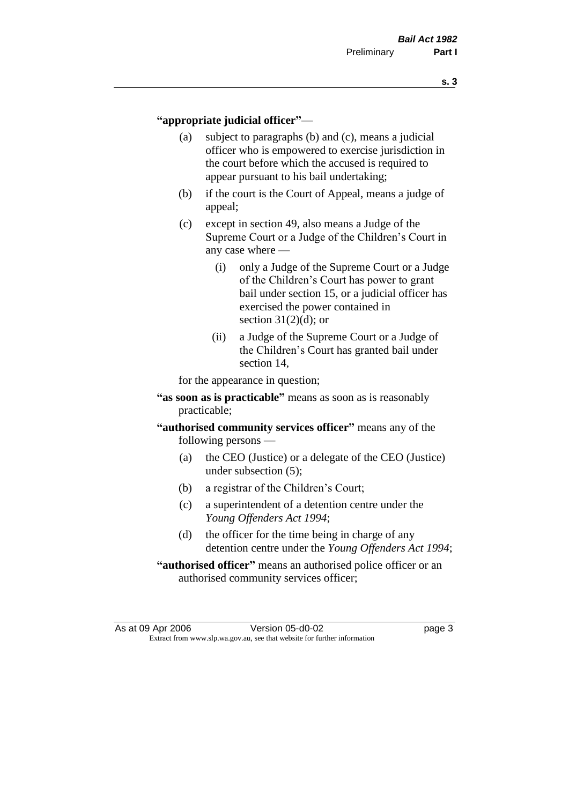#### **"appropriate judicial officer"**—

- (a) subject to paragraphs (b) and (c), means a judicial officer who is empowered to exercise jurisdiction in the court before which the accused is required to appear pursuant to his bail undertaking;
- (b) if the court is the Court of Appeal, means a judge of appeal;
- (c) except in section 49, also means a Judge of the Supreme Court or a Judge of the Children's Court in any case where —
	- (i) only a Judge of the Supreme Court or a Judge of the Children's Court has power to grant bail under section 15, or a judicial officer has exercised the power contained in section  $31(2)(d)$ ; or
	- (ii) a Judge of the Supreme Court or a Judge of the Children's Court has granted bail under section 14,

for the appearance in question;

- **"as soon as is practicable"** means as soon as is reasonably practicable;
- **"authorised community services officer"** means any of the following persons —
	- (a) the CEO (Justice) or a delegate of the CEO (Justice) under subsection (5);
	- (b) a registrar of the Children's Court;
	- (c) a superintendent of a detention centre under the *Young Offenders Act 1994*;
	- (d) the officer for the time being in charge of any detention centre under the *Young Offenders Act 1994*;
- **"authorised officer"** means an authorised police officer or an authorised community services officer;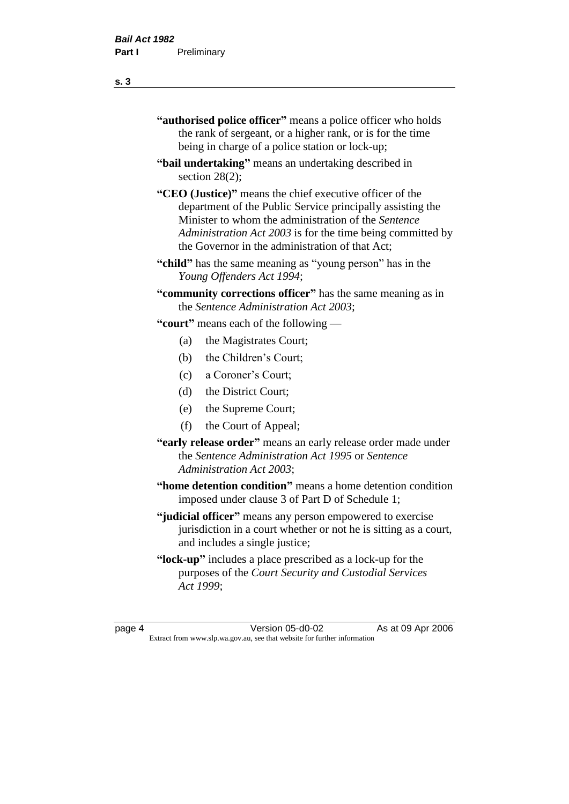| "authorised police officer" means a police officer who holds |
|--------------------------------------------------------------|
| the rank of sergeant, or a higher rank, or is for the time   |
| being in charge of a police station or lock-up;              |

- **"bail undertaking"** means an undertaking described in section 28(2);
- **"CEO (Justice)"** means the chief executive officer of the department of the Public Service principally assisting the Minister to whom the administration of the *Sentence Administration Act 2003* is for the time being committed by the Governor in the administration of that Act;
- **"child"** has the same meaning as "young person" has in the *Young Offenders Act 1994*;
- **"community corrections officer"** has the same meaning as in the *Sentence Administration Act 2003*;

**"court"** means each of the following —

- (a) the Magistrates Court;
- (b) the Children's Court;
- (c) a Coroner's Court;
- (d) the District Court;
- (e) the Supreme Court;
- (f) the Court of Appeal;
- **"early release order"** means an early release order made under the *Sentence Administration Act 1995* or *Sentence Administration Act 2003*;
- **"home detention condition"** means a home detention condition imposed under clause 3 of Part D of Schedule 1;
- **"judicial officer"** means any person empowered to exercise jurisdiction in a court whether or not he is sitting as a court, and includes a single justice;
- **"lock-up"** includes a place prescribed as a lock-up for the purposes of the *Court Security and Custodial Services Act 1999*;

page 4 Version 05-d0-02 As at 09 Apr 2006 Extract from www.slp.wa.gov.au, see that website for further information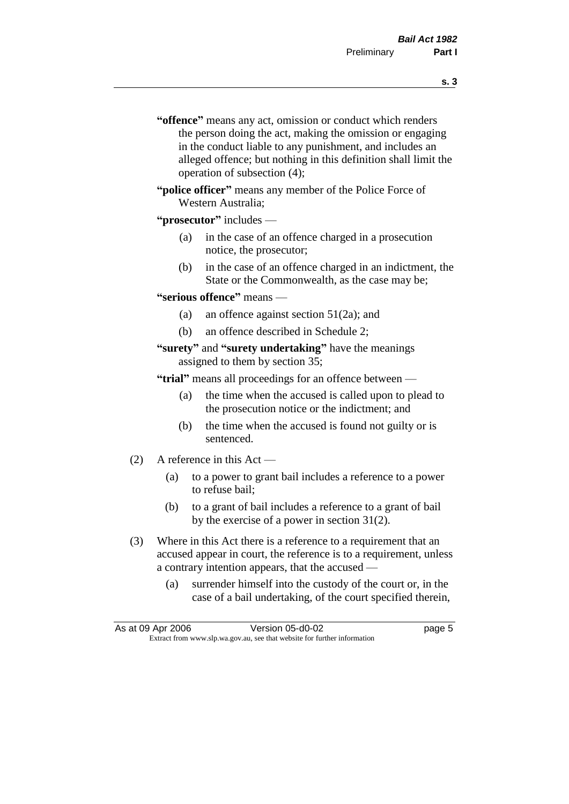- **s. 3**
- **"offence"** means any act, omission or conduct which renders the person doing the act, making the omission or engaging in the conduct liable to any punishment, and includes an alleged offence; but nothing in this definition shall limit the operation of subsection (4);
- **"police officer"** means any member of the Police Force of Western Australia;

#### **"prosecutor"** includes —

- (a) in the case of an offence charged in a prosecution notice, the prosecutor;
- (b) in the case of an offence charged in an indictment, the State or the Commonwealth, as the case may be;

#### **"serious offence"** means —

- (a) an offence against section 51(2a); and
- (b) an offence described in Schedule 2;

#### **"surety"** and **"surety undertaking"** have the meanings assigned to them by section 35;

**"trial"** means all proceedings for an offence between —

- (a) the time when the accused is called upon to plead to the prosecution notice or the indictment; and
- (b) the time when the accused is found not guilty or is sentenced.
- (2) A reference in this Act
	- (a) to a power to grant bail includes a reference to a power to refuse bail;
	- (b) to a grant of bail includes a reference to a grant of bail by the exercise of a power in section 31(2).
- (3) Where in this Act there is a reference to a requirement that an accused appear in court, the reference is to a requirement, unless a contrary intention appears, that the accused —
	- (a) surrender himself into the custody of the court or, in the case of a bail undertaking, of the court specified therein,

| As at 09 Apr 2006 | Version 05-d0-02                                                         | page 5 |
|-------------------|--------------------------------------------------------------------------|--------|
|                   | Extract from www.slp.wa.gov.au, see that website for further information |        |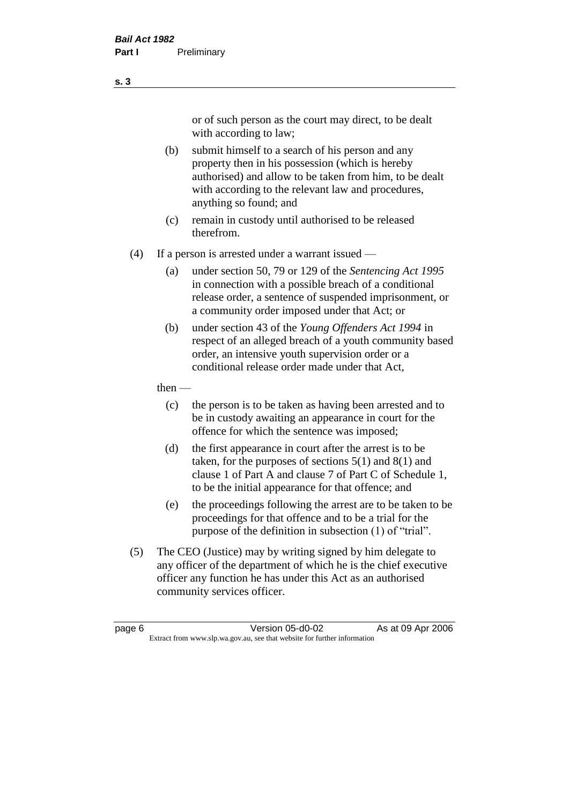or of such person as the court may direct, to be dealt with according to law;

(b) submit himself to a search of his person and any property then in his possession (which is hereby authorised) and allow to be taken from him, to be dealt with according to the relevant law and procedures, anything so found; and

(c) remain in custody until authorised to be released therefrom.

(4) If a person is arrested under a warrant issued —

- (a) under section 50, 79 or 129 of the *Sentencing Act 1995* in connection with a possible breach of a conditional release order, a sentence of suspended imprisonment, or a community order imposed under that Act; or
- (b) under section 43 of the *Young Offenders Act 1994* in respect of an alleged breach of a youth community based order, an intensive youth supervision order or a conditional release order made under that Act,

then —

- (c) the person is to be taken as having been arrested and to be in custody awaiting an appearance in court for the offence for which the sentence was imposed;
- (d) the first appearance in court after the arrest is to be taken, for the purposes of sections  $5(1)$  and  $8(1)$  and clause 1 of Part A and clause 7 of Part C of Schedule 1, to be the initial appearance for that offence; and
- (e) the proceedings following the arrest are to be taken to be proceedings for that offence and to be a trial for the purpose of the definition in subsection (1) of "trial".
- (5) The CEO (Justice) may by writing signed by him delegate to any officer of the department of which he is the chief executive officer any function he has under this Act as an authorised community services officer.

**s. 3**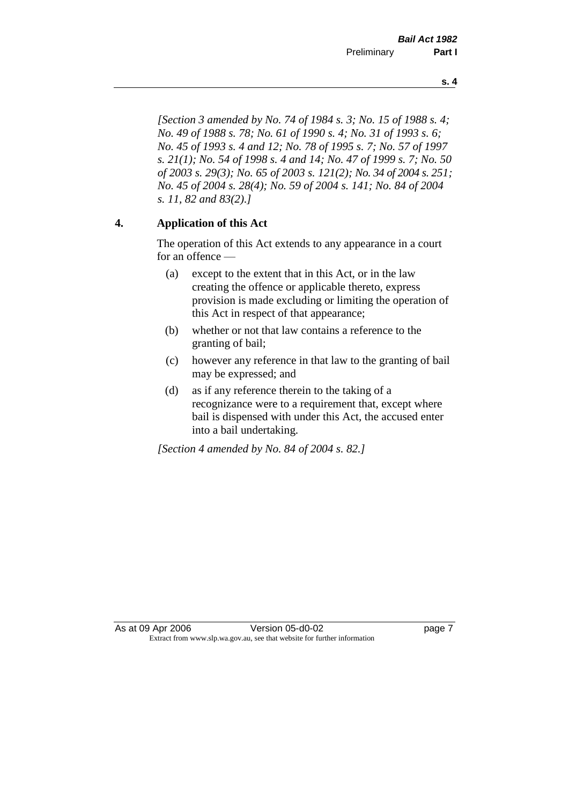*[Section 3 amended by No. 74 of 1984 s. 3; No. 15 of 1988 s. 4;* 

*No. 49 of 1988 s. 78; No. 61 of 1990 s. 4; No. 31 of 1993 s. 6; No. 45 of 1993 s. 4 and 12; No. 78 of 1995 s. 7; No. 57 of 1997 s. 21(1); No. 54 of 1998 s. 4 and 14; No. 47 of 1999 s. 7; No. 50 of 2003 s. 29(3); No. 65 of 2003 s. 121(2); No. 34 of 2004 s. 251; No. 45 of 2004 s. 28(4); No. 59 of 2004 s. 141; No. 84 of 2004 s. 11, 82 and 83(2).]* 

## **4. Application of this Act**

The operation of this Act extends to any appearance in a court for an offence —

- (a) except to the extent that in this Act, or in the law creating the offence or applicable thereto, express provision is made excluding or limiting the operation of this Act in respect of that appearance;
- (b) whether or not that law contains a reference to the granting of bail;
- (c) however any reference in that law to the granting of bail may be expressed; and
- (d) as if any reference therein to the taking of a recognizance were to a requirement that, except where bail is dispensed with under this Act, the accused enter into a bail undertaking.

*[Section 4 amended by No. 84 of 2004 s. 82.]*

**s. 4**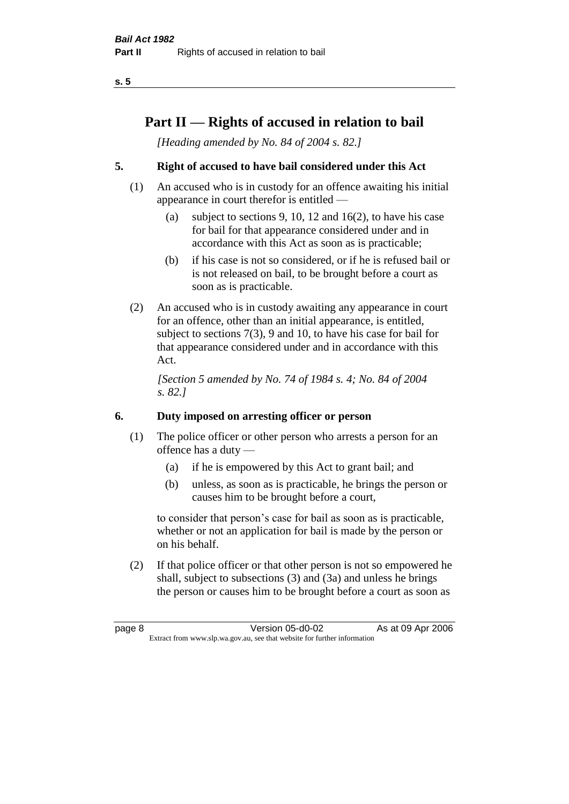# **Part II — Rights of accused in relation to bail**

*[Heading amended by No. 84 of 2004 s. 82.]* 

## **5. Right of accused to have bail considered under this Act**

- (1) An accused who is in custody for an offence awaiting his initial appearance in court therefor is entitled —
	- (a) subject to sections 9, 10, 12 and 16(2), to have his case for bail for that appearance considered under and in accordance with this Act as soon as is practicable;
	- (b) if his case is not so considered, or if he is refused bail or is not released on bail, to be brought before a court as soon as is practicable.
- (2) An accused who is in custody awaiting any appearance in court for an offence, other than an initial appearance, is entitled, subject to sections 7(3), 9 and 10, to have his case for bail for that appearance considered under and in accordance with this Act.

*[Section 5 amended by No. 74 of 1984 s. 4; No. 84 of 2004 s. 82.]* 

## **6. Duty imposed on arresting officer or person**

- (1) The police officer or other person who arrests a person for an offence has a duty —
	- (a) if he is empowered by this Act to grant bail; and
	- (b) unless, as soon as is practicable, he brings the person or causes him to be brought before a court,

to consider that person's case for bail as soon as is practicable, whether or not an application for bail is made by the person or on his behalf.

(2) If that police officer or that other person is not so empowered he shall, subject to subsections (3) and (3a) and unless he brings the person or causes him to be brought before a court as soon as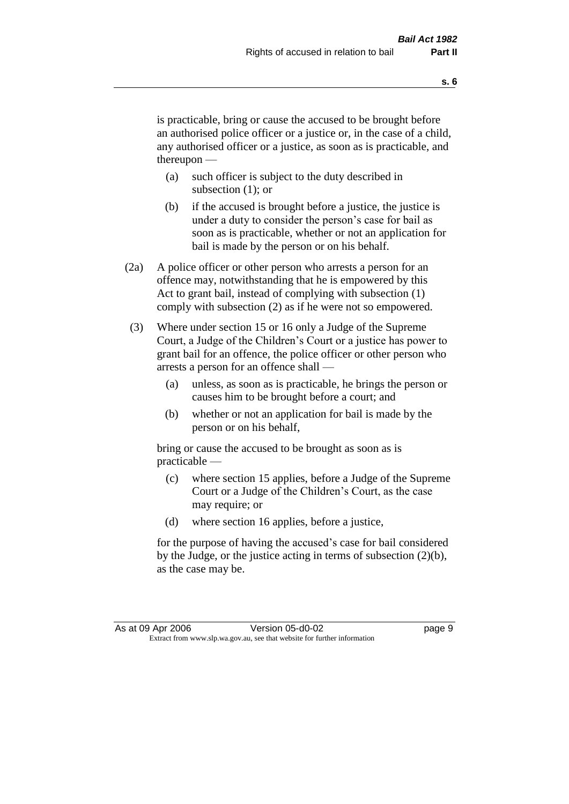is practicable, bring or cause the accused to be brought before an authorised police officer or a justice or, in the case of a child, any authorised officer or a justice, as soon as is practicable, and thereupon —

- (a) such officer is subject to the duty described in subsection (1); or
- (b) if the accused is brought before a justice, the justice is under a duty to consider the person's case for bail as soon as is practicable, whether or not an application for bail is made by the person or on his behalf.
- (2a) A police officer or other person who arrests a person for an offence may, notwithstanding that he is empowered by this Act to grant bail, instead of complying with subsection (1) comply with subsection (2) as if he were not so empowered.
- (3) Where under section 15 or 16 only a Judge of the Supreme Court, a Judge of the Children's Court or a justice has power to grant bail for an offence, the police officer or other person who arrests a person for an offence shall —
	- (a) unless, as soon as is practicable, he brings the person or causes him to be brought before a court; and
	- (b) whether or not an application for bail is made by the person or on his behalf,

bring or cause the accused to be brought as soon as is practicable —

- (c) where section 15 applies, before a Judge of the Supreme Court or a Judge of the Children's Court, as the case may require; or
- (d) where section 16 applies, before a justice,

for the purpose of having the accused's case for bail considered by the Judge, or the justice acting in terms of subsection (2)(b), as the case may be.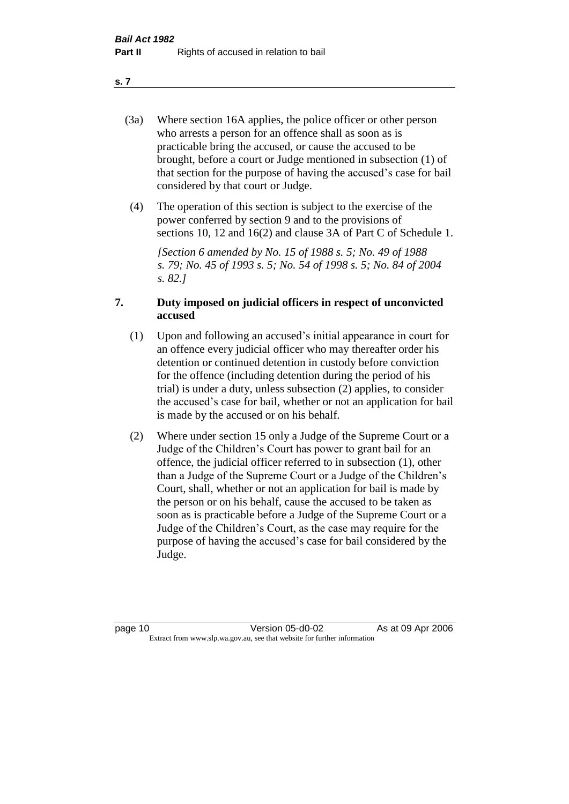- (3a) Where section 16A applies, the police officer or other person who arrests a person for an offence shall as soon as is practicable bring the accused, or cause the accused to be brought, before a court or Judge mentioned in subsection (1) of that section for the purpose of having the accused's case for bail considered by that court or Judge.
- (4) The operation of this section is subject to the exercise of the power conferred by section 9 and to the provisions of sections 10, 12 and 16(2) and clause 3A of Part C of Schedule 1.

*[Section 6 amended by No. 15 of 1988 s. 5; No. 49 of 1988 s. 79; No. 45 of 1993 s. 5; No. 54 of 1998 s. 5; No. 84 of 2004 s. 82.]* 

#### **7. Duty imposed on judicial officers in respect of unconvicted accused**

- (1) Upon and following an accused's initial appearance in court for an offence every judicial officer who may thereafter order his detention or continued detention in custody before conviction for the offence (including detention during the period of his trial) is under a duty, unless subsection (2) applies, to consider the accused's case for bail, whether or not an application for bail is made by the accused or on his behalf.
- (2) Where under section 15 only a Judge of the Supreme Court or a Judge of the Children's Court has power to grant bail for an offence, the judicial officer referred to in subsection (1), other than a Judge of the Supreme Court or a Judge of the Children's Court, shall, whether or not an application for bail is made by the person or on his behalf, cause the accused to be taken as soon as is practicable before a Judge of the Supreme Court or a Judge of the Children's Court, as the case may require for the purpose of having the accused's case for bail considered by the Judge.

#### **s. 7**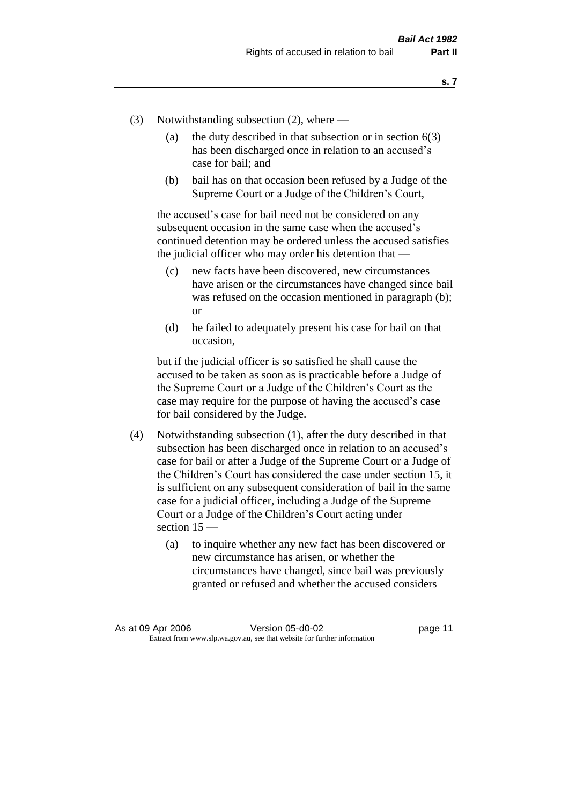- (3) Notwithstanding subsection (2), where
	- (a) the duty described in that subsection or in section  $6(3)$ has been discharged once in relation to an accused's case for bail; and
	- (b) bail has on that occasion been refused by a Judge of the Supreme Court or a Judge of the Children's Court,

the accused's case for bail need not be considered on any subsequent occasion in the same case when the accused's continued detention may be ordered unless the accused satisfies the judicial officer who may order his detention that —

- (c) new facts have been discovered, new circumstances have arisen or the circumstances have changed since bail was refused on the occasion mentioned in paragraph (b); or
- (d) he failed to adequately present his case for bail on that occasion,

but if the judicial officer is so satisfied he shall cause the accused to be taken as soon as is practicable before a Judge of the Supreme Court or a Judge of the Children's Court as the case may require for the purpose of having the accused's case for bail considered by the Judge.

- (4) Notwithstanding subsection (1), after the duty described in that subsection has been discharged once in relation to an accused's case for bail or after a Judge of the Supreme Court or a Judge of the Children's Court has considered the case under section 15, it is sufficient on any subsequent consideration of bail in the same case for a judicial officer, including a Judge of the Supreme Court or a Judge of the Children's Court acting under section 15 —
	- (a) to inquire whether any new fact has been discovered or new circumstance has arisen, or whether the circumstances have changed, since bail was previously granted or refused and whether the accused considers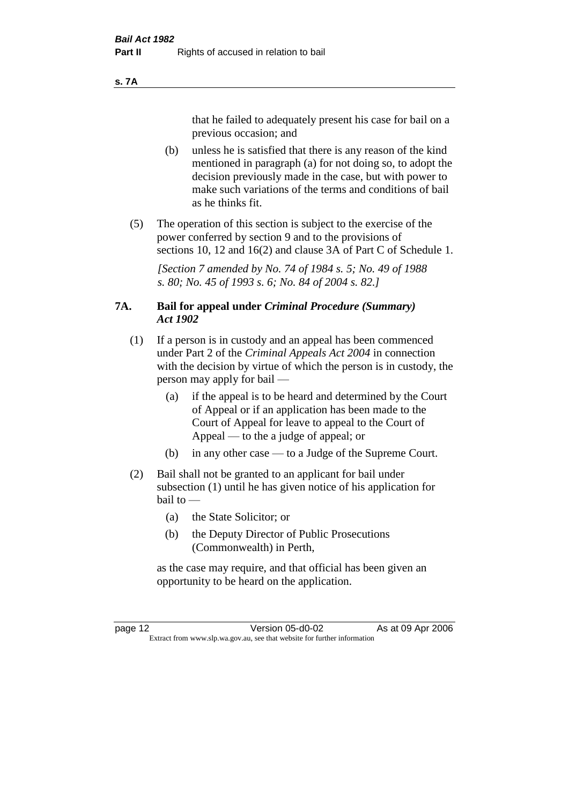#### **s. 7A**

that he failed to adequately present his case for bail on a previous occasion; and

- (b) unless he is satisfied that there is any reason of the kind mentioned in paragraph (a) for not doing so, to adopt the decision previously made in the case, but with power to make such variations of the terms and conditions of bail as he thinks fit.
- (5) The operation of this section is subject to the exercise of the power conferred by section 9 and to the provisions of sections 10, 12 and 16(2) and clause 3A of Part C of Schedule 1.

*[Section 7 amended by No. 74 of 1984 s. 5; No. 49 of 1988 s. 80; No. 45 of 1993 s. 6; No. 84 of 2004 s. 82.]* 

#### **7A. Bail for appeal under** *Criminal Procedure (Summary) Act 1902*

- (1) If a person is in custody and an appeal has been commenced under Part 2 of the *Criminal Appeals Act 2004* in connection with the decision by virtue of which the person is in custody, the person may apply for bail —
	- (a) if the appeal is to be heard and determined by the Court of Appeal or if an application has been made to the Court of Appeal for leave to appeal to the Court of Appeal — to the a judge of appeal; or
	- (b) in any other case to a Judge of the Supreme Court.
- (2) Bail shall not be granted to an applicant for bail under subsection (1) until he has given notice of his application for bail to —
	- (a) the State Solicitor; or
	- (b) the Deputy Director of Public Prosecutions (Commonwealth) in Perth,

as the case may require, and that official has been given an opportunity to be heard on the application.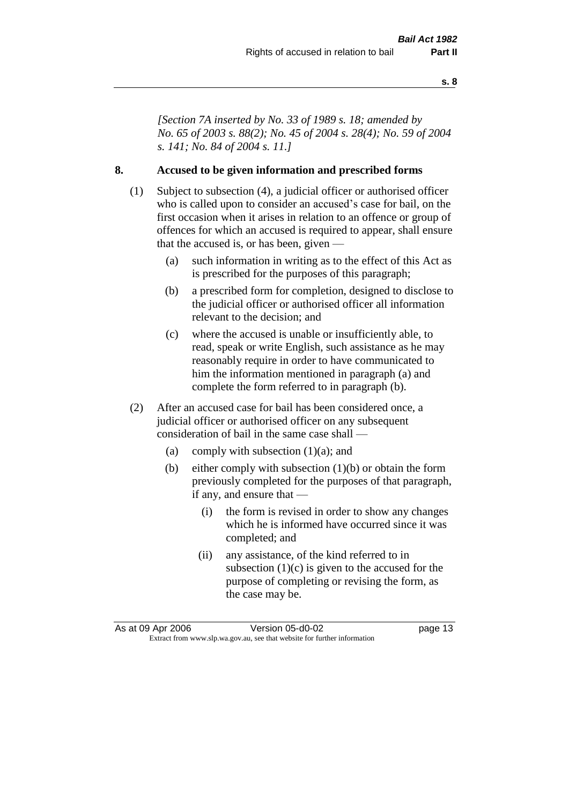*[Section 7A inserted by No. 33 of 1989 s. 18; amended by No. 65 of 2003 s. 88(2); No. 45 of 2004 s. 28(4); No. 59 of 2004 s. 141; No. 84 of 2004 s. 11.]* 

#### **8. Accused to be given information and prescribed forms**

- (1) Subject to subsection (4), a judicial officer or authorised officer who is called upon to consider an accused's case for bail, on the first occasion when it arises in relation to an offence or group of offences for which an accused is required to appear, shall ensure that the accused is, or has been, given —
	- (a) such information in writing as to the effect of this Act as is prescribed for the purposes of this paragraph;
	- (b) a prescribed form for completion, designed to disclose to the judicial officer or authorised officer all information relevant to the decision; and
	- (c) where the accused is unable or insufficiently able, to read, speak or write English, such assistance as he may reasonably require in order to have communicated to him the information mentioned in paragraph (a) and complete the form referred to in paragraph (b).
- (2) After an accused case for bail has been considered once, a judicial officer or authorised officer on any subsequent consideration of bail in the same case shall —
	- (a) comply with subsection  $(1)(a)$ ; and
	- (b) either comply with subsection (1)(b) or obtain the form previously completed for the purposes of that paragraph, if any, and ensure that —
		- (i) the form is revised in order to show any changes which he is informed have occurred since it was completed; and
		- (ii) any assistance, of the kind referred to in subsection  $(1)(c)$  is given to the accused for the purpose of completing or revising the form, as the case may be.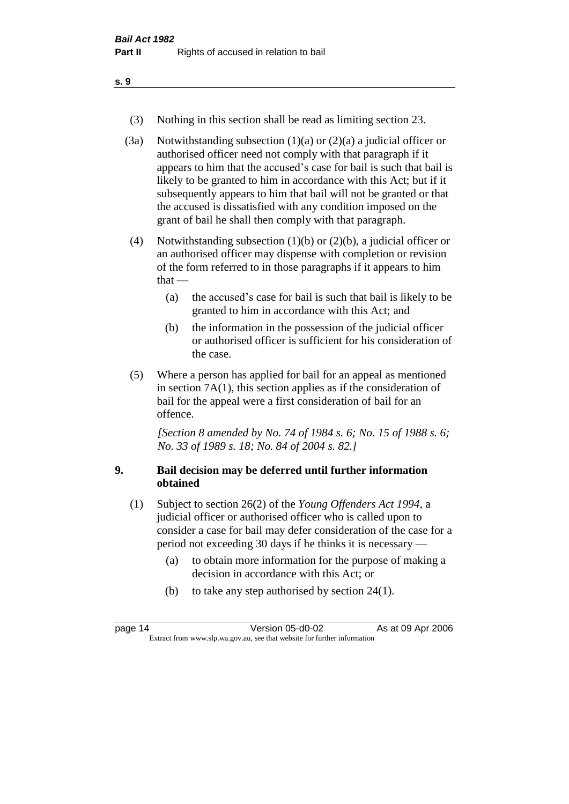- (3) Nothing in this section shall be read as limiting section 23.
- (3a) Notwithstanding subsection  $(1)(a)$  or  $(2)(a)$  a judicial officer or authorised officer need not comply with that paragraph if it appears to him that the accused's case for bail is such that bail is likely to be granted to him in accordance with this Act; but if it subsequently appears to him that bail will not be granted or that the accused is dissatisfied with any condition imposed on the grant of bail he shall then comply with that paragraph.
- (4) Notwithstanding subsection (1)(b) or (2)(b), a judicial officer or an authorised officer may dispense with completion or revision of the form referred to in those paragraphs if it appears to him  $that -$ 
	- (a) the accused's case for bail is such that bail is likely to be granted to him in accordance with this Act; and
	- (b) the information in the possession of the judicial officer or authorised officer is sufficient for his consideration of the case.
- (5) Where a person has applied for bail for an appeal as mentioned in section 7A(1), this section applies as if the consideration of bail for the appeal were a first consideration of bail for an offence.

*[Section 8 amended by No. 74 of 1984 s. 6; No. 15 of 1988 s. 6; No. 33 of 1989 s. 18; No. 84 of 2004 s. 82.]* 

#### **9. Bail decision may be deferred until further information obtained**

- (1) Subject to section 26(2) of the *Young Offenders Act 1994*, a judicial officer or authorised officer who is called upon to consider a case for bail may defer consideration of the case for a period not exceeding 30 days if he thinks it is necessary —
	- (a) to obtain more information for the purpose of making a decision in accordance with this Act; or
	- (b) to take any step authorised by section 24(1).

| page 14 | Version 05-d0-02                                                         | As at 09 Apr 2006 |
|---------|--------------------------------------------------------------------------|-------------------|
|         | Extract from www.slp.wa.gov.au, see that website for further information |                   |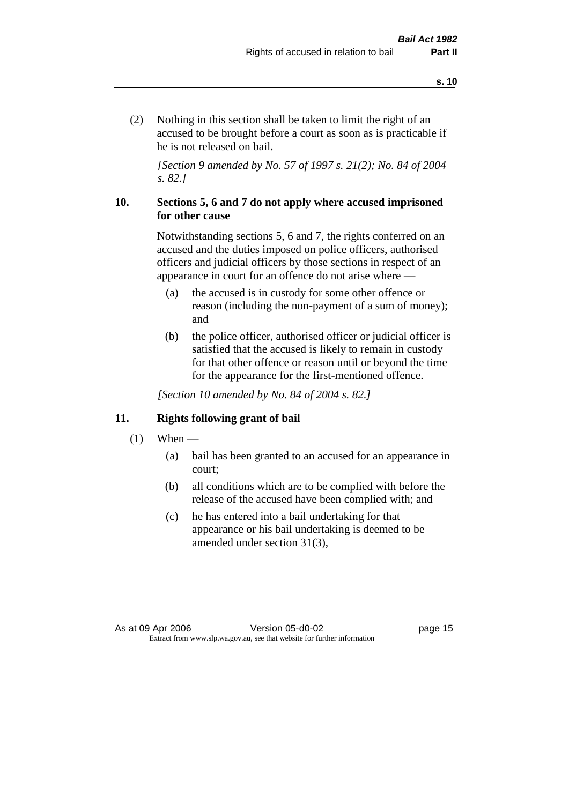(2) Nothing in this section shall be taken to limit the right of an accused to be brought before a court as soon as is practicable if he is not released on bail.

*[Section 9 amended by No. 57 of 1997 s. 21(2); No. 84 of 2004 s. 82.]*

#### **10. Sections 5, 6 and 7 do not apply where accused imprisoned for other cause**

Notwithstanding sections 5, 6 and 7, the rights conferred on an accused and the duties imposed on police officers, authorised officers and judicial officers by those sections in respect of an appearance in court for an offence do not arise where —

- (a) the accused is in custody for some other offence or reason (including the non-payment of a sum of money); and
- (b) the police officer, authorised officer or judicial officer is satisfied that the accused is likely to remain in custody for that other offence or reason until or beyond the time for the appearance for the first-mentioned offence.

*[Section 10 amended by No. 84 of 2004 s. 82.]*

#### **11. Rights following grant of bail**

- $(1)$  When
	- (a) bail has been granted to an accused for an appearance in court;
	- (b) all conditions which are to be complied with before the release of the accused have been complied with; and
	- (c) he has entered into a bail undertaking for that appearance or his bail undertaking is deemed to be amended under section 31(3),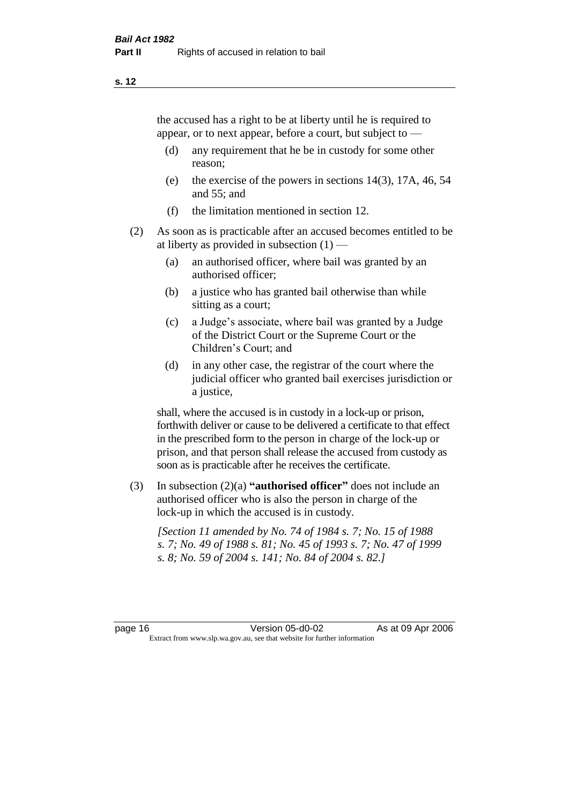the accused has a right to be at liberty until he is required to appear, or to next appear, before a court, but subject to —

- (d) any requirement that he be in custody for some other reason;
- (e) the exercise of the powers in sections 14(3), 17A, 46, 54 and 55; and
- (f) the limitation mentioned in section 12.
- (2) As soon as is practicable after an accused becomes entitled to be at liberty as provided in subsection  $(1)$  —
	- (a) an authorised officer, where bail was granted by an authorised officer;
	- (b) a justice who has granted bail otherwise than while sitting as a court;
	- (c) a Judge's associate, where bail was granted by a Judge of the District Court or the Supreme Court or the Children's Court; and
	- (d) in any other case, the registrar of the court where the judicial officer who granted bail exercises jurisdiction or a justice,

shall, where the accused is in custody in a lock-up or prison, forthwith deliver or cause to be delivered a certificate to that effect in the prescribed form to the person in charge of the lock-up or prison, and that person shall release the accused from custody as soon as is practicable after he receives the certificate.

(3) In subsection (2)(a) **"authorised officer"** does not include an authorised officer who is also the person in charge of the lock-up in which the accused is in custody.

*[Section 11 amended by No. 74 of 1984 s. 7; No. 15 of 1988 s. 7; No. 49 of 1988 s. 81; No. 45 of 1993 s. 7; No. 47 of 1999 s. 8; No. 59 of 2004 s. 141; No. 84 of 2004 s. 82.]*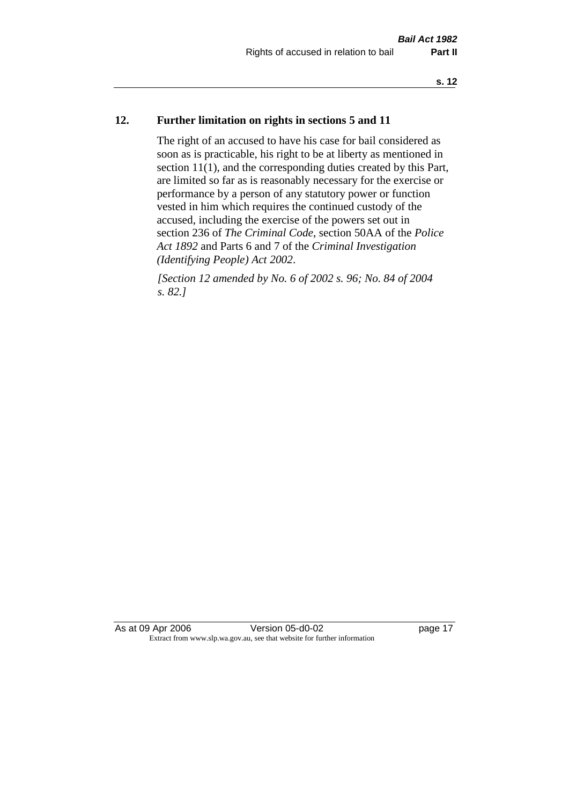#### **12. Further limitation on rights in sections 5 and 11**

The right of an accused to have his case for bail considered as soon as is practicable, his right to be at liberty as mentioned in section 11(1), and the corresponding duties created by this Part, are limited so far as is reasonably necessary for the exercise or performance by a person of any statutory power or function vested in him which requires the continued custody of the accused, including the exercise of the powers set out in section 236 of *The Criminal Code*, section 50AA of the *Police Act 1892* and Parts 6 and 7 of the *Criminal Investigation (Identifying People) Act 2002*.

*[Section 12 amended by No. 6 of 2002 s. 96; No. 84 of 2004 s. 82.]*

As at 09 Apr 2006 Version 05-d0-02 page 17 Extract from www.slp.wa.gov.au, see that website for further information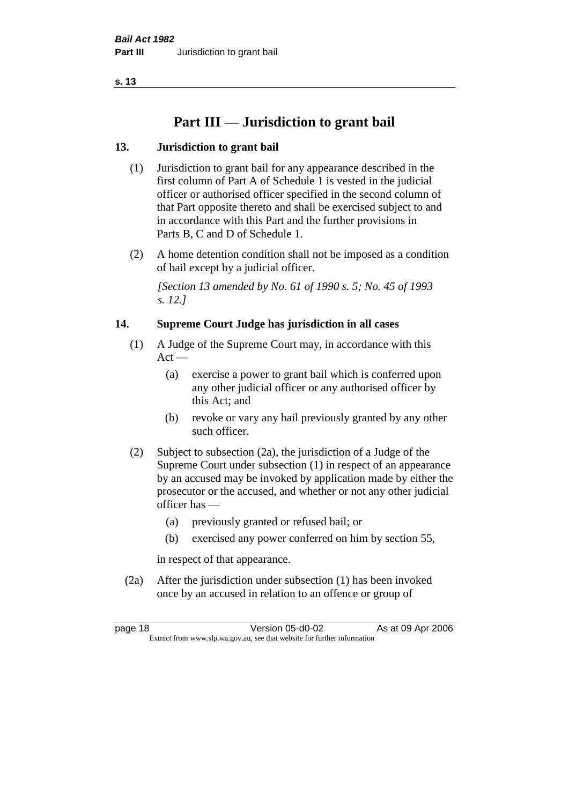# **Part III — Jurisdiction to grant bail**

## **13. Jurisdiction to grant bail**

- (1) Jurisdiction to grant bail for any appearance described in the first column of Part A of Schedule 1 is vested in the judicial officer or authorised officer specified in the second column of that Part opposite thereto and shall be exercised subject to and in accordance with this Part and the further provisions in Parts B, C and D of Schedule 1.
- (2) A home detention condition shall not be imposed as a condition of bail except by a judicial officer.

*[Section 13 amended by No. 61 of 1990 s. 5; No. 45 of 1993 s. 12.]* 

#### **14. Supreme Court Judge has jurisdiction in all cases**

- (1) A Judge of the Supreme Court may, in accordance with this  $Act -$ 
	- (a) exercise a power to grant bail which is conferred upon any other judicial officer or any authorised officer by this Act; and
	- (b) revoke or vary any bail previously granted by any other such officer.
- (2) Subject to subsection (2a), the jurisdiction of a Judge of the Supreme Court under subsection (1) in respect of an appearance by an accused may be invoked by application made by either the prosecutor or the accused, and whether or not any other judicial officer has —
	- (a) previously granted or refused bail; or
	- (b) exercised any power conferred on him by section 55,

in respect of that appearance.

(2a) After the jurisdiction under subsection (1) has been invoked once by an accused in relation to an offence or group of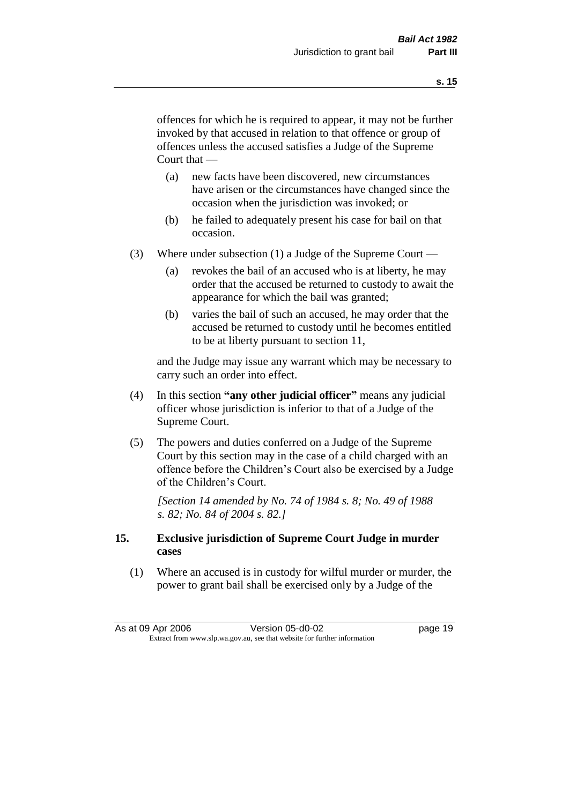offences for which he is required to appear, it may not be further invoked by that accused in relation to that offence or group of offences unless the accused satisfies a Judge of the Supreme Court that —

- (a) new facts have been discovered, new circumstances have arisen or the circumstances have changed since the occasion when the jurisdiction was invoked; or
- (b) he failed to adequately present his case for bail on that occasion.
- (3) Where under subsection (1) a Judge of the Supreme Court
	- (a) revokes the bail of an accused who is at liberty, he may order that the accused be returned to custody to await the appearance for which the bail was granted;
	- (b) varies the bail of such an accused, he may order that the accused be returned to custody until he becomes entitled to be at liberty pursuant to section 11,

and the Judge may issue any warrant which may be necessary to carry such an order into effect.

- (4) In this section **"any other judicial officer"** means any judicial officer whose jurisdiction is inferior to that of a Judge of the Supreme Court.
- (5) The powers and duties conferred on a Judge of the Supreme Court by this section may in the case of a child charged with an offence before the Children's Court also be exercised by a Judge of the Children's Court.

*[Section 14 amended by No. 74 of 1984 s. 8; No. 49 of 1988 s. 82; No. 84 of 2004 s. 82.]* 

#### **15. Exclusive jurisdiction of Supreme Court Judge in murder cases**

(1) Where an accused is in custody for wilful murder or murder, the power to grant bail shall be exercised only by a Judge of the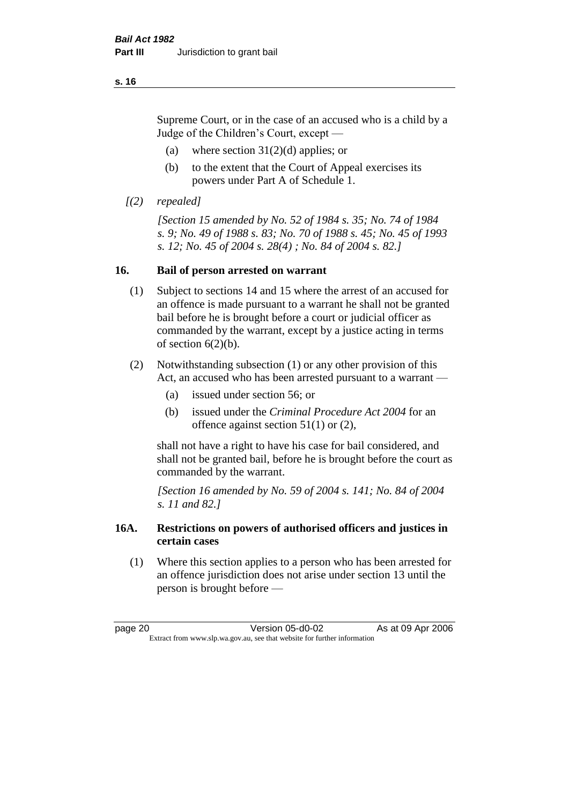Supreme Court, or in the case of an accused who is a child by a Judge of the Children's Court, except —

- (a) where section  $31(2)(d)$  applies; or
- (b) to the extent that the Court of Appeal exercises its powers under Part A of Schedule 1.
- *[(2) repealed]*

*[Section 15 amended by No. 52 of 1984 s. 35; No. 74 of 1984 s. 9; No. 49 of 1988 s. 83; No. 70 of 1988 s. 45; No. 45 of 1993 s. 12; No. 45 of 2004 s. 28(4) ; No. 84 of 2004 s. 82.]* 

#### **16. Bail of person arrested on warrant**

- (1) Subject to sections 14 and 15 where the arrest of an accused for an offence is made pursuant to a warrant he shall not be granted bail before he is brought before a court or judicial officer as commanded by the warrant, except by a justice acting in terms of section  $6(2)(b)$ .
- (2) Notwithstanding subsection (1) or any other provision of this Act, an accused who has been arrested pursuant to a warrant —
	- (a) issued under section 56; or
	- (b) issued under the *Criminal Procedure Act 2004* for an offence against section 51(1) or (2),

shall not have a right to have his case for bail considered, and shall not be granted bail, before he is brought before the court as commanded by the warrant.

*[Section 16 amended by No. 59 of 2004 s. 141; No. 84 of 2004 s. 11 and 82.]*

#### **16A. Restrictions on powers of authorised officers and justices in certain cases**

(1) Where this section applies to a person who has been arrested for an offence jurisdiction does not arise under section 13 until the person is brought before —

page 20 Version 05-d0-02 As at 09 Apr 2006 Extract from www.slp.wa.gov.au, see that website for further information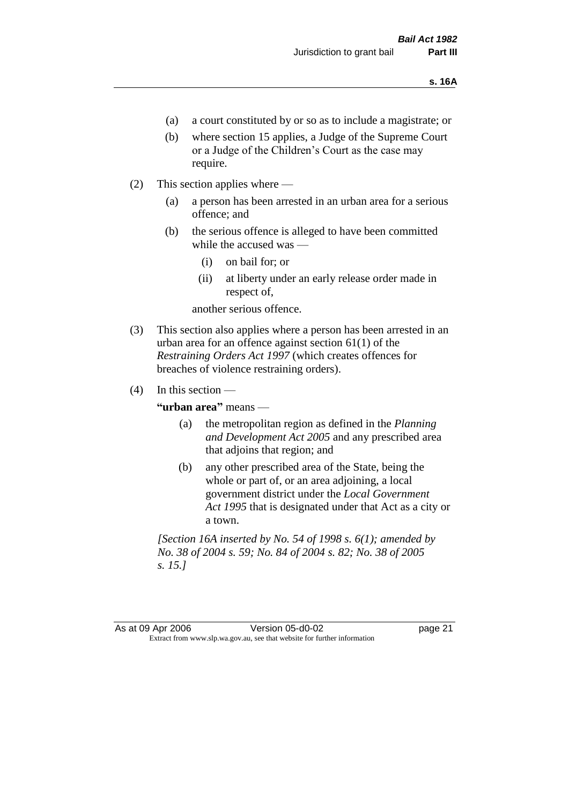- (a) a court constituted by or so as to include a magistrate; or
- (b) where section 15 applies, a Judge of the Supreme Court or a Judge of the Children's Court as the case may require.
- (2) This section applies where
	- (a) a person has been arrested in an urban area for a serious offence; and
	- (b) the serious offence is alleged to have been committed while the accused was —
		- (i) on bail for; or
		- (ii) at liberty under an early release order made in respect of,

another serious offence.

- (3) This section also applies where a person has been arrested in an urban area for an offence against section 61(1) of the *Restraining Orders Act 1997* (which creates offences for breaches of violence restraining orders).
- $(4)$  In this section —

**"urban area"** means —

- (a) the metropolitan region as defined in the *Planning and Development Act 2005* and any prescribed area that adjoins that region; and
- (b) any other prescribed area of the State, being the whole or part of, or an area adjoining, a local government district under the *Local Government Act 1995* that is designated under that Act as a city or a town.

*[Section 16A inserted by No. 54 of 1998 s. 6(1); amended by No. 38 of 2004 s. 59; No. 84 of 2004 s. 82; No. 38 of 2005 s. 15.]*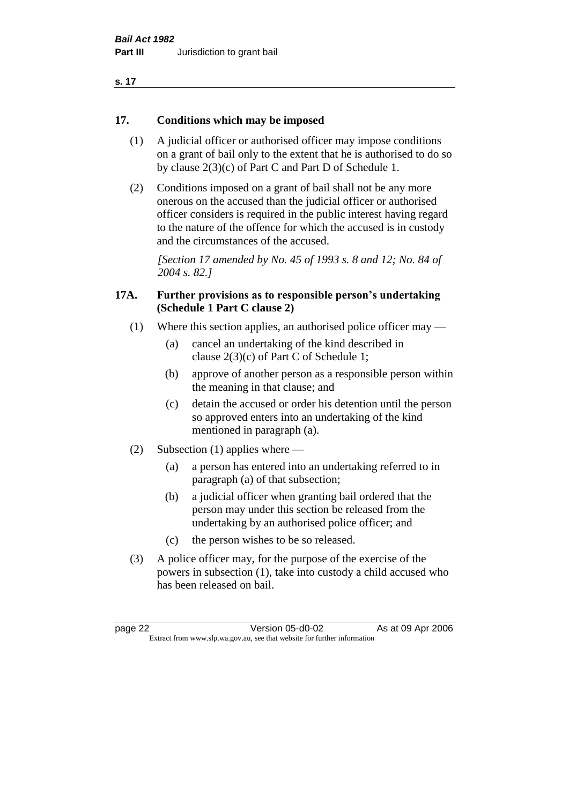#### **17. Conditions which may be imposed**

- (1) A judicial officer or authorised officer may impose conditions on a grant of bail only to the extent that he is authorised to do so by clause 2(3)(c) of Part C and Part D of Schedule 1.
- (2) Conditions imposed on a grant of bail shall not be any more onerous on the accused than the judicial officer or authorised officer considers is required in the public interest having regard to the nature of the offence for which the accused is in custody and the circumstances of the accused.

*[Section 17 amended by No. 45 of 1993 s. 8 and 12; No. 84 of 2004 s. 82.]* 

#### **17A. Further provisions as to responsible person's undertaking (Schedule 1 Part C clause 2)**

- (1) Where this section applies, an authorised police officer may
	- (a) cancel an undertaking of the kind described in clause 2(3)(c) of Part C of Schedule 1;
	- (b) approve of another person as a responsible person within the meaning in that clause; and
	- (c) detain the accused or order his detention until the person so approved enters into an undertaking of the kind mentioned in paragraph (a).
- (2) Subsection (1) applies where
	- (a) a person has entered into an undertaking referred to in paragraph (a) of that subsection;
	- (b) a judicial officer when granting bail ordered that the person may under this section be released from the undertaking by an authorised police officer; and
	- (c) the person wishes to be so released.
- (3) A police officer may, for the purpose of the exercise of the powers in subsection (1), take into custody a child accused who has been released on bail.

page 22 Version 05-d0-02 As at 09 Apr 2006 Extract from www.slp.wa.gov.au, see that website for further information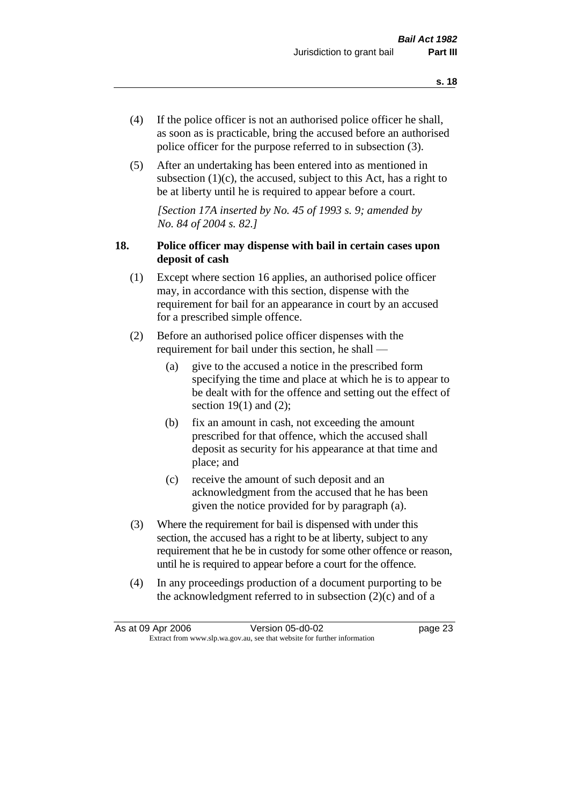- (4) If the police officer is not an authorised police officer he shall, as soon as is practicable, bring the accused before an authorised police officer for the purpose referred to in subsection (3).
- (5) After an undertaking has been entered into as mentioned in subsection  $(1)(c)$ , the accused, subject to this Act, has a right to be at liberty until he is required to appear before a court.

*[Section 17A inserted by No. 45 of 1993 s. 9; amended by No. 84 of 2004 s. 82.]* 

### **18. Police officer may dispense with bail in certain cases upon deposit of cash**

- (1) Except where section 16 applies, an authorised police officer may, in accordance with this section, dispense with the requirement for bail for an appearance in court by an accused for a prescribed simple offence.
- (2) Before an authorised police officer dispenses with the requirement for bail under this section, he shall —
	- (a) give to the accused a notice in the prescribed form specifying the time and place at which he is to appear to be dealt with for the offence and setting out the effect of section  $19(1)$  and  $(2)$ ;
	- (b) fix an amount in cash, not exceeding the amount prescribed for that offence, which the accused shall deposit as security for his appearance at that time and place; and
	- (c) receive the amount of such deposit and an acknowledgment from the accused that he has been given the notice provided for by paragraph (a).
- (3) Where the requirement for bail is dispensed with under this section, the accused has a right to be at liberty, subject to any requirement that he be in custody for some other offence or reason, until he is required to appear before a court for the offence.
- (4) In any proceedings production of a document purporting to be the acknowledgment referred to in subsection  $(2)(c)$  and of a

|                                                                          | As at 09 Apr 2006 | Version 05-d0-02 | page 23 |
|--------------------------------------------------------------------------|-------------------|------------------|---------|
| Extract from www.slp.wa.gov.au, see that website for further information |                   |                  |         |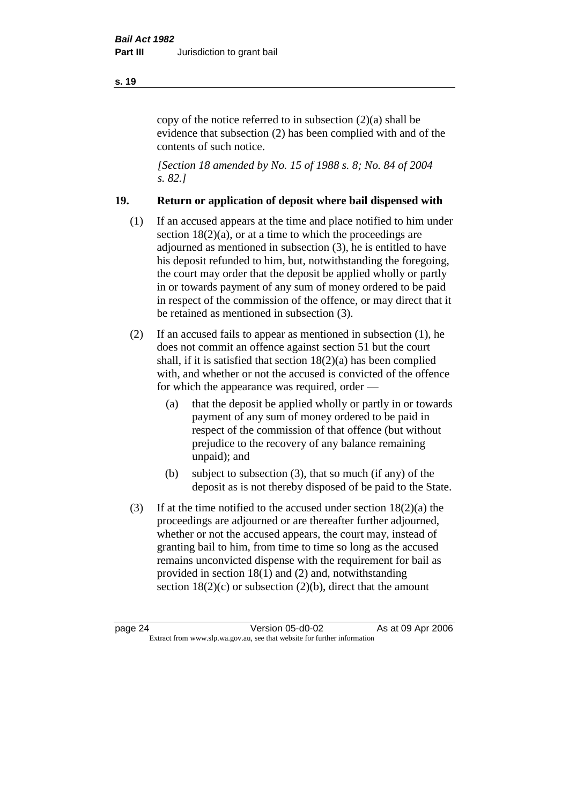copy of the notice referred to in subsection (2)(a) shall be evidence that subsection (2) has been complied with and of the contents of such notice.

*[Section 18 amended by No. 15 of 1988 s. 8; No. 84 of 2004 s. 82.]* 

#### **19. Return or application of deposit where bail dispensed with**

- (1) If an accused appears at the time and place notified to him under section  $18(2)(a)$ , or at a time to which the proceedings are adjourned as mentioned in subsection (3), he is entitled to have his deposit refunded to him, but, notwithstanding the foregoing, the court may order that the deposit be applied wholly or partly in or towards payment of any sum of money ordered to be paid in respect of the commission of the offence, or may direct that it be retained as mentioned in subsection (3).
- (2) If an accused fails to appear as mentioned in subsection (1), he does not commit an offence against section 51 but the court shall, if it is satisfied that section 18(2)(a) has been complied with, and whether or not the accused is convicted of the offence for which the appearance was required, order —
	- (a) that the deposit be applied wholly or partly in or towards payment of any sum of money ordered to be paid in respect of the commission of that offence (but without prejudice to the recovery of any balance remaining unpaid); and
	- (b) subject to subsection (3), that so much (if any) of the deposit as is not thereby disposed of be paid to the State.
- (3) If at the time notified to the accused under section 18(2)(a) the proceedings are adjourned or are thereafter further adjourned, whether or not the accused appears, the court may, instead of granting bail to him, from time to time so long as the accused remains unconvicted dispense with the requirement for bail as provided in section 18(1) and (2) and, notwithstanding section  $18(2)(c)$  or subsection  $(2)(b)$ , direct that the amount

#### **s. 19**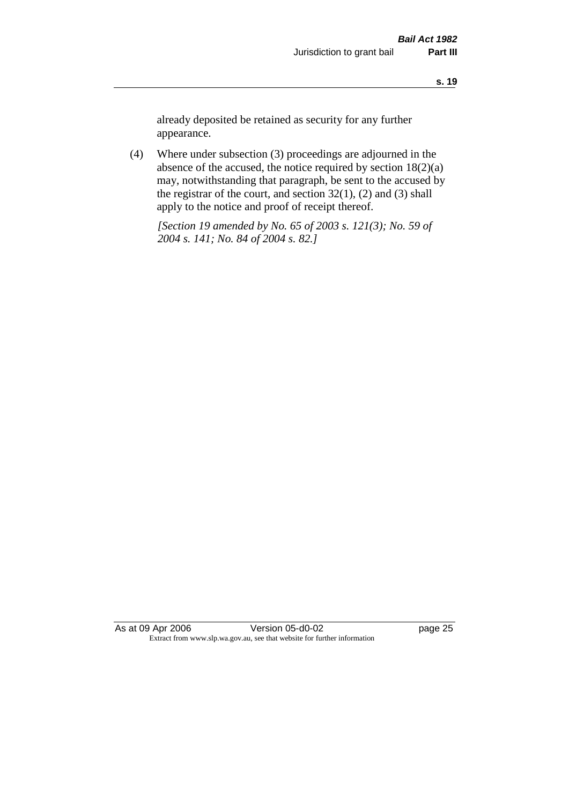already deposited be retained as security for any further appearance.

(4) Where under subsection (3) proceedings are adjourned in the absence of the accused, the notice required by section 18(2)(a) may, notwithstanding that paragraph, be sent to the accused by the registrar of the court, and section  $32(1)$ ,  $(2)$  and  $(3)$  shall apply to the notice and proof of receipt thereof.

*[Section 19 amended by No. 65 of 2003 s. 121(3); No. 59 of 2004 s. 141; No. 84 of 2004 s. 82.]*

As at 09 Apr 2006 Version 05-d0-02 Page 25 Extract from www.slp.wa.gov.au, see that website for further information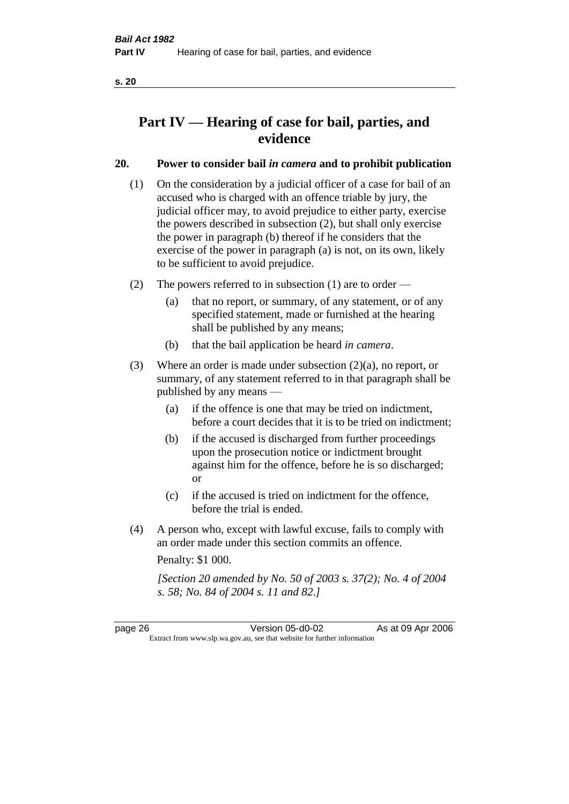# **Part IV — Hearing of case for bail, parties, and evidence**

## **20. Power to consider bail** *in camera* **and to prohibit publication**

- (1) On the consideration by a judicial officer of a case for bail of an accused who is charged with an offence triable by jury, the judicial officer may, to avoid prejudice to either party, exercise the powers described in subsection (2), but shall only exercise the power in paragraph (b) thereof if he considers that the exercise of the power in paragraph (a) is not, on its own, likely to be sufficient to avoid prejudice.
- (2) The powers referred to in subsection (1) are to order
	- (a) that no report, or summary, of any statement, or of any specified statement, made or furnished at the hearing shall be published by any means;
	- (b) that the bail application be heard *in camera*.
- (3) Where an order is made under subsection (2)(a), no report, or summary, of any statement referred to in that paragraph shall be published by any means —
	- (a) if the offence is one that may be tried on indictment, before a court decides that it is to be tried on indictment;
	- (b) if the accused is discharged from further proceedings upon the prosecution notice or indictment brought against him for the offence, before he is so discharged; or
	- (c) if the accused is tried on indictment for the offence, before the trial is ended.
- (4) A person who, except with lawful excuse, fails to comply with an order made under this section commits an offence.

Penalty: \$1 000.

*[Section 20 amended by No. 50 of 2003 s. 37(2); No. 4 of 2004 s. 58; No. 84 of 2004 s. 11 and 82.]*

page 26 Version 05-d0-02 As at 09 Apr 2006 Extract from www.slp.wa.gov.au, see that website for further information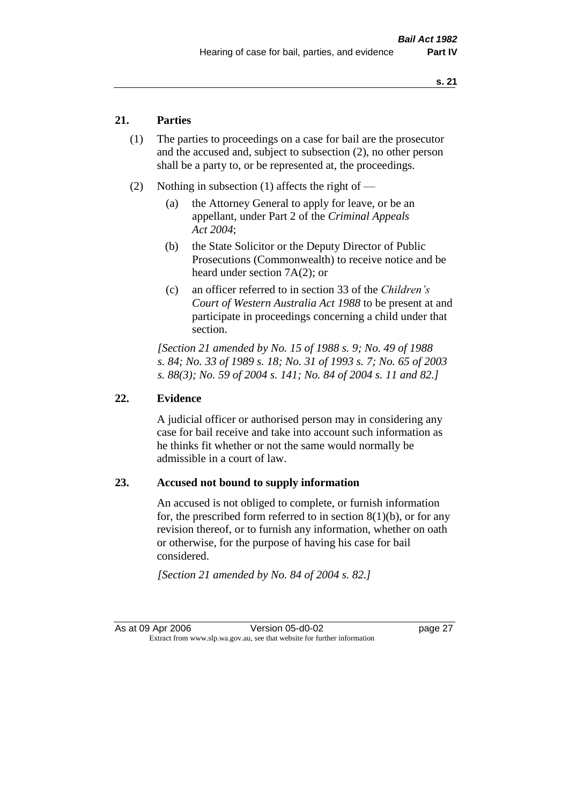### **21. Parties**

- (1) The parties to proceedings on a case for bail are the prosecutor and the accused and, subject to subsection (2), no other person shall be a party to, or be represented at, the proceedings.
- (2) Nothing in subsection (1) affects the right of
	- (a) the Attorney General to apply for leave, or be an appellant, under Part 2 of the *Criminal Appeals Act 2004*;
	- (b) the State Solicitor or the Deputy Director of Public Prosecutions (Commonwealth) to receive notice and be heard under section 7A(2); or
	- (c) an officer referred to in section 33 of the *Children's Court of Western Australia Act 1988* to be present at and participate in proceedings concerning a child under that section.

*[Section 21 amended by No. 15 of 1988 s. 9; No. 49 of 1988 s. 84; No. 33 of 1989 s. 18; No. 31 of 1993 s. 7; No. 65 of 2003 s. 88(3); No. 59 of 2004 s. 141; No. 84 of 2004 s. 11 and 82.]* 

#### **22. Evidence**

A judicial officer or authorised person may in considering any case for bail receive and take into account such information as he thinks fit whether or not the same would normally be admissible in a court of law.

#### **23. Accused not bound to supply information**

An accused is not obliged to complete, or furnish information for, the prescribed form referred to in section  $8(1)(b)$ , or for any revision thereof, or to furnish any information, whether on oath or otherwise, for the purpose of having his case for bail considered.

*[Section 21 amended by No. 84 of 2004 s. 82.]*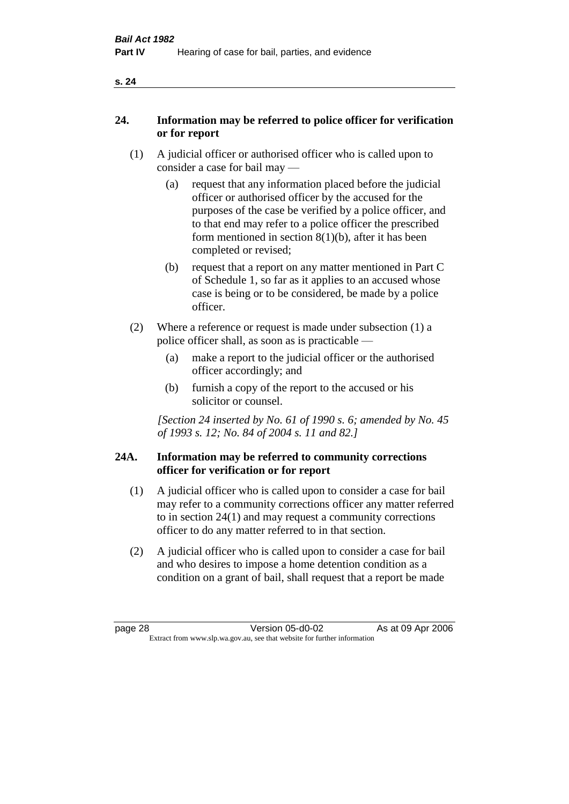| ۰, |  |
|----|--|
|    |  |

### **24. Information may be referred to police officer for verification or for report**

- (1) A judicial officer or authorised officer who is called upon to consider a case for bail may —
	- (a) request that any information placed before the judicial officer or authorised officer by the accused for the purposes of the case be verified by a police officer, and to that end may refer to a police officer the prescribed form mentioned in section 8(1)(b), after it has been completed or revised;
	- (b) request that a report on any matter mentioned in Part C of Schedule 1, so far as it applies to an accused whose case is being or to be considered, be made by a police officer.
- (2) Where a reference or request is made under subsection (1) a police officer shall, as soon as is practicable —
	- (a) make a report to the judicial officer or the authorised officer accordingly; and
	- (b) furnish a copy of the report to the accused or his solicitor or counsel.

*[Section 24 inserted by No. 61 of 1990 s. 6; amended by No. 45 of 1993 s. 12; No. 84 of 2004 s. 11 and 82.]* 

#### **24A. Information may be referred to community corrections officer for verification or for report**

- (1) A judicial officer who is called upon to consider a case for bail may refer to a community corrections officer any matter referred to in section 24(1) and may request a community corrections officer to do any matter referred to in that section.
- (2) A judicial officer who is called upon to consider a case for bail and who desires to impose a home detention condition as a condition on a grant of bail, shall request that a report be made

#### **s. 24**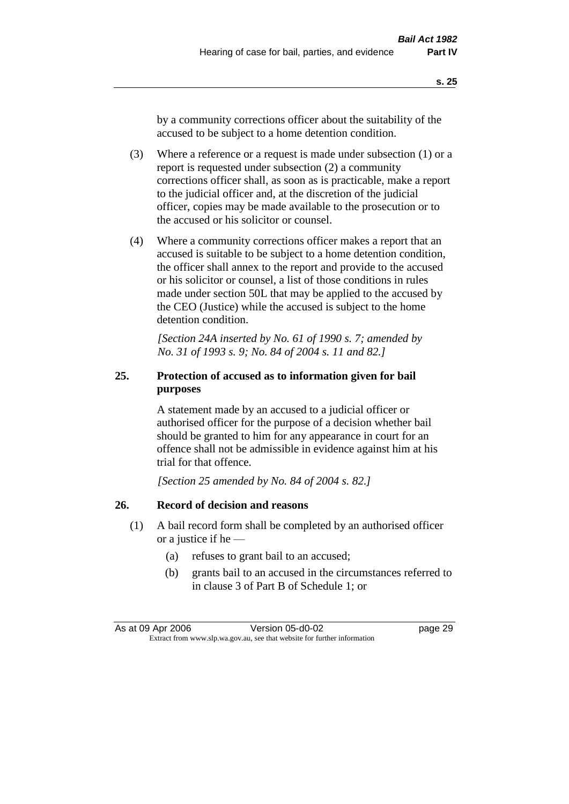by a community corrections officer about the suitability of the accused to be subject to a home detention condition.

- (3) Where a reference or a request is made under subsection (1) or a report is requested under subsection (2) a community corrections officer shall, as soon as is practicable, make a report to the judicial officer and, at the discretion of the judicial officer, copies may be made available to the prosecution or to the accused or his solicitor or counsel.
- (4) Where a community corrections officer makes a report that an accused is suitable to be subject to a home detention condition, the officer shall annex to the report and provide to the accused or his solicitor or counsel, a list of those conditions in rules made under section 50L that may be applied to the accused by the CEO (Justice) while the accused is subject to the home detention condition.

*[Section 24A inserted by No. 61 of 1990 s. 7; amended by No. 31 of 1993 s. 9; No. 84 of 2004 s. 11 and 82.]* 

## **25. Protection of accused as to information given for bail purposes**

A statement made by an accused to a judicial officer or authorised officer for the purpose of a decision whether bail should be granted to him for any appearance in court for an offence shall not be admissible in evidence against him at his trial for that offence.

*[Section 25 amended by No. 84 of 2004 s. 82.]* 

# **26. Record of decision and reasons**

- (1) A bail record form shall be completed by an authorised officer or a justice if he —
	- (a) refuses to grant bail to an accused;
	- (b) grants bail to an accused in the circumstances referred to in clause 3 of Part B of Schedule 1; or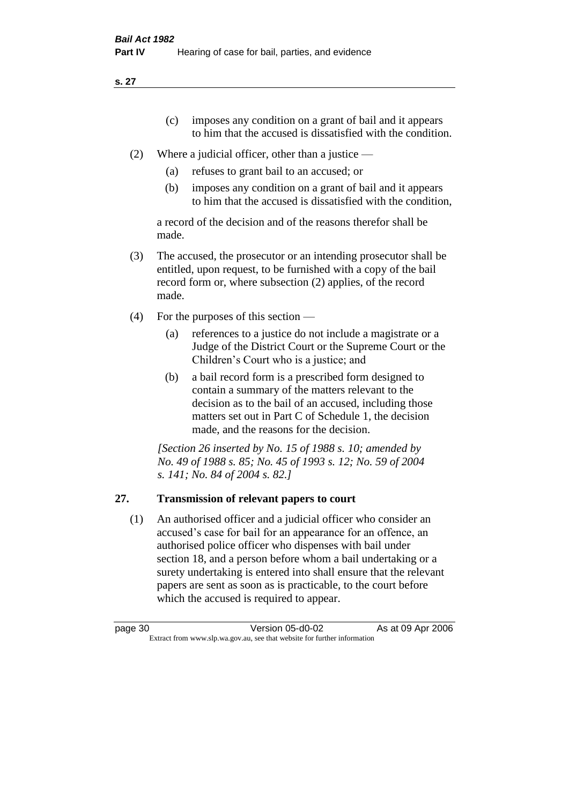**s. 27**

- (c) imposes any condition on a grant of bail and it appears to him that the accused is dissatisfied with the condition.
- (2) Where a judicial officer, other than a justice
	- (a) refuses to grant bail to an accused; or
	- (b) imposes any condition on a grant of bail and it appears to him that the accused is dissatisfied with the condition,

a record of the decision and of the reasons therefor shall be made.

- (3) The accused, the prosecutor or an intending prosecutor shall be entitled, upon request, to be furnished with a copy of the bail record form or, where subsection (2) applies, of the record made.
- (4) For the purposes of this section
	- (a) references to a justice do not include a magistrate or a Judge of the District Court or the Supreme Court or the Children's Court who is a justice; and
	- (b) a bail record form is a prescribed form designed to contain a summary of the matters relevant to the decision as to the bail of an accused, including those matters set out in Part C of Schedule 1, the decision made, and the reasons for the decision.

*[Section 26 inserted by No. 15 of 1988 s. 10; amended by No. 49 of 1988 s. 85; No. 45 of 1993 s. 12; No. 59 of 2004 s. 141; No. 84 of 2004 s. 82.]* 

# **27. Transmission of relevant papers to court**

(1) An authorised officer and a judicial officer who consider an accused's case for bail for an appearance for an offence, an authorised police officer who dispenses with bail under section 18, and a person before whom a bail undertaking or a surety undertaking is entered into shall ensure that the relevant papers are sent as soon as is practicable, to the court before which the accused is required to appear.

| page 30 | Version 05-d0-02                                                         | As at 09 Apr 2006 |
|---------|--------------------------------------------------------------------------|-------------------|
|         | Extract from www.slp.wa.gov.au, see that website for further information |                   |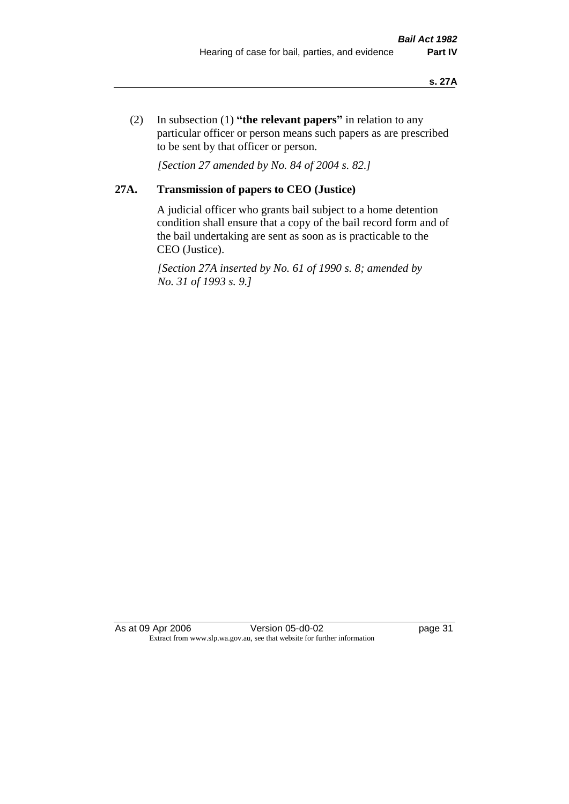(2) In subsection (1) **"the relevant papers"** in relation to any particular officer or person means such papers as are prescribed to be sent by that officer or person.

*[Section 27 amended by No. 84 of 2004 s. 82.]* 

## **27A. Transmission of papers to CEO (Justice)**

A judicial officer who grants bail subject to a home detention condition shall ensure that a copy of the bail record form and of the bail undertaking are sent as soon as is practicable to the CEO (Justice).

*[Section 27A inserted by No. 61 of 1990 s. 8; amended by No. 31 of 1993 s. 9.]* 

As at 09 Apr 2006 Version 05-d0-02 Page 31 Extract from www.slp.wa.gov.au, see that website for further information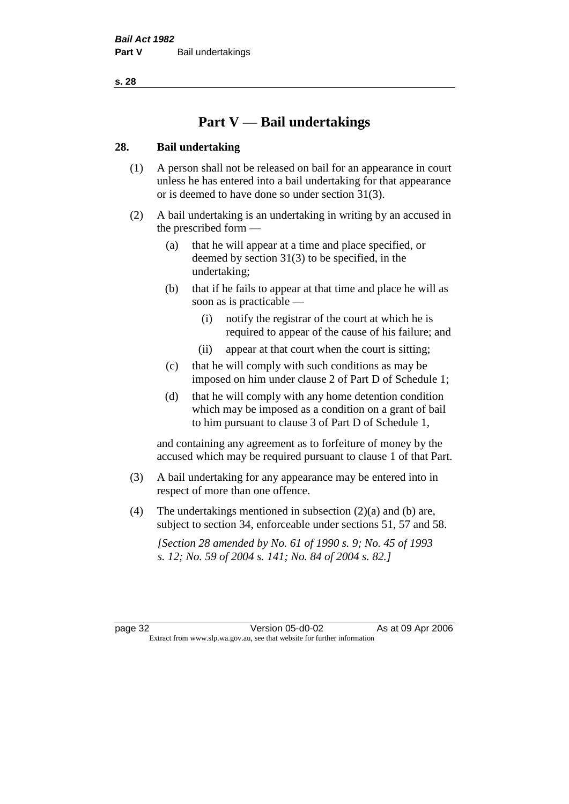**s. 28**

# **Part V — Bail undertakings**

## **28. Bail undertaking**

- (1) A person shall not be released on bail for an appearance in court unless he has entered into a bail undertaking for that appearance or is deemed to have done so under section 31(3).
- (2) A bail undertaking is an undertaking in writing by an accused in the prescribed form —
	- (a) that he will appear at a time and place specified, or deemed by section 31(3) to be specified, in the undertaking;
	- (b) that if he fails to appear at that time and place he will as soon as is practicable —
		- (i) notify the registrar of the court at which he is required to appear of the cause of his failure; and
		- (ii) appear at that court when the court is sitting;
	- (c) that he will comply with such conditions as may be imposed on him under clause 2 of Part D of Schedule 1;
	- (d) that he will comply with any home detention condition which may be imposed as a condition on a grant of bail to him pursuant to clause 3 of Part D of Schedule 1,

and containing any agreement as to forfeiture of money by the accused which may be required pursuant to clause 1 of that Part.

- (3) A bail undertaking for any appearance may be entered into in respect of more than one offence.
- (4) The undertakings mentioned in subsection  $(2)(a)$  and (b) are, subject to section 34, enforceable under sections 51, 57 and 58.

*[Section 28 amended by No. 61 of 1990 s. 9; No. 45 of 1993 s. 12; No. 59 of 2004 s. 141; No. 84 of 2004 s. 82.]*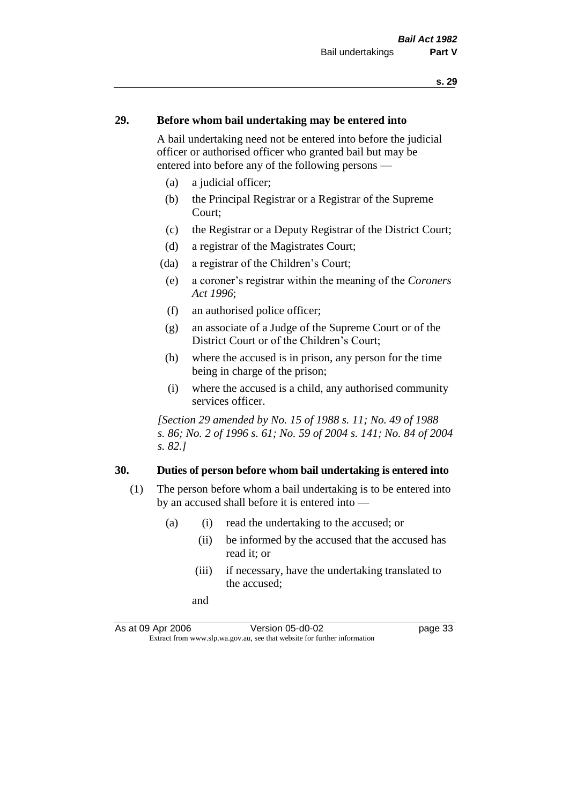### **29. Before whom bail undertaking may be entered into**

A bail undertaking need not be entered into before the judicial officer or authorised officer who granted bail but may be entered into before any of the following persons —

- (a) a judicial officer;
- (b) the Principal Registrar or a Registrar of the Supreme Court;
- (c) the Registrar or a Deputy Registrar of the District Court;
- (d) a registrar of the Magistrates Court;
- (da) a registrar of the Children's Court;
- (e) a coroner's registrar within the meaning of the *Coroners Act 1996*;
- (f) an authorised police officer;
- (g) an associate of a Judge of the Supreme Court or of the District Court or of the Children's Court;
- (h) where the accused is in prison, any person for the time being in charge of the prison;
- (i) where the accused is a child, any authorised community services officer.

*[Section 29 amended by No. 15 of 1988 s. 11; No. 49 of 1988 s. 86; No. 2 of 1996 s. 61; No. 59 of 2004 s. 141; No. 84 of 2004 s. 82.]* 

## **30. Duties of person before whom bail undertaking is entered into**

- (1) The person before whom a bail undertaking is to be entered into by an accused shall before it is entered into —
	- (a) (i) read the undertaking to the accused; or
		- (ii) be informed by the accused that the accused has read it; or
		- (iii) if necessary, have the undertaking translated to the accused;
		- and

As at 09 Apr 2006 Version 05-d0-02 page 33 Extract from www.slp.wa.gov.au, see that website for further information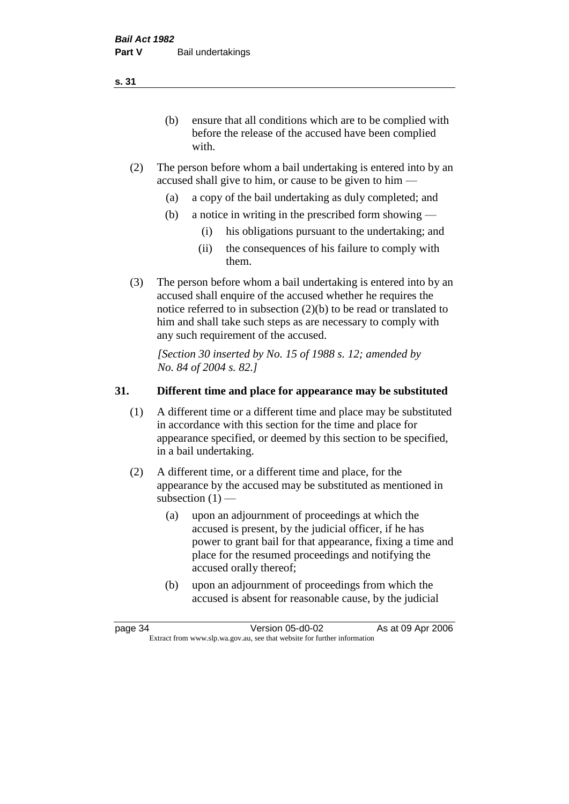(b) ensure that all conditions which are to be complied with before the release of the accused have been complied with.

- (2) The person before whom a bail undertaking is entered into by an accused shall give to him, or cause to be given to him —
	- (a) a copy of the bail undertaking as duly completed; and
	- (b) a notice in writing in the prescribed form showing
		- (i) his obligations pursuant to the undertaking; and
		- (ii) the consequences of his failure to comply with them.
- (3) The person before whom a bail undertaking is entered into by an accused shall enquire of the accused whether he requires the notice referred to in subsection (2)(b) to be read or translated to him and shall take such steps as are necessary to comply with any such requirement of the accused.

*[Section 30 inserted by No. 15 of 1988 s. 12; amended by No. 84 of 2004 s. 82.]* 

## **31. Different time and place for appearance may be substituted**

- (1) A different time or a different time and place may be substituted in accordance with this section for the time and place for appearance specified, or deemed by this section to be specified, in a bail undertaking.
- (2) A different time, or a different time and place, for the appearance by the accused may be substituted as mentioned in subsection  $(1)$  —
	- (a) upon an adjournment of proceedings at which the accused is present, by the judicial officer, if he has power to grant bail for that appearance, fixing a time and place for the resumed proceedings and notifying the accused orally thereof;
	- (b) upon an adjournment of proceedings from which the accused is absent for reasonable cause, by the judicial

**s. 31**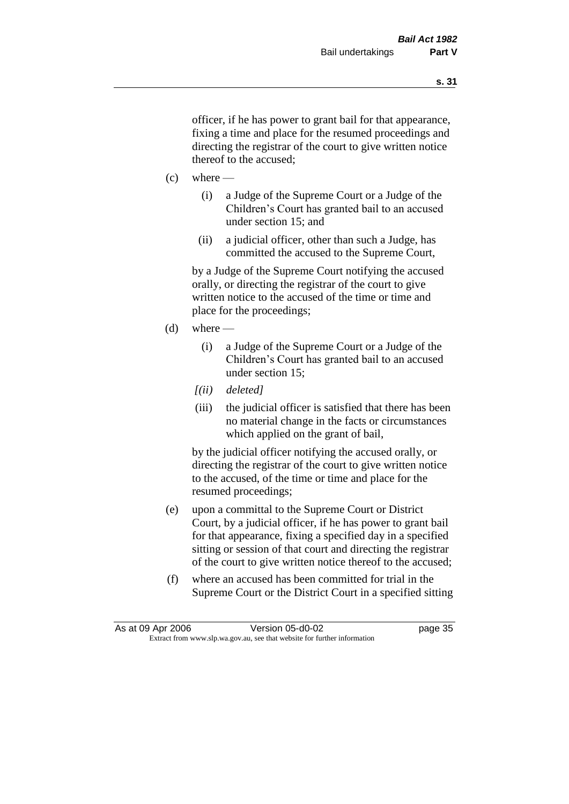officer, if he has power to grant bail for that appearance, fixing a time and place for the resumed proceedings and directing the registrar of the court to give written notice thereof to the accused;

- $(c)$  where
	- (i) a Judge of the Supreme Court or a Judge of the Children's Court has granted bail to an accused under section 15; and
	- (ii) a judicial officer, other than such a Judge, has committed the accused to the Supreme Court,

by a Judge of the Supreme Court notifying the accused orally, or directing the registrar of the court to give written notice to the accused of the time or time and place for the proceedings;

- $(d)$  where
	- (i) a Judge of the Supreme Court or a Judge of the Children's Court has granted bail to an accused under section 15;
	- *[(ii) deleted]*
	- (iii) the judicial officer is satisfied that there has been no material change in the facts or circumstances which applied on the grant of bail,

by the judicial officer notifying the accused orally, or directing the registrar of the court to give written notice to the accused, of the time or time and place for the resumed proceedings;

- (e) upon a committal to the Supreme Court or District Court, by a judicial officer, if he has power to grant bail for that appearance, fixing a specified day in a specified sitting or session of that court and directing the registrar of the court to give written notice thereof to the accused;
- (f) where an accused has been committed for trial in the Supreme Court or the District Court in a specified sitting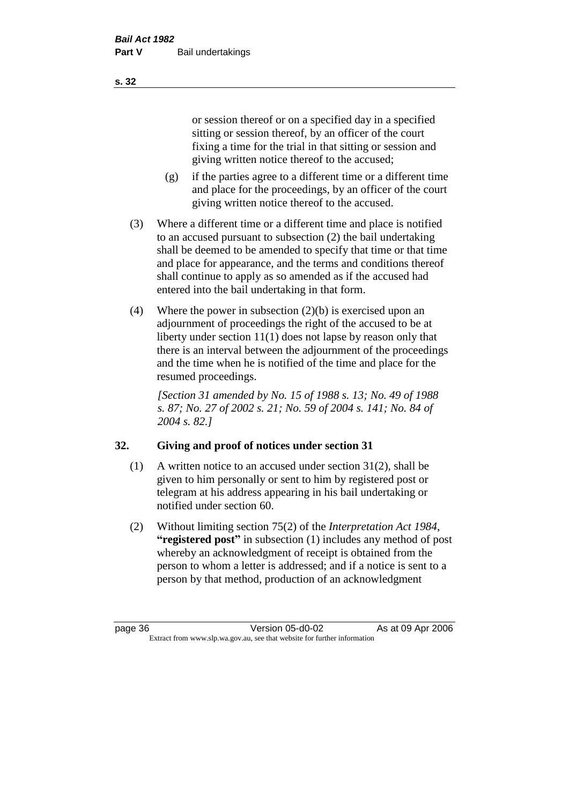or session thereof or on a specified day in a specified sitting or session thereof, by an officer of the court fixing a time for the trial in that sitting or session and giving written notice thereof to the accused;

- (g) if the parties agree to a different time or a different time and place for the proceedings, by an officer of the court giving written notice thereof to the accused.
- (3) Where a different time or a different time and place is notified to an accused pursuant to subsection (2) the bail undertaking shall be deemed to be amended to specify that time or that time and place for appearance, and the terms and conditions thereof shall continue to apply as so amended as if the accused had entered into the bail undertaking in that form.
- (4) Where the power in subsection (2)(b) is exercised upon an adjournment of proceedings the right of the accused to be at liberty under section 11(1) does not lapse by reason only that there is an interval between the adjournment of the proceedings and the time when he is notified of the time and place for the resumed proceedings.

*[Section 31 amended by No. 15 of 1988 s. 13; No. 49 of 1988 s. 87; No. 27 of 2002 s. 21; No. 59 of 2004 s. 141; No. 84 of 2004 s. 82.]* 

# **32. Giving and proof of notices under section 31**

- (1) A written notice to an accused under section 31(2), shall be given to him personally or sent to him by registered post or telegram at his address appearing in his bail undertaking or notified under section 60.
- (2) Without limiting section 75(2) of the *Interpretation Act 1984*, **"registered post"** in subsection (1) includes any method of post whereby an acknowledgment of receipt is obtained from the person to whom a letter is addressed; and if a notice is sent to a person by that method, production of an acknowledgment

**s. 32**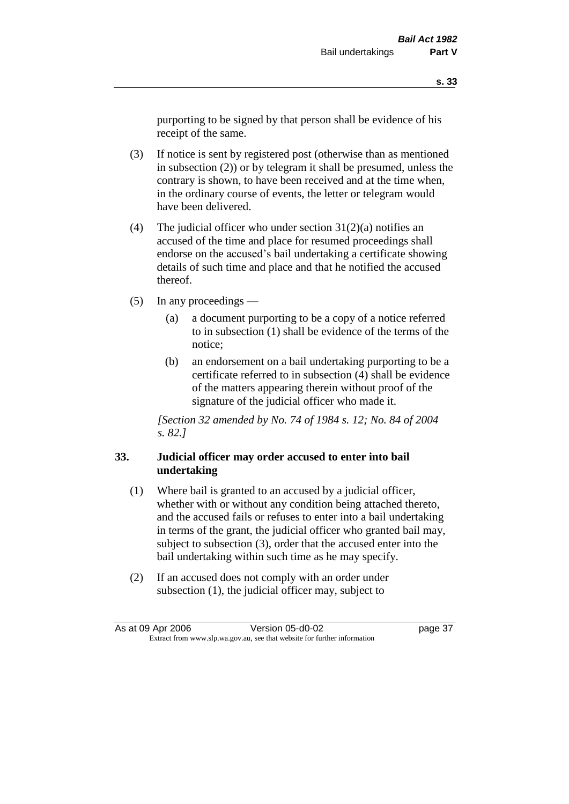purporting to be signed by that person shall be evidence of his receipt of the same.

- (3) If notice is sent by registered post (otherwise than as mentioned in subsection (2)) or by telegram it shall be presumed, unless the contrary is shown, to have been received and at the time when, in the ordinary course of events, the letter or telegram would have been delivered.
- (4) The judicial officer who under section  $31(2)(a)$  notifies an accused of the time and place for resumed proceedings shall endorse on the accused's bail undertaking a certificate showing details of such time and place and that he notified the accused thereof.
- (5) In any proceedings
	- (a) a document purporting to be a copy of a notice referred to in subsection (1) shall be evidence of the terms of the notice;
	- (b) an endorsement on a bail undertaking purporting to be a certificate referred to in subsection (4) shall be evidence of the matters appearing therein without proof of the signature of the judicial officer who made it.

*[Section 32 amended by No. 74 of 1984 s. 12; No. 84 of 2004 s. 82.]* 

## **33. Judicial officer may order accused to enter into bail undertaking**

- (1) Where bail is granted to an accused by a judicial officer, whether with or without any condition being attached thereto, and the accused fails or refuses to enter into a bail undertaking in terms of the grant, the judicial officer who granted bail may, subject to subsection (3), order that the accused enter into the bail undertaking within such time as he may specify.
- (2) If an accused does not comply with an order under subsection (1), the judicial officer may, subject to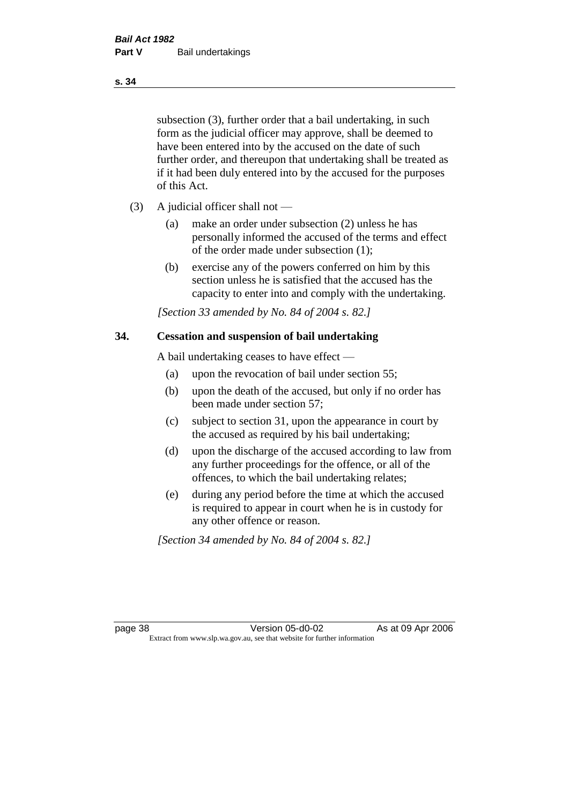subsection (3), further order that a bail undertaking, in such form as the judicial officer may approve, shall be deemed to have been entered into by the accused on the date of such further order, and thereupon that undertaking shall be treated as if it had been duly entered into by the accused for the purposes of this Act.

- (3) A judicial officer shall not
	- (a) make an order under subsection (2) unless he has personally informed the accused of the terms and effect of the order made under subsection (1);
	- (b) exercise any of the powers conferred on him by this section unless he is satisfied that the accused has the capacity to enter into and comply with the undertaking.

*[Section 33 amended by No. 84 of 2004 s. 82.]* 

### **34. Cessation and suspension of bail undertaking**

A bail undertaking ceases to have effect —

- (a) upon the revocation of bail under section 55;
- (b) upon the death of the accused, but only if no order has been made under section 57;
- (c) subject to section 31, upon the appearance in court by the accused as required by his bail undertaking;
- (d) upon the discharge of the accused according to law from any further proceedings for the offence, or all of the offences, to which the bail undertaking relates;
- (e) during any period before the time at which the accused is required to appear in court when he is in custody for any other offence or reason.

*[Section 34 amended by No. 84 of 2004 s. 82.]* 

page 38 Version 05-d0-02 As at 09 Apr 2006 Extract from www.slp.wa.gov.au, see that website for further information

**s. 34**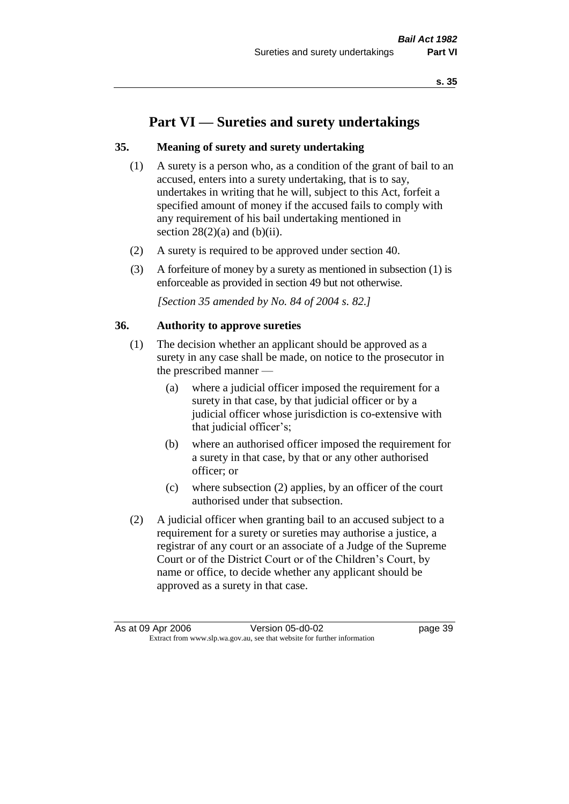# **Part VI — Sureties and surety undertakings**

## **35. Meaning of surety and surety undertaking**

- (1) A surety is a person who, as a condition of the grant of bail to an accused, enters into a surety undertaking, that is to say, undertakes in writing that he will, subject to this Act, forfeit a specified amount of money if the accused fails to comply with any requirement of his bail undertaking mentioned in section  $28(2)(a)$  and  $(b)(ii)$ .
- (2) A surety is required to be approved under section 40.
- (3) A forfeiture of money by a surety as mentioned in subsection (1) is enforceable as provided in section 49 but not otherwise.

*[Section 35 amended by No. 84 of 2004 s. 82.]* 

### **36. Authority to approve sureties**

- (1) The decision whether an applicant should be approved as a surety in any case shall be made, on notice to the prosecutor in the prescribed manner —
	- (a) where a judicial officer imposed the requirement for a surety in that case, by that judicial officer or by a judicial officer whose jurisdiction is co-extensive with that judicial officer's;
	- (b) where an authorised officer imposed the requirement for a surety in that case, by that or any other authorised officer; or
	- (c) where subsection (2) applies, by an officer of the court authorised under that subsection.
- (2) A judicial officer when granting bail to an accused subject to a requirement for a surety or sureties may authorise a justice, a registrar of any court or an associate of a Judge of the Supreme Court or of the District Court or of the Children's Court, by name or office, to decide whether any applicant should be approved as a surety in that case.

As at 09 Apr 2006 Version 05-d0-02 Page 39 Extract from www.slp.wa.gov.au, see that website for further information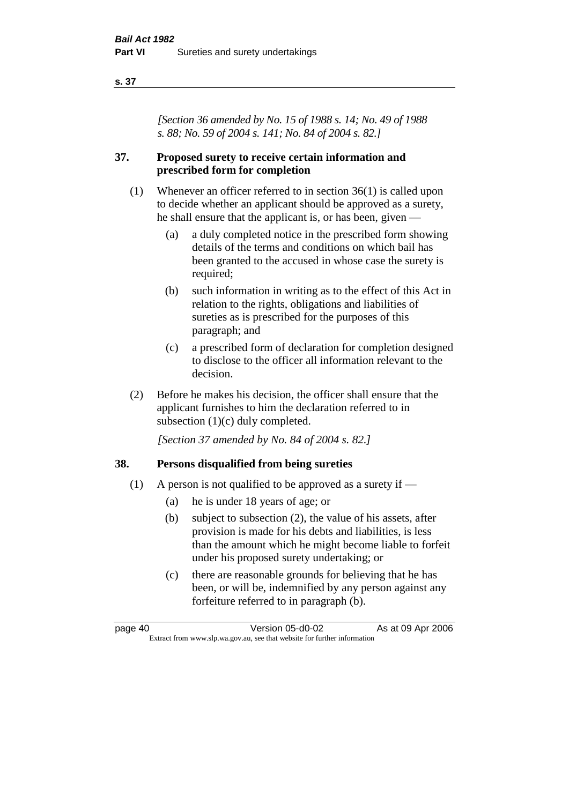#### **s. 37**

*[Section 36 amended by No. 15 of 1988 s. 14; No. 49 of 1988 s. 88; No. 59 of 2004 s. 141; No. 84 of 2004 s. 82.]* 

## **37. Proposed surety to receive certain information and prescribed form for completion**

- (1) Whenever an officer referred to in section 36(1) is called upon to decide whether an applicant should be approved as a surety, he shall ensure that the applicant is, or has been, given —
	- (a) a duly completed notice in the prescribed form showing details of the terms and conditions on which bail has been granted to the accused in whose case the surety is required;
	- (b) such information in writing as to the effect of this Act in relation to the rights, obligations and liabilities of sureties as is prescribed for the purposes of this paragraph; and
	- (c) a prescribed form of declaration for completion designed to disclose to the officer all information relevant to the decision.
- (2) Before he makes his decision, the officer shall ensure that the applicant furnishes to him the declaration referred to in subsection (1)(c) duly completed.

*[Section 37 amended by No. 84 of 2004 s. 82.]* 

## **38. Persons disqualified from being sureties**

- (1) A person is not qualified to be approved as a surety if  $-$ 
	- (a) he is under 18 years of age; or
	- (b) subject to subsection (2), the value of his assets, after provision is made for his debts and liabilities, is less than the amount which he might become liable to forfeit under his proposed surety undertaking; or
	- (c) there are reasonable grounds for believing that he has been, or will be, indemnified by any person against any forfeiture referred to in paragraph (b).

page 40 Version 05-d0-02 As at 09 Apr 2006 Extract from www.slp.wa.gov.au, see that website for further information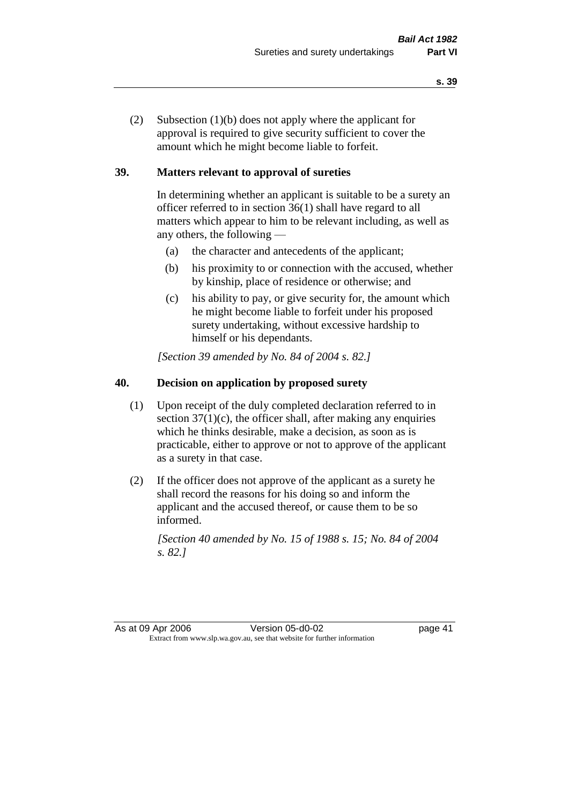(2) Subsection (1)(b) does not apply where the applicant for approval is required to give security sufficient to cover the amount which he might become liable to forfeit.

## **39. Matters relevant to approval of sureties**

In determining whether an applicant is suitable to be a surety an officer referred to in section 36(1) shall have regard to all matters which appear to him to be relevant including, as well as any others, the following —

- (a) the character and antecedents of the applicant;
- (b) his proximity to or connection with the accused, whether by kinship, place of residence or otherwise; and
- (c) his ability to pay, or give security for, the amount which he might become liable to forfeit under his proposed surety undertaking, without excessive hardship to himself or his dependants.

*[Section 39 amended by No. 84 of 2004 s. 82.]* 

## **40. Decision on application by proposed surety**

- (1) Upon receipt of the duly completed declaration referred to in section  $37(1)(c)$ , the officer shall, after making any enquiries which he thinks desirable, make a decision, as soon as is practicable, either to approve or not to approve of the applicant as a surety in that case.
- (2) If the officer does not approve of the applicant as a surety he shall record the reasons for his doing so and inform the applicant and the accused thereof, or cause them to be so informed.

*[Section 40 amended by No. 15 of 1988 s. 15; No. 84 of 2004 s. 82.]* 

As at 09 Apr 2006 Version 05-d0-02 page 41 Extract from www.slp.wa.gov.au, see that website for further information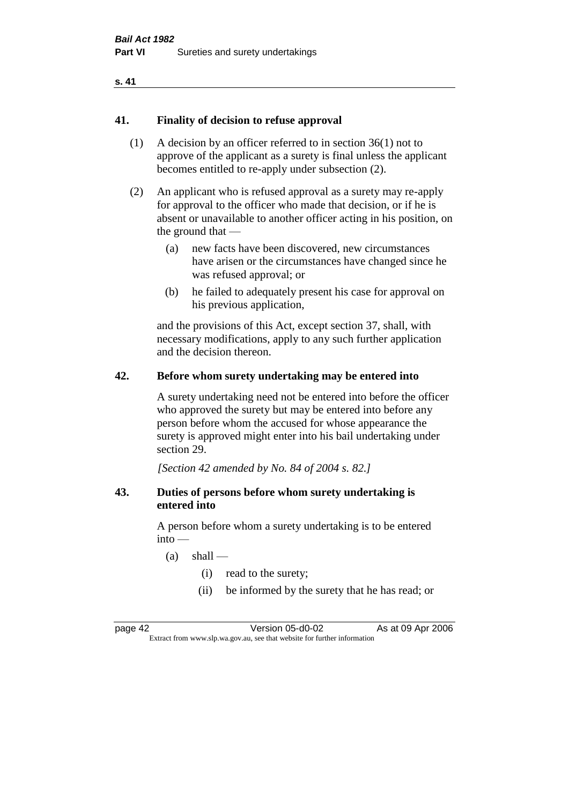#### **s. 41**

### **41. Finality of decision to refuse approval**

- (1) A decision by an officer referred to in section 36(1) not to approve of the applicant as a surety is final unless the applicant becomes entitled to re-apply under subsection (2).
- (2) An applicant who is refused approval as a surety may re-apply for approval to the officer who made that decision, or if he is absent or unavailable to another officer acting in his position, on the ground that —
	- (a) new facts have been discovered, new circumstances have arisen or the circumstances have changed since he was refused approval; or
	- (b) he failed to adequately present his case for approval on his previous application,

and the provisions of this Act, except section 37, shall, with necessary modifications, apply to any such further application and the decision thereon.

### **42. Before whom surety undertaking may be entered into**

A surety undertaking need not be entered into before the officer who approved the surety but may be entered into before any person before whom the accused for whose appearance the surety is approved might enter into his bail undertaking under section 29.

*[Section 42 amended by No. 84 of 2004 s. 82.]* 

### **43. Duties of persons before whom surety undertaking is entered into**

A person before whom a surety undertaking is to be entered  $into -$ 

- $(a)$  shall
	- (i) read to the surety;
	- (ii) be informed by the surety that he has read; or

page 42 Version 05-d0-02 As at 09 Apr 2006 Extract from www.slp.wa.gov.au, see that website for further information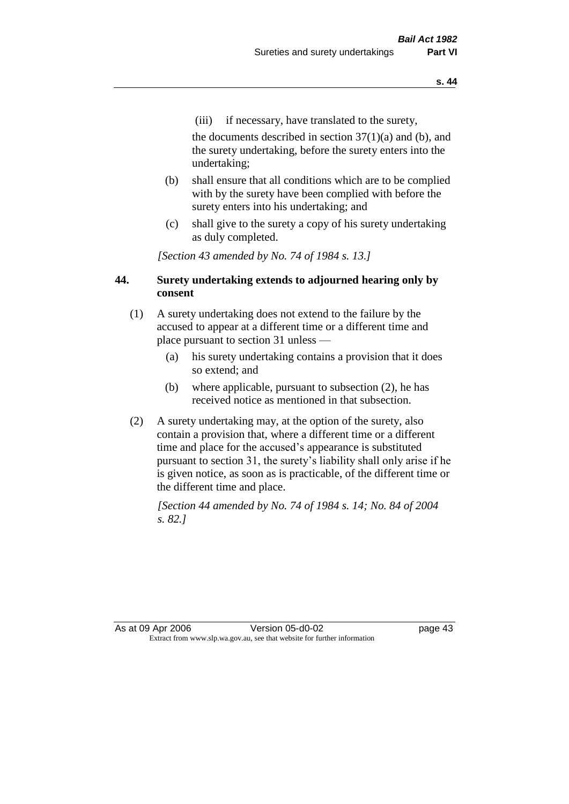(iii) if necessary, have translated to the surety,

the documents described in section  $37(1)(a)$  and (b), and the surety undertaking, before the surety enters into the undertaking;

- (b) shall ensure that all conditions which are to be complied with by the surety have been complied with before the surety enters into his undertaking; and
- (c) shall give to the surety a copy of his surety undertaking as duly completed.

*[Section 43 amended by No. 74 of 1984 s. 13.]* 

## **44. Surety undertaking extends to adjourned hearing only by consent**

- (1) A surety undertaking does not extend to the failure by the accused to appear at a different time or a different time and place pursuant to section 31 unless —
	- (a) his surety undertaking contains a provision that it does so extend; and
	- (b) where applicable, pursuant to subsection (2), he has received notice as mentioned in that subsection.
- (2) A surety undertaking may, at the option of the surety, also contain a provision that, where a different time or a different time and place for the accused's appearance is substituted pursuant to section 31, the surety's liability shall only arise if he is given notice, as soon as is practicable, of the different time or the different time and place.

*[Section 44 amended by No. 74 of 1984 s. 14; No. 84 of 2004 s. 82.]* 

As at 09 Apr 2006 Version 05-d0-02 page 43 Extract from www.slp.wa.gov.au, see that website for further information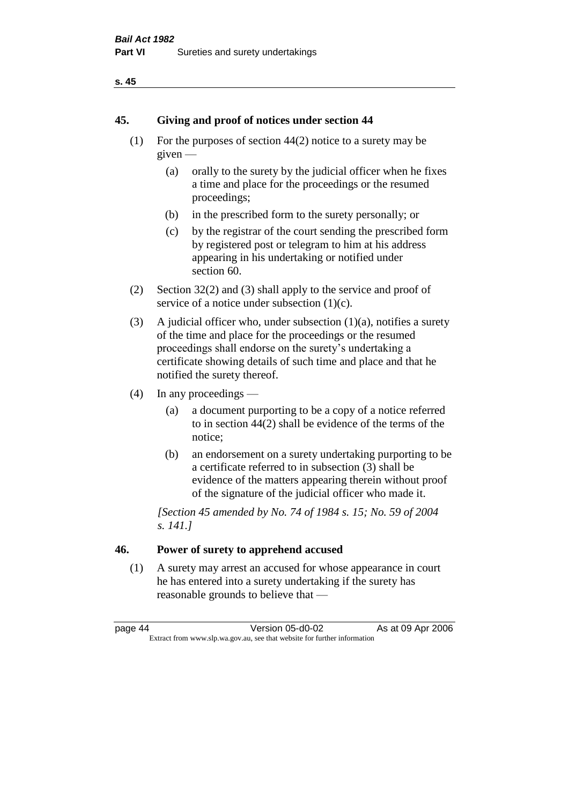### **s. 45**

## **45. Giving and proof of notices under section 44**

- (1) For the purposes of section 44(2) notice to a surety may be given —
	- (a) orally to the surety by the judicial officer when he fixes a time and place for the proceedings or the resumed proceedings;
	- (b) in the prescribed form to the surety personally; or
	- (c) by the registrar of the court sending the prescribed form by registered post or telegram to him at his address appearing in his undertaking or notified under section 60.
- (2) Section 32(2) and (3) shall apply to the service and proof of service of a notice under subsection  $(1)(c)$ .
- (3) A judicial officer who, under subsection  $(1)(a)$ , notifies a surety of the time and place for the proceedings or the resumed proceedings shall endorse on the surety's undertaking a certificate showing details of such time and place and that he notified the surety thereof.
- (4) In any proceedings
	- (a) a document purporting to be a copy of a notice referred to in section 44(2) shall be evidence of the terms of the notice;
	- (b) an endorsement on a surety undertaking purporting to be a certificate referred to in subsection (3) shall be evidence of the matters appearing therein without proof of the signature of the judicial officer who made it.

*[Section 45 amended by No. 74 of 1984 s. 15; No. 59 of 2004 s. 141.]* 

# **46. Power of surety to apprehend accused**

(1) A surety may arrest an accused for whose appearance in court he has entered into a surety undertaking if the surety has reasonable grounds to believe that —

page 44 Version 05-d0-02 As at 09 Apr 2006 Extract from www.slp.wa.gov.au, see that website for further information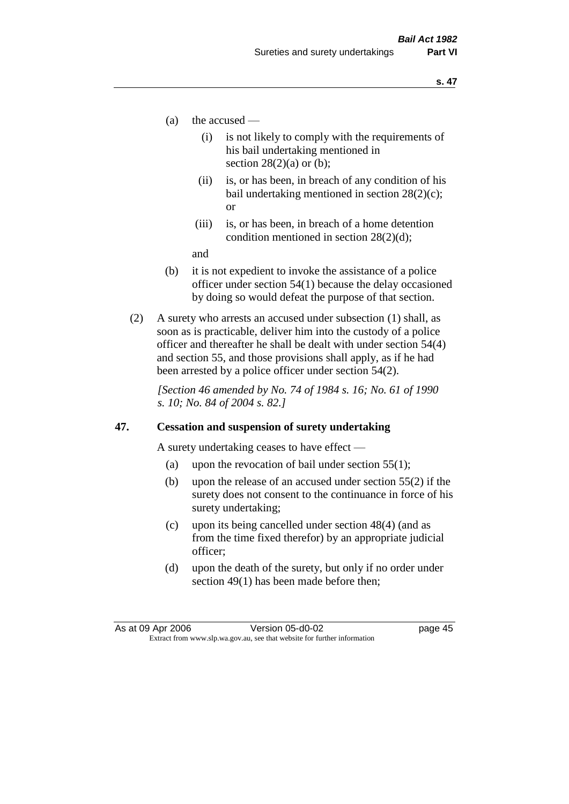- (a) the accused
	- (i) is not likely to comply with the requirements of his bail undertaking mentioned in section  $28(2)(a)$  or (b):
	- (ii) is, or has been, in breach of any condition of his bail undertaking mentioned in section 28(2)(c); or
	- (iii) is, or has been, in breach of a home detention condition mentioned in section 28(2)(d);

and

- (b) it is not expedient to invoke the assistance of a police officer under section 54(1) because the delay occasioned by doing so would defeat the purpose of that section.
- (2) A surety who arrests an accused under subsection (1) shall, as soon as is practicable, deliver him into the custody of a police officer and thereafter he shall be dealt with under section 54(4) and section 55, and those provisions shall apply, as if he had been arrested by a police officer under section 54(2).

*[Section 46 amended by No. 74 of 1984 s. 16; No. 61 of 1990 s. 10; No. 84 of 2004 s. 82.]* 

### **47. Cessation and suspension of surety undertaking**

A surety undertaking ceases to have effect —

- (a) upon the revocation of bail under section  $55(1)$ ;
- (b) upon the release of an accused under section 55(2) if the surety does not consent to the continuance in force of his surety undertaking;
- (c) upon its being cancelled under section 48(4) (and as from the time fixed therefor) by an appropriate judicial officer;
- (d) upon the death of the surety, but only if no order under section 49(1) has been made before then;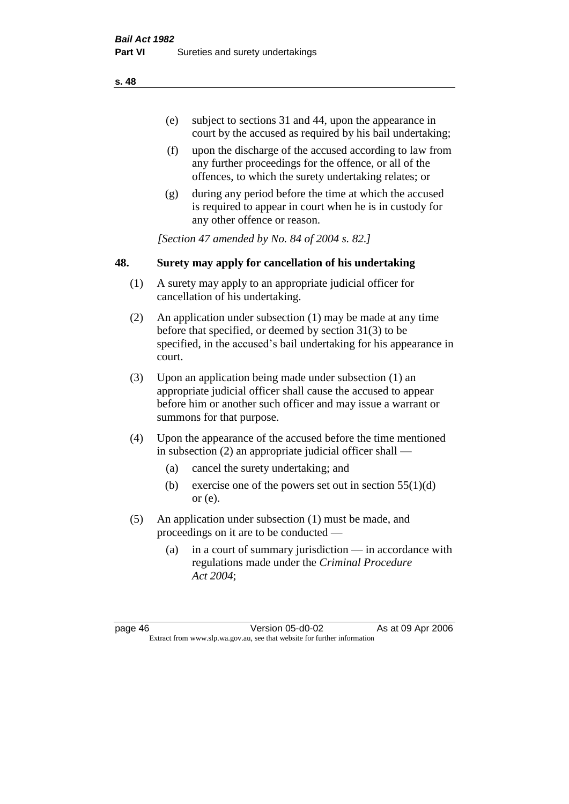- (e) subject to sections 31 and 44, upon the appearance in court by the accused as required by his bail undertaking;
- (f) upon the discharge of the accused according to law from any further proceedings for the offence, or all of the offences, to which the surety undertaking relates; or
- (g) during any period before the time at which the accused is required to appear in court when he is in custody for any other offence or reason.

*[Section 47 amended by No. 84 of 2004 s. 82.]* 

## **48. Surety may apply for cancellation of his undertaking**

- (1) A surety may apply to an appropriate judicial officer for cancellation of his undertaking.
- (2) An application under subsection (1) may be made at any time before that specified, or deemed by section 31(3) to be specified, in the accused's bail undertaking for his appearance in court.
- (3) Upon an application being made under subsection (1) an appropriate judicial officer shall cause the accused to appear before him or another such officer and may issue a warrant or summons for that purpose.
- (4) Upon the appearance of the accused before the time mentioned in subsection (2) an appropriate judicial officer shall —
	- (a) cancel the surety undertaking; and
	- (b) exercise one of the powers set out in section  $55(1)(d)$ or (e).
- (5) An application under subsection (1) must be made, and proceedings on it are to be conducted —
	- (a) in a court of summary jurisdiction in accordance with regulations made under the *Criminal Procedure Act 2004*;

page 46 Version 05-d0-02 As at 09 Apr 2006 Extract from www.slp.wa.gov.au, see that website for further information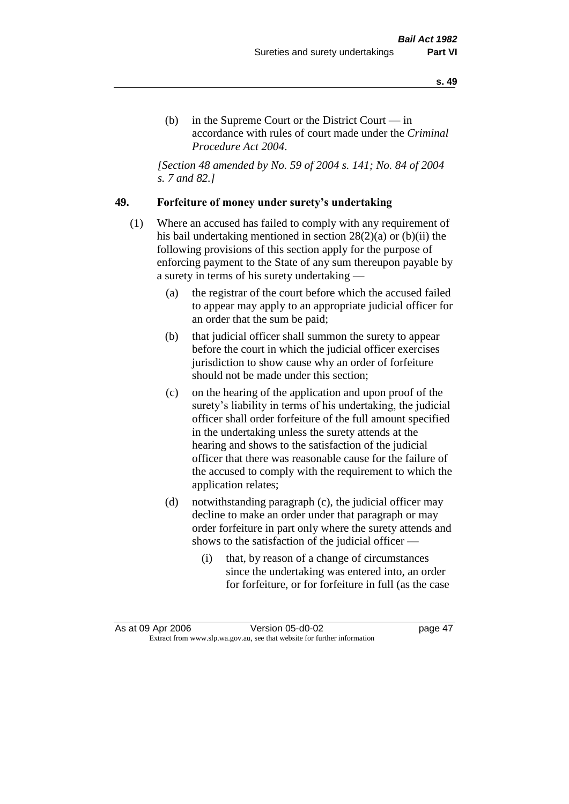(b) in the Supreme Court or the District Court  $-\text{in}$ accordance with rules of court made under the *Criminal Procedure Act 2004*.

*[Section 48 amended by No. 59 of 2004 s. 141; No. 84 of 2004 s. 7 and 82.]* 

## **49. Forfeiture of money under surety's undertaking**

- (1) Where an accused has failed to comply with any requirement of his bail undertaking mentioned in section 28(2)(a) or (b)(ii) the following provisions of this section apply for the purpose of enforcing payment to the State of any sum thereupon payable by a surety in terms of his surety undertaking —
	- (a) the registrar of the court before which the accused failed to appear may apply to an appropriate judicial officer for an order that the sum be paid;
	- (b) that judicial officer shall summon the surety to appear before the court in which the judicial officer exercises jurisdiction to show cause why an order of forfeiture should not be made under this section;
	- (c) on the hearing of the application and upon proof of the surety's liability in terms of his undertaking, the judicial officer shall order forfeiture of the full amount specified in the undertaking unless the surety attends at the hearing and shows to the satisfaction of the judicial officer that there was reasonable cause for the failure of the accused to comply with the requirement to which the application relates;
	- (d) notwithstanding paragraph (c), the judicial officer may decline to make an order under that paragraph or may order forfeiture in part only where the surety attends and shows to the satisfaction of the judicial officer —
		- (i) that, by reason of a change of circumstances since the undertaking was entered into, an order for forfeiture, or for forfeiture in full (as the case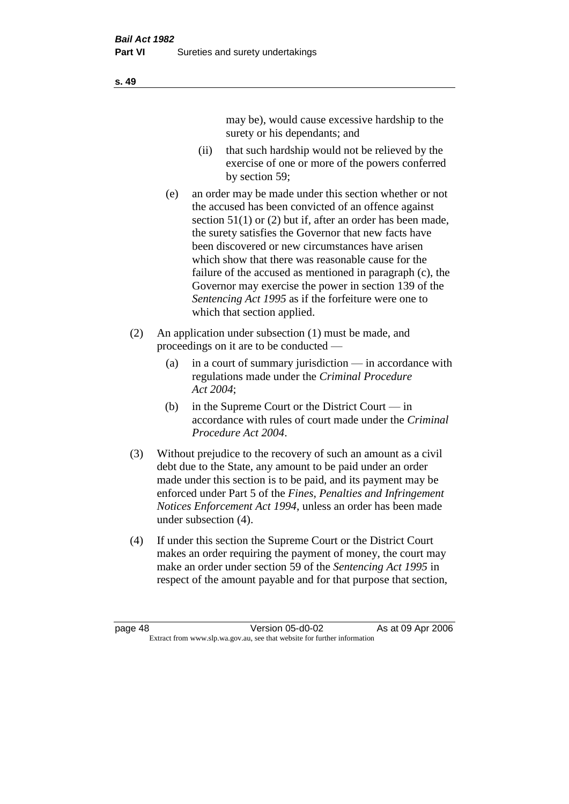may be), would cause excessive hardship to the surety or his dependants; and

- (ii) that such hardship would not be relieved by the exercise of one or more of the powers conferred by section 59;
- (e) an order may be made under this section whether or not the accused has been convicted of an offence against section 51(1) or (2) but if, after an order has been made, the surety satisfies the Governor that new facts have been discovered or new circumstances have arisen which show that there was reasonable cause for the failure of the accused as mentioned in paragraph (c), the Governor may exercise the power in section 139 of the *Sentencing Act 1995* as if the forfeiture were one to which that section applied.
- (2) An application under subsection (1) must be made, and proceedings on it are to be conducted —
	- (a) in a court of summary jurisdiction in accordance with regulations made under the *Criminal Procedure Act 2004*;
	- (b) in the Supreme Court or the District Court  $-\text{in}$ accordance with rules of court made under the *Criminal Procedure Act 2004*.
- (3) Without prejudice to the recovery of such an amount as a civil debt due to the State, any amount to be paid under an order made under this section is to be paid, and its payment may be enforced under Part 5 of the *Fines, Penalties and Infringement Notices Enforcement Act 1994*, unless an order has been made under subsection (4).
- (4) If under this section the Supreme Court or the District Court makes an order requiring the payment of money, the court may make an order under section 59 of the *Sentencing Act 1995* in respect of the amount payable and for that purpose that section,

**s. 49**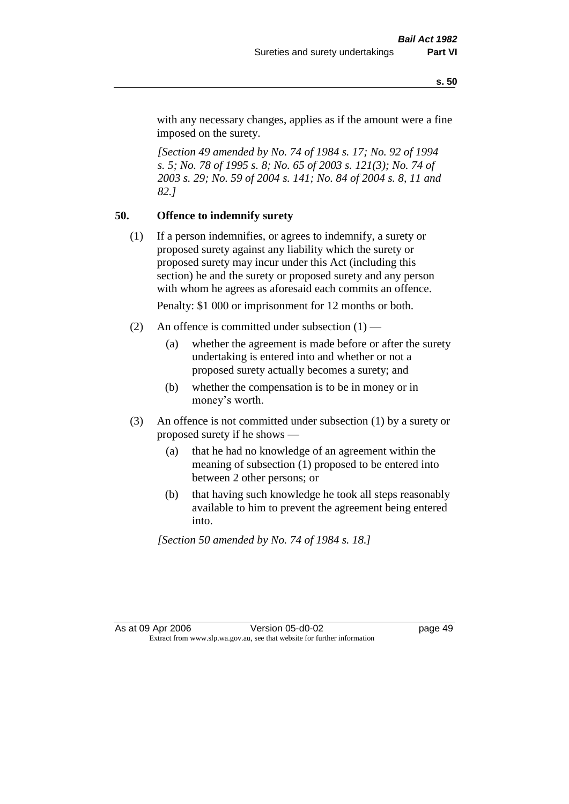with any necessary changes, applies as if the amount were a fine imposed on the surety.

*[Section 49 amended by No. 74 of 1984 s. 17; No. 92 of 1994 s. 5; No. 78 of 1995 s. 8; No. 65 of 2003 s. 121(3); No. 74 of 2003 s. 29; No. 59 of 2004 s. 141; No. 84 of 2004 s. 8, 11 and 82.]* 

## **50. Offence to indemnify surety**

(1) If a person indemnifies, or agrees to indemnify, a surety or proposed surety against any liability which the surety or proposed surety may incur under this Act (including this section) he and the surety or proposed surety and any person with whom he agrees as aforesaid each commits an offence.

Penalty: \$1 000 or imprisonment for 12 months or both.

- (2) An offence is committed under subsection  $(1)$ 
	- (a) whether the agreement is made before or after the surety undertaking is entered into and whether or not a proposed surety actually becomes a surety; and
	- (b) whether the compensation is to be in money or in money's worth.
- (3) An offence is not committed under subsection (1) by a surety or proposed surety if he shows —
	- (a) that he had no knowledge of an agreement within the meaning of subsection (1) proposed to be entered into between 2 other persons; or
	- (b) that having such knowledge he took all steps reasonably available to him to prevent the agreement being entered into.

*[Section 50 amended by No. 74 of 1984 s. 18.]*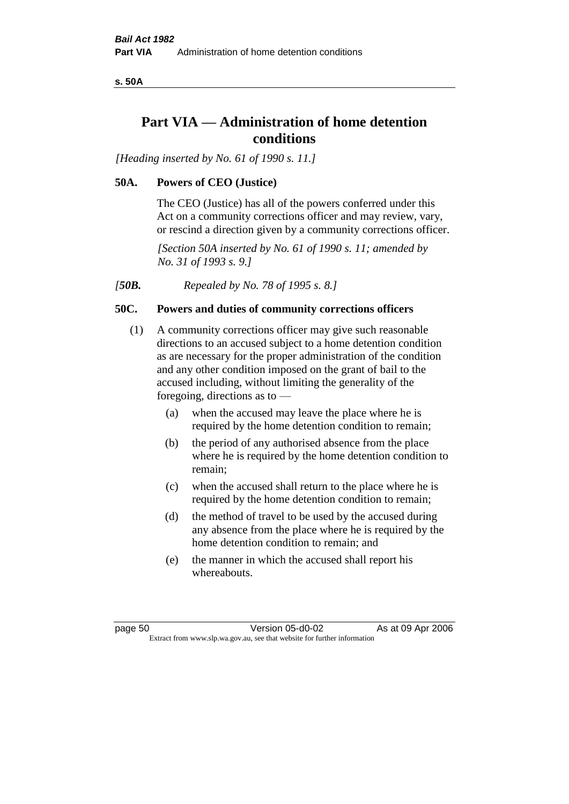**s. 50A**

# **Part VIA — Administration of home detention conditions**

*[Heading inserted by No. 61 of 1990 s. 11.]* 

## **50A. Powers of CEO (Justice)**

The CEO (Justice) has all of the powers conferred under this Act on a community corrections officer and may review, vary, or rescind a direction given by a community corrections officer.

*[Section 50A inserted by No. 61 of 1990 s. 11; amended by No. 31 of 1993 s. 9.]* 

*[50B. Repealed by No. 78 of 1995 s. 8.]* 

## **50C. Powers and duties of community corrections officers**

- (1) A community corrections officer may give such reasonable directions to an accused subject to a home detention condition as are necessary for the proper administration of the condition and any other condition imposed on the grant of bail to the accused including, without limiting the generality of the foregoing, directions as to —
	- (a) when the accused may leave the place where he is required by the home detention condition to remain;
	- (b) the period of any authorised absence from the place where he is required by the home detention condition to remain;
	- (c) when the accused shall return to the place where he is required by the home detention condition to remain;
	- (d) the method of travel to be used by the accused during any absence from the place where he is required by the home detention condition to remain; and
	- (e) the manner in which the accused shall report his whereabouts.

page 50 Version 05-d0-02 As at 09 Apr 2006 Extract from www.slp.wa.gov.au, see that website for further information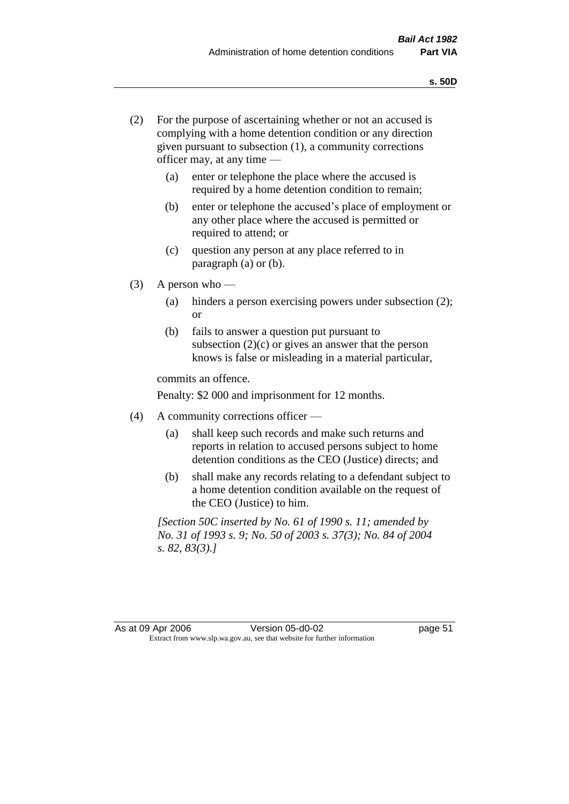- (2) For the purpose of ascertaining whether or not an accused is complying with a home detention condition or any direction given pursuant to subsection (1), a community corrections officer may, at any time —
	- (a) enter or telephone the place where the accused is required by a home detention condition to remain;
	- (b) enter or telephone the accused's place of employment or any other place where the accused is permitted or required to attend; or
	- (c) question any person at any place referred to in paragraph (a) or (b).
- $(3)$  A person who
	- (a) hinders a person exercising powers under subsection (2); or
	- (b) fails to answer a question put pursuant to subsection  $(2)(c)$  or gives an answer that the person knows is false or misleading in a material particular,

commits an offence.

Penalty: \$2 000 and imprisonment for 12 months.

- (4) A community corrections officer
	- (a) shall keep such records and make such returns and reports in relation to accused persons subject to home detention conditions as the CEO (Justice) directs; and
	- (b) shall make any records relating to a defendant subject to a home detention condition available on the request of the CEO (Justice) to him.

*[Section 50C inserted by No. 61 of 1990 s. 11; amended by No. 31 of 1993 s. 9; No. 50 of 2003 s. 37(3); No. 84 of 2004 s. 82, 83(3).]*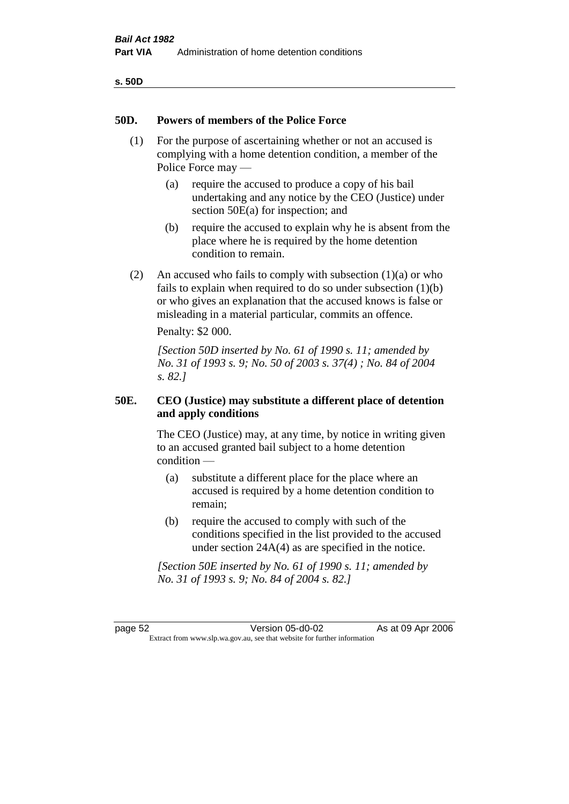| v<br>۰,<br>×<br>۰.<br>× |  |
|-------------------------|--|
|-------------------------|--|

### **50D. Powers of members of the Police Force**

- (1) For the purpose of ascertaining whether or not an accused is complying with a home detention condition, a member of the Police Force may —
	- (a) require the accused to produce a copy of his bail undertaking and any notice by the CEO (Justice) under section 50E(a) for inspection; and
	- (b) require the accused to explain why he is absent from the place where he is required by the home detention condition to remain.
- (2) An accused who fails to comply with subsection  $(1)(a)$  or who fails to explain when required to do so under subsection (1)(b) or who gives an explanation that the accused knows is false or misleading in a material particular, commits an offence.

Penalty: \$2 000.

*[Section 50D inserted by No. 61 of 1990 s. 11; amended by No. 31 of 1993 s. 9; No. 50 of 2003 s. 37(4) ; No. 84 of 2004 s. 82.]* 

## **50E. CEO (Justice) may substitute a different place of detention and apply conditions**

The CEO (Justice) may, at any time, by notice in writing given to an accused granted bail subject to a home detention condition —

- (a) substitute a different place for the place where an accused is required by a home detention condition to remain;
- (b) require the accused to comply with such of the conditions specified in the list provided to the accused under section 24A(4) as are specified in the notice.

*[Section 50E inserted by No. 61 of 1990 s. 11; amended by No. 31 of 1993 s. 9; No. 84 of 2004 s. 82.]* 

page 52 Version 05-d0-02 As at 09 Apr 2006 Extract from www.slp.wa.gov.au, see that website for further information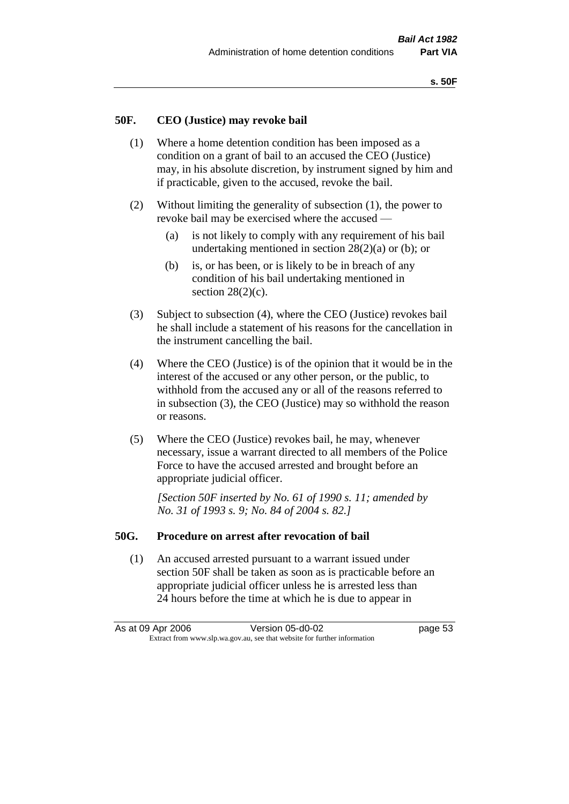### **50F. CEO (Justice) may revoke bail**

- (1) Where a home detention condition has been imposed as a condition on a grant of bail to an accused the CEO (Justice) may, in his absolute discretion, by instrument signed by him and if practicable, given to the accused, revoke the bail.
- (2) Without limiting the generality of subsection (1), the power to revoke bail may be exercised where the accused —
	- (a) is not likely to comply with any requirement of his bail undertaking mentioned in section  $28(2)(a)$  or (b); or
	- (b) is, or has been, or is likely to be in breach of any condition of his bail undertaking mentioned in section  $28(2)(c)$ .
- (3) Subject to subsection (4), where the CEO (Justice) revokes bail he shall include a statement of his reasons for the cancellation in the instrument cancelling the bail.
- (4) Where the CEO (Justice) is of the opinion that it would be in the interest of the accused or any other person, or the public, to withhold from the accused any or all of the reasons referred to in subsection (3), the CEO (Justice) may so withhold the reason or reasons.
- (5) Where the CEO (Justice) revokes bail, he may, whenever necessary, issue a warrant directed to all members of the Police Force to have the accused arrested and brought before an appropriate judicial officer.

*[Section 50F inserted by No. 61 of 1990 s. 11; amended by No. 31 of 1993 s. 9; No. 84 of 2004 s. 82.]* 

#### **50G. Procedure on arrest after revocation of bail**

(1) An accused arrested pursuant to a warrant issued under section 50F shall be taken as soon as is practicable before an appropriate judicial officer unless he is arrested less than 24 hours before the time at which he is due to appear in

As at 09 Apr 2006 Version 05-d0-02 Page 53 Extract from www.slp.wa.gov.au, see that website for further information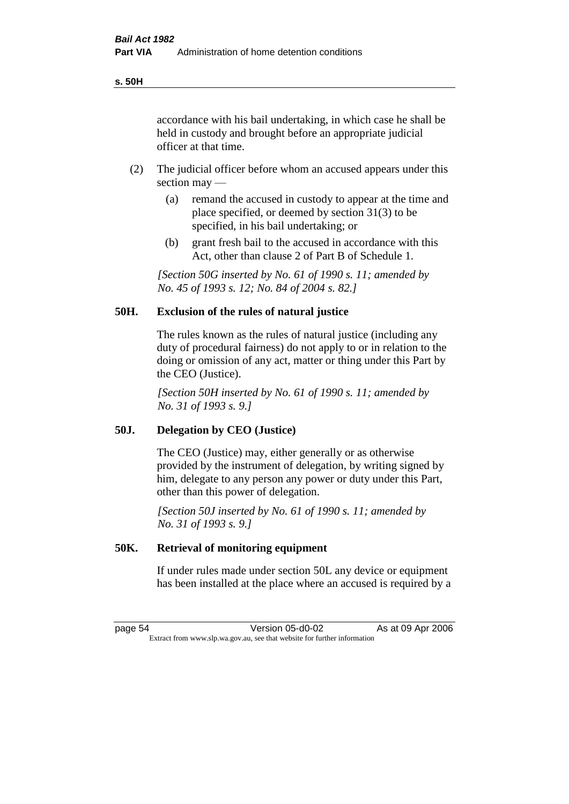accordance with his bail undertaking, in which case he shall be held in custody and brought before an appropriate judicial officer at that time.

- (2) The judicial officer before whom an accused appears under this section may —
	- (a) remand the accused in custody to appear at the time and place specified, or deemed by section 31(3) to be specified, in his bail undertaking; or
	- (b) grant fresh bail to the accused in accordance with this Act, other than clause 2 of Part B of Schedule 1.

*[Section 50G inserted by No. 61 of 1990 s. 11; amended by No. 45 of 1993 s. 12; No. 84 of 2004 s. 82.]* 

## **50H. Exclusion of the rules of natural justice**

The rules known as the rules of natural justice (including any duty of procedural fairness) do not apply to or in relation to the doing or omission of any act, matter or thing under this Part by the CEO (Justice).

*[Section 50H inserted by No. 61 of 1990 s. 11; amended by No. 31 of 1993 s. 9.]* 

### **50J. Delegation by CEO (Justice)**

The CEO (Justice) may, either generally or as otherwise provided by the instrument of delegation, by writing signed by him, delegate to any person any power or duty under this Part, other than this power of delegation.

*[Section 50J inserted by No. 61 of 1990 s. 11; amended by No. 31 of 1993 s. 9.]* 

### **50K. Retrieval of monitoring equipment**

If under rules made under section 50L any device or equipment has been installed at the place where an accused is required by a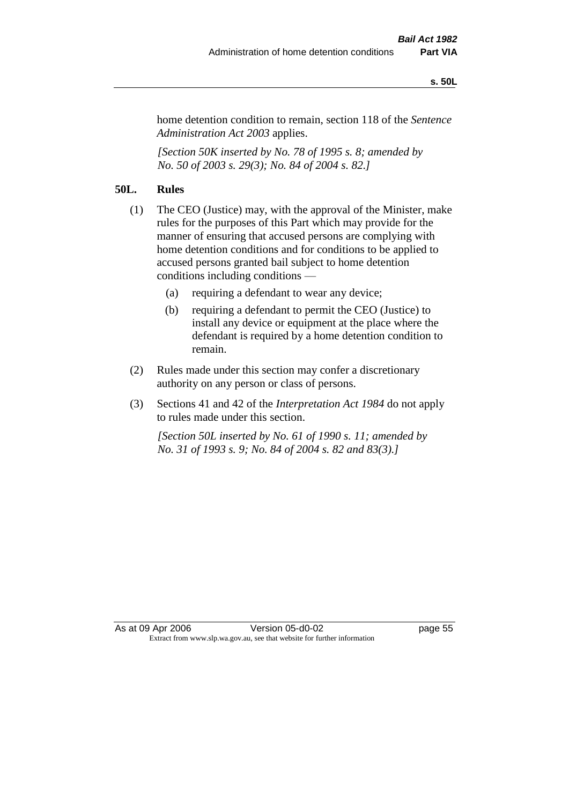#### **s. 50L**

home detention condition to remain, section 118 of the *Sentence Administration Act 2003* applies.

*[Section 50K inserted by No. 78 of 1995 s. 8; amended by No. 50 of 2003 s. 29(3); No. 84 of 2004 s. 82.]* 

## **50L. Rules**

- (1) The CEO (Justice) may, with the approval of the Minister, make rules for the purposes of this Part which may provide for the manner of ensuring that accused persons are complying with home detention conditions and for conditions to be applied to accused persons granted bail subject to home detention conditions including conditions —
	- (a) requiring a defendant to wear any device;
	- (b) requiring a defendant to permit the CEO (Justice) to install any device or equipment at the place where the defendant is required by a home detention condition to remain.
- (2) Rules made under this section may confer a discretionary authority on any person or class of persons.
- (3) Sections 41 and 42 of the *Interpretation Act 1984* do not apply to rules made under this section.

*[Section 50L inserted by No. 61 of 1990 s. 11; amended by No. 31 of 1993 s. 9; No. 84 of 2004 s. 82 and 83(3).]*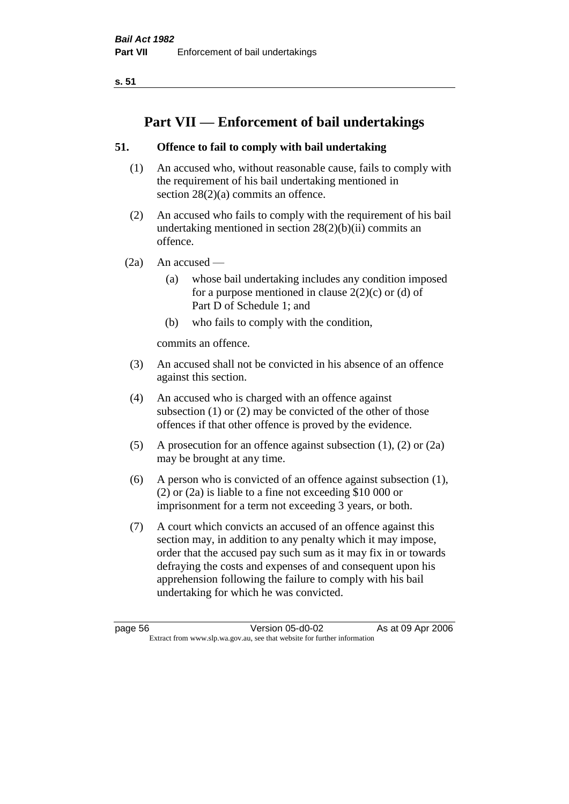**s. 51**

# **Part VII — Enforcement of bail undertakings**

## **51. Offence to fail to comply with bail undertaking**

- (1) An accused who, without reasonable cause, fails to comply with the requirement of his bail undertaking mentioned in section 28(2)(a) commits an offence.
- (2) An accused who fails to comply with the requirement of his bail undertaking mentioned in section  $28(2)(b)(ii)$  commits an offence.
- $(2a)$  An accused
	- (a) whose bail undertaking includes any condition imposed for a purpose mentioned in clause  $2(2)(c)$  or (d) of Part D of Schedule 1; and
	- (b) who fails to comply with the condition,

commits an offence.

- (3) An accused shall not be convicted in his absence of an offence against this section.
- (4) An accused who is charged with an offence against subsection (1) or (2) may be convicted of the other of those offences if that other offence is proved by the evidence.
- (5) A prosecution for an offence against subsection (1), (2) or (2a) may be brought at any time.
- (6) A person who is convicted of an offence against subsection (1), (2) or (2a) is liable to a fine not exceeding \$10 000 or imprisonment for a term not exceeding 3 years, or both.
- (7) A court which convicts an accused of an offence against this section may, in addition to any penalty which it may impose, order that the accused pay such sum as it may fix in or towards defraying the costs and expenses of and consequent upon his apprehension following the failure to comply with his bail undertaking for which he was convicted.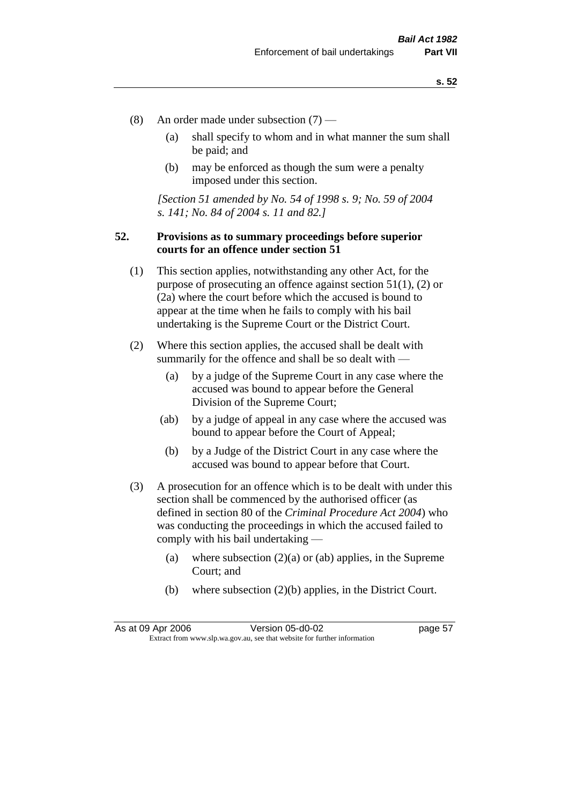- (8) An order made under subsection (7)
	- (a) shall specify to whom and in what manner the sum shall be paid; and
	- (b) may be enforced as though the sum were a penalty imposed under this section.

*[Section 51 amended by No. 54 of 1998 s. 9; No. 59 of 2004 s. 141; No. 84 of 2004 s. 11 and 82.]*

## **52. Provisions as to summary proceedings before superior courts for an offence under section 51**

- (1) This section applies, notwithstanding any other Act, for the purpose of prosecuting an offence against section 51(1), (2) or (2a) where the court before which the accused is bound to appear at the time when he fails to comply with his bail undertaking is the Supreme Court or the District Court.
- (2) Where this section applies, the accused shall be dealt with summarily for the offence and shall be so dealt with —
	- (a) by a judge of the Supreme Court in any case where the accused was bound to appear before the General Division of the Supreme Court;
	- (ab) by a judge of appeal in any case where the accused was bound to appear before the Court of Appeal;
	- (b) by a Judge of the District Court in any case where the accused was bound to appear before that Court.
- (3) A prosecution for an offence which is to be dealt with under this section shall be commenced by the authorised officer (as defined in section 80 of the *Criminal Procedure Act 2004*) who was conducting the proceedings in which the accused failed to comply with his bail undertaking —
	- (a) where subsection  $(2)(a)$  or (ab) applies, in the Supreme Court; and
	- (b) where subsection (2)(b) applies, in the District Court.

As at 09 Apr 2006 Version 05-d0-02 Page 57 Extract from www.slp.wa.gov.au, see that website for further information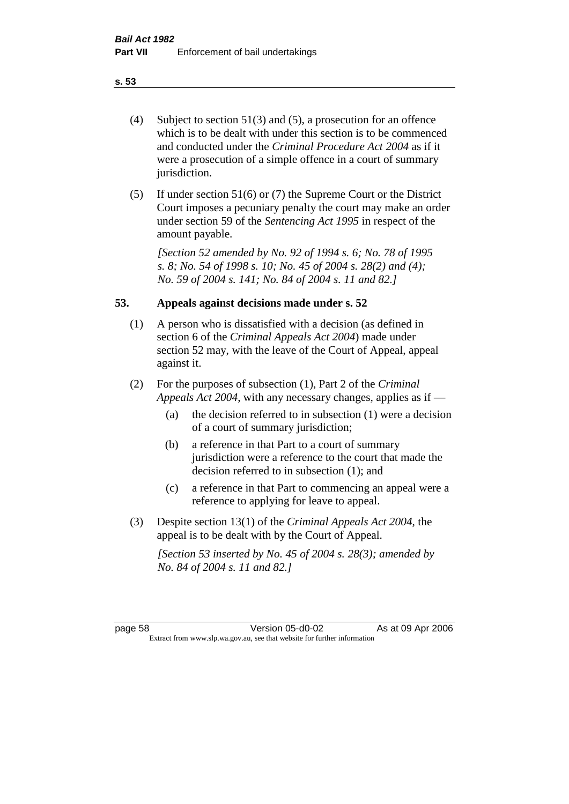- (4) Subject to section 51(3) and (5), a prosecution for an offence which is to be dealt with under this section is to be commenced and conducted under the *Criminal Procedure Act 2004* as if it were a prosecution of a simple offence in a court of summary jurisdiction.
- (5) If under section 51(6) or (7) the Supreme Court or the District Court imposes a pecuniary penalty the court may make an order under section 59 of the *Sentencing Act 1995* in respect of the amount payable.

*[Section 52 amended by No. 92 of 1994 s. 6; No. 78 of 1995 s. 8; No. 54 of 1998 s. 10; No. 45 of 2004 s. 28(2) and (4); No. 59 of 2004 s. 141; No. 84 of 2004 s. 11 and 82.]* 

## **53. Appeals against decisions made under s. 52**

- (1) A person who is dissatisfied with a decision (as defined in section 6 of the *Criminal Appeals Act 2004*) made under section 52 may, with the leave of the Court of Appeal, appeal against it.
- (2) For the purposes of subsection (1), Part 2 of the *Criminal Appeals Act 2004*, with any necessary changes, applies as if —
	- (a) the decision referred to in subsection (1) were a decision of a court of summary jurisdiction;
	- (b) a reference in that Part to a court of summary jurisdiction were a reference to the court that made the decision referred to in subsection (1); and
	- (c) a reference in that Part to commencing an appeal were a reference to applying for leave to appeal.
- (3) Despite section 13(1) of the *Criminal Appeals Act 2004*, the appeal is to be dealt with by the Court of Appeal.

*[Section 53 inserted by No. 45 of 2004 s. 28(3); amended by No. 84 of 2004 s. 11 and 82.]*

page 58 Version 05-d0-02 As at 09 Apr 2006 Extract from www.slp.wa.gov.au, see that website for further information

#### **s. 53**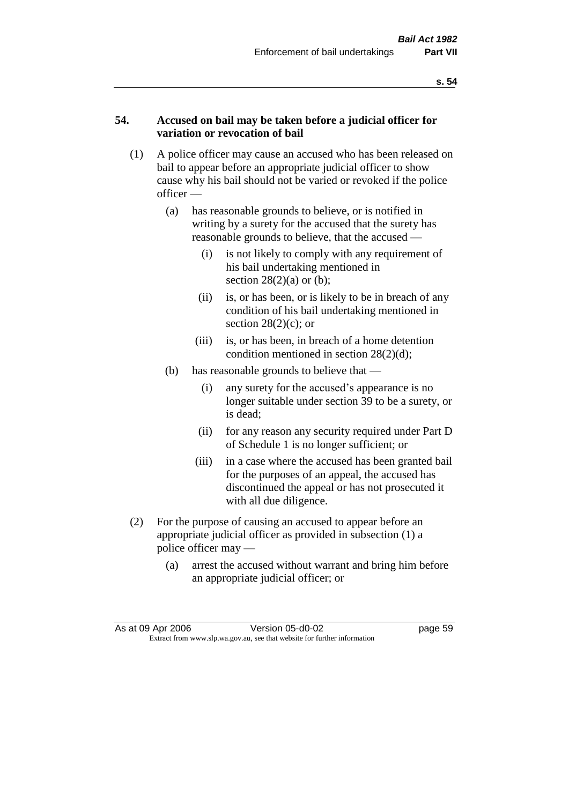## **54. Accused on bail may be taken before a judicial officer for variation or revocation of bail**

- (1) A police officer may cause an accused who has been released on bail to appear before an appropriate judicial officer to show cause why his bail should not be varied or revoked if the police officer —
	- (a) has reasonable grounds to believe, or is notified in writing by a surety for the accused that the surety has reasonable grounds to believe, that the accused —
		- (i) is not likely to comply with any requirement of his bail undertaking mentioned in section  $28(2)(a)$  or (b);
		- (ii) is, or has been, or is likely to be in breach of any condition of his bail undertaking mentioned in section  $28(2)(c)$ ; or
		- (iii) is, or has been, in breach of a home detention condition mentioned in section 28(2)(d);
	- (b) has reasonable grounds to believe that
		- (i) any surety for the accused's appearance is no longer suitable under section 39 to be a surety, or is dead;
		- (ii) for any reason any security required under Part D of Schedule 1 is no longer sufficient; or
		- (iii) in a case where the accused has been granted bail for the purposes of an appeal, the accused has discontinued the appeal or has not prosecuted it with all due diligence.
- (2) For the purpose of causing an accused to appear before an appropriate judicial officer as provided in subsection (1) a police officer may —
	- (a) arrest the accused without warrant and bring him before an appropriate judicial officer; or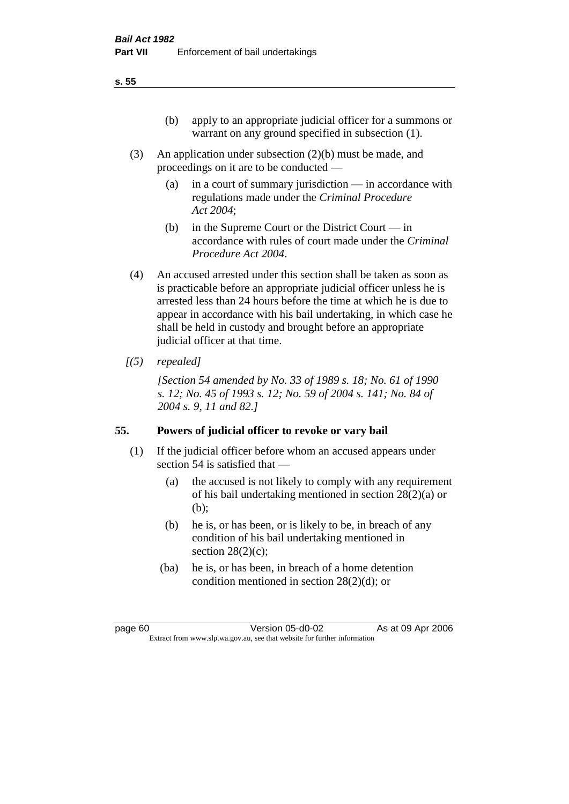- (3) An application under subsection (2)(b) must be made, and proceedings on it are to be conducted —
	- (a) in a court of summary jurisdiction in accordance with regulations made under the *Criminal Procedure Act 2004*;
	- (b) in the Supreme Court or the District Court  $-\text{in}$ accordance with rules of court made under the *Criminal Procedure Act 2004*.
- (4) An accused arrested under this section shall be taken as soon as is practicable before an appropriate judicial officer unless he is arrested less than 24 hours before the time at which he is due to appear in accordance with his bail undertaking, in which case he shall be held in custody and brought before an appropriate judicial officer at that time.
- *[(5) repealed]*

*[Section 54 amended by No. 33 of 1989 s. 18; No. 61 of 1990 s. 12; No. 45 of 1993 s. 12; No. 59 of 2004 s. 141; No. 84 of 2004 s. 9, 11 and 82.]* 

# **55. Powers of judicial officer to revoke or vary bail**

- (1) If the judicial officer before whom an accused appears under section 54 is satisfied that —
	- (a) the accused is not likely to comply with any requirement of his bail undertaking mentioned in section 28(2)(a) or (b);
	- (b) he is, or has been, or is likely to be, in breach of any condition of his bail undertaking mentioned in section  $28(2)(c)$ ;
	- (ba) he is, or has been, in breach of a home detention condition mentioned in section 28(2)(d); or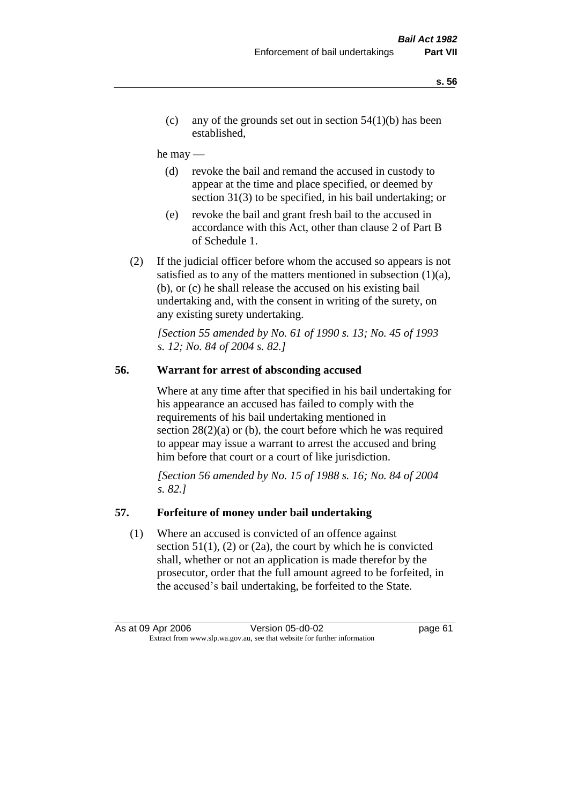(c) any of the grounds set out in section  $54(1)(b)$  has been established,

### he may —

- (d) revoke the bail and remand the accused in custody to appear at the time and place specified, or deemed by section 31(3) to be specified, in his bail undertaking; or
- (e) revoke the bail and grant fresh bail to the accused in accordance with this Act, other than clause 2 of Part B of Schedule 1.
- (2) If the judicial officer before whom the accused so appears is not satisfied as to any of the matters mentioned in subsection  $(1)(a)$ , (b), or (c) he shall release the accused on his existing bail undertaking and, with the consent in writing of the surety, on any existing surety undertaking.

*[Section 55 amended by No. 61 of 1990 s. 13; No. 45 of 1993 s. 12; No. 84 of 2004 s. 82.]* 

## **56. Warrant for arrest of absconding accused**

Where at any time after that specified in his bail undertaking for his appearance an accused has failed to comply with the requirements of his bail undertaking mentioned in section  $28(2)(a)$  or (b), the court before which he was required to appear may issue a warrant to arrest the accused and bring him before that court or a court of like jurisdiction.

*[Section 56 amended by No. 15 of 1988 s. 16; No. 84 of 2004 s. 82.]* 

### **57. Forfeiture of money under bail undertaking**

(1) Where an accused is convicted of an offence against section  $51(1)$ ,  $(2)$  or  $(2a)$ , the court by which he is convicted shall, whether or not an application is made therefor by the prosecutor, order that the full amount agreed to be forfeited, in the accused's bail undertaking, be forfeited to the State.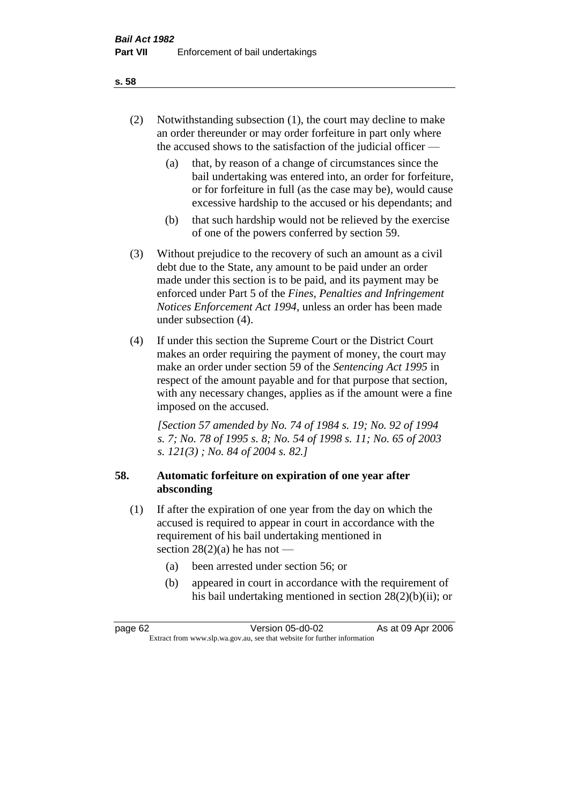- (2) Notwithstanding subsection (1), the court may decline to make an order thereunder or may order forfeiture in part only where the accused shows to the satisfaction of the judicial officer —
	- (a) that, by reason of a change of circumstances since the bail undertaking was entered into, an order for forfeiture, or for forfeiture in full (as the case may be), would cause excessive hardship to the accused or his dependants; and
	- (b) that such hardship would not be relieved by the exercise of one of the powers conferred by section 59.
- (3) Without prejudice to the recovery of such an amount as a civil debt due to the State, any amount to be paid under an order made under this section is to be paid, and its payment may be enforced under Part 5 of the *Fines, Penalties and Infringement Notices Enforcement Act 1994*, unless an order has been made under subsection (4).
- (4) If under this section the Supreme Court or the District Court makes an order requiring the payment of money, the court may make an order under section 59 of the *Sentencing Act 1995* in respect of the amount payable and for that purpose that section, with any necessary changes, applies as if the amount were a fine imposed on the accused.

*[Section 57 amended by No. 74 of 1984 s. 19; No. 92 of 1994 s. 7; No. 78 of 1995 s. 8; No. 54 of 1998 s. 11; No. 65 of 2003 s. 121(3) ; No. 84 of 2004 s. 82.]* 

## **58. Automatic forfeiture on expiration of one year after absconding**

- (1) If after the expiration of one year from the day on which the accused is required to appear in court in accordance with the requirement of his bail undertaking mentioned in section  $28(2)(a)$  he has not —
	- (a) been arrested under section 56; or
	- (b) appeared in court in accordance with the requirement of his bail undertaking mentioned in section 28(2)(b)(ii); or

| page 62 | Version 05-d0-02                                                         | As at 09 Apr 2006 |
|---------|--------------------------------------------------------------------------|-------------------|
|         | Extract from www.slp.wa.gov.au, see that website for further information |                   |

### **s. 58**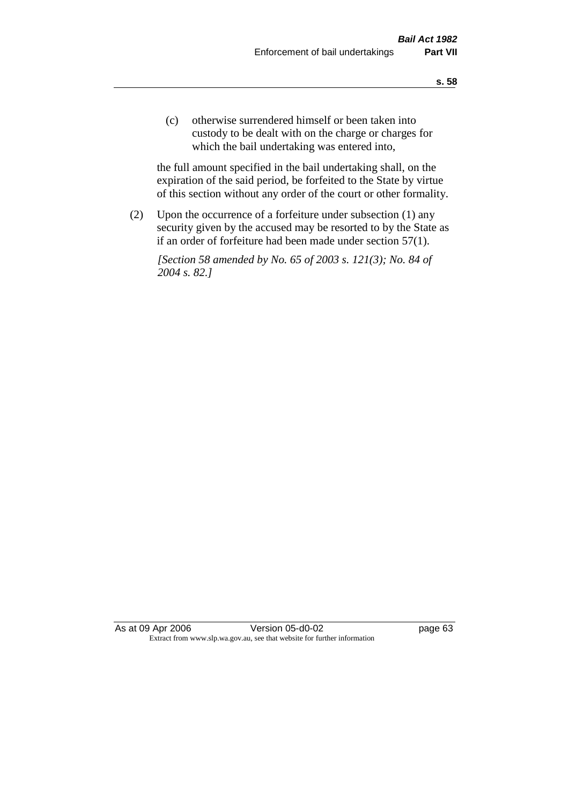(c) otherwise surrendered himself or been taken into custody to be dealt with on the charge or charges for which the bail undertaking was entered into,

the full amount specified in the bail undertaking shall, on the expiration of the said period, be forfeited to the State by virtue of this section without any order of the court or other formality.

(2) Upon the occurrence of a forfeiture under subsection (1) any security given by the accused may be resorted to by the State as if an order of forfeiture had been made under section 57(1).

*[Section 58 amended by No. 65 of 2003 s. 121(3); No. 84 of 2004 s. 82.]*

As at 09 Apr 2006 Version 05-d0-02 Page 63 Extract from www.slp.wa.gov.au, see that website for further information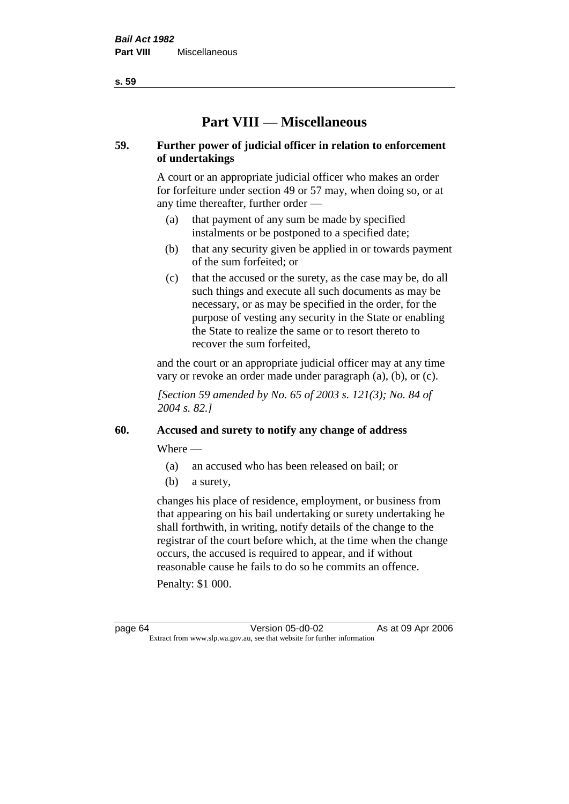**s. 59**

# **Part VIII — Miscellaneous**

## **59. Further power of judicial officer in relation to enforcement of undertakings**

A court or an appropriate judicial officer who makes an order for forfeiture under section 49 or 57 may, when doing so, or at any time thereafter, further order —

- (a) that payment of any sum be made by specified instalments or be postponed to a specified date;
- (b) that any security given be applied in or towards payment of the sum forfeited; or
- (c) that the accused or the surety, as the case may be, do all such things and execute all such documents as may be necessary, or as may be specified in the order, for the purpose of vesting any security in the State or enabling the State to realize the same or to resort thereto to recover the sum forfeited,

and the court or an appropriate judicial officer may at any time vary or revoke an order made under paragraph (a), (b), or (c).

*[Section 59 amended by No. 65 of 2003 s. 121(3); No. 84 of 2004 s. 82.]*

# **60. Accused and surety to notify any change of address**

Where —

- (a) an accused who has been released on bail; or
- (b) a surety,

changes his place of residence, employment, or business from that appearing on his bail undertaking or surety undertaking he shall forthwith, in writing, notify details of the change to the registrar of the court before which, at the time when the change occurs, the accused is required to appear, and if without reasonable cause he fails to do so he commits an offence.

Penalty: \$1 000.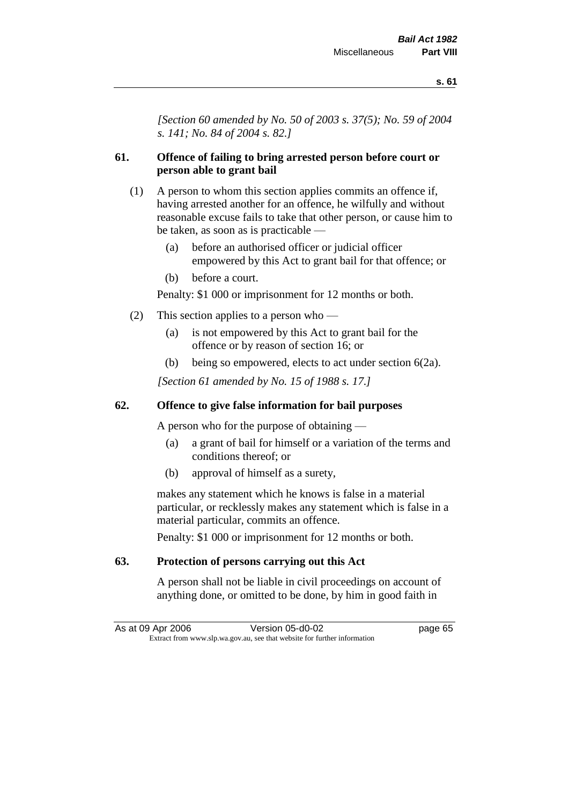*[Section 60 amended by No. 50 of 2003 s. 37(5); No. 59 of 2004 s. 141; No. 84 of 2004 s. 82.]*

# **61. Offence of failing to bring arrested person before court or person able to grant bail**

- (1) A person to whom this section applies commits an offence if, having arrested another for an offence, he wilfully and without reasonable excuse fails to take that other person, or cause him to be taken, as soon as is practicable —
	- (a) before an authorised officer or judicial officer empowered by this Act to grant bail for that offence; or
	- (b) before a court.

Penalty: \$1 000 or imprisonment for 12 months or both.

- (2) This section applies to a person who
	- (a) is not empowered by this Act to grant bail for the offence or by reason of section 16; or
	- (b) being so empowered, elects to act under section 6(2a).

*[Section 61 amended by No. 15 of 1988 s. 17.]* 

# **62. Offence to give false information for bail purposes**

A person who for the purpose of obtaining —

- (a) a grant of bail for himself or a variation of the terms and conditions thereof; or
- (b) approval of himself as a surety,

makes any statement which he knows is false in a material particular, or recklessly makes any statement which is false in a material particular, commits an offence.

Penalty: \$1 000 or imprisonment for 12 months or both.

# **63. Protection of persons carrying out this Act**

A person shall not be liable in civil proceedings on account of anything done, or omitted to be done, by him in good faith in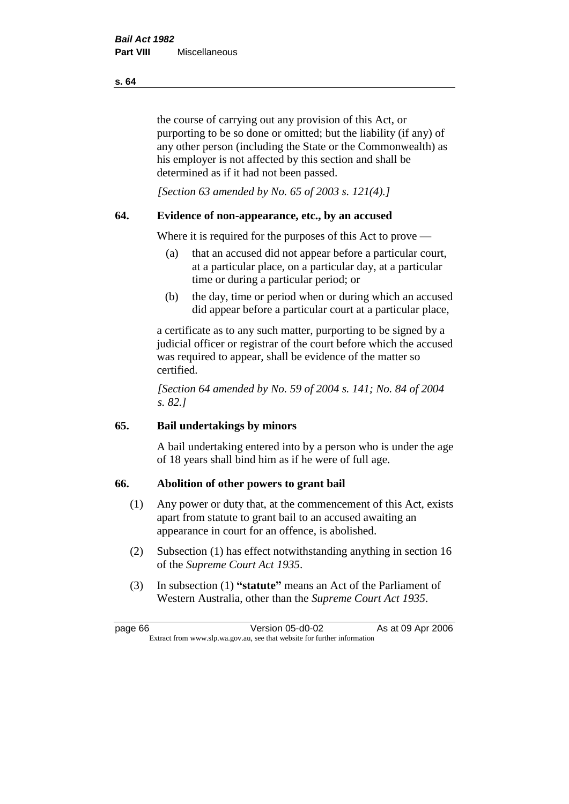the course of carrying out any provision of this Act, or purporting to be so done or omitted; but the liability (if any) of any other person (including the State or the Commonwealth) as his employer is not affected by this section and shall be determined as if it had not been passed.

*[Section 63 amended by No. 65 of 2003 s. 121(4).]*

## **64. Evidence of non-appearance, etc., by an accused**

Where it is required for the purposes of this Act to prove —

- (a) that an accused did not appear before a particular court, at a particular place, on a particular day, at a particular time or during a particular period; or
- (b) the day, time or period when or during which an accused did appear before a particular court at a particular place,

a certificate as to any such matter, purporting to be signed by a judicial officer or registrar of the court before which the accused was required to appear, shall be evidence of the matter so certified.

*[Section 64 amended by No. 59 of 2004 s. 141; No. 84 of 2004 s. 82.]* 

# **65. Bail undertakings by minors**

A bail undertaking entered into by a person who is under the age of 18 years shall bind him as if he were of full age.

## **66. Abolition of other powers to grant bail**

- (1) Any power or duty that, at the commencement of this Act, exists apart from statute to grant bail to an accused awaiting an appearance in court for an offence, is abolished.
- (2) Subsection (1) has effect notwithstanding anything in section 16 of the *Supreme Court Act 1935*.
- (3) In subsection (1) **"statute"** means an Act of the Parliament of Western Australia, other than the *Supreme Court Act 1935*.

page 66 Version 05-d0-02 As at 09 Apr 2006 Extract from www.slp.wa.gov.au, see that website for further information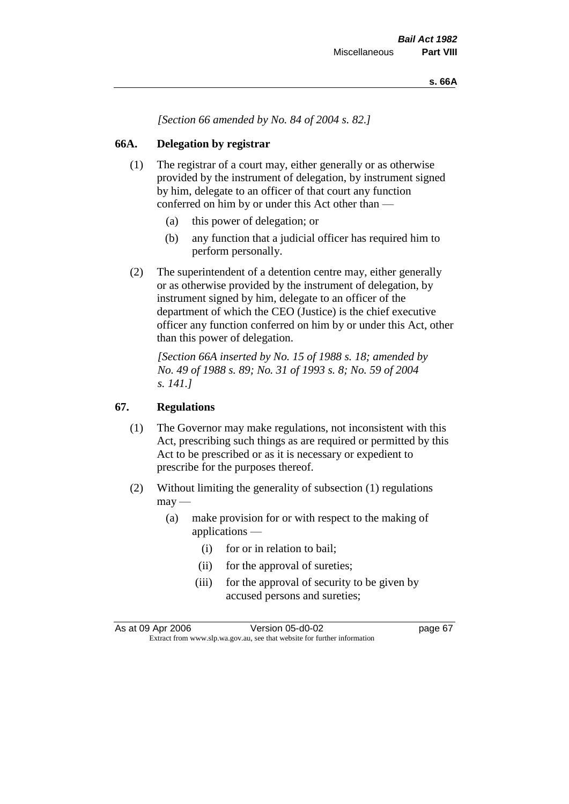*[Section 66 amended by No. 84 of 2004 s. 82.]*

# **66A. Delegation by registrar**

- (1) The registrar of a court may, either generally or as otherwise provided by the instrument of delegation, by instrument signed by him, delegate to an officer of that court any function conferred on him by or under this Act other than —
	- (a) this power of delegation; or
	- (b) any function that a judicial officer has required him to perform personally.
- (2) The superintendent of a detention centre may, either generally or as otherwise provided by the instrument of delegation, by instrument signed by him, delegate to an officer of the department of which the CEO (Justice) is the chief executive officer any function conferred on him by or under this Act, other than this power of delegation.

*[Section 66A inserted by No. 15 of 1988 s. 18; amended by No. 49 of 1988 s. 89; No. 31 of 1993 s. 8; No. 59 of 2004 s. 141.]* 

# **67. Regulations**

- (1) The Governor may make regulations, not inconsistent with this Act, prescribing such things as are required or permitted by this Act to be prescribed or as it is necessary or expedient to prescribe for the purposes thereof.
- (2) Without limiting the generality of subsection (1) regulations  $\text{max}$  —
	- (a) make provision for or with respect to the making of applications —
		- (i) for or in relation to bail;
		- (ii) for the approval of sureties;
		- (iii) for the approval of security to be given by accused persons and sureties;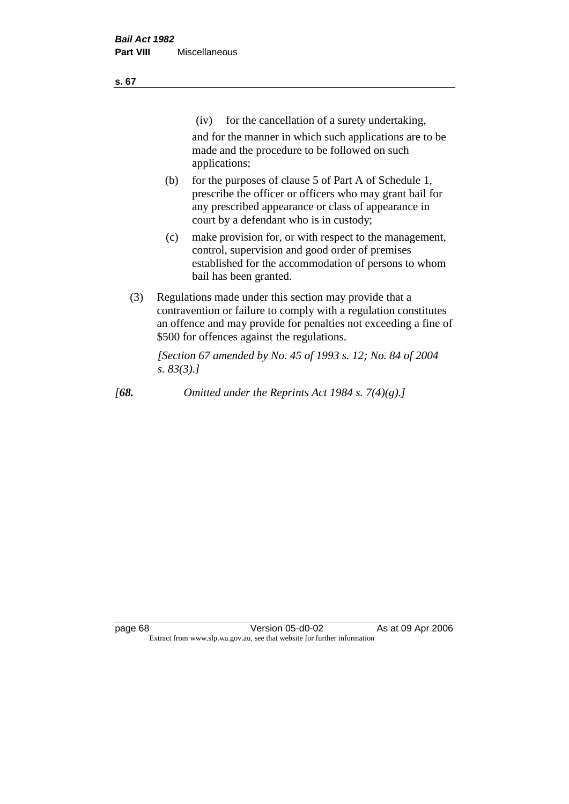| ×<br>v | ۰. |
|--------|----|
|        |    |

(iv) for the cancellation of a surety undertaking,

and for the manner in which such applications are to be made and the procedure to be followed on such applications;

- (b) for the purposes of clause 5 of Part A of Schedule 1, prescribe the officer or officers who may grant bail for any prescribed appearance or class of appearance in court by a defendant who is in custody;
- (c) make provision for, or with respect to the management, control, supervision and good order of premises established for the accommodation of persons to whom bail has been granted.
- (3) Regulations made under this section may provide that a contravention or failure to comply with a regulation constitutes an offence and may provide for penalties not exceeding a fine of \$500 for offences against the regulations.

*[Section 67 amended by No. 45 of 1993 s. 12; No. 84 of 2004 s. 83(3).]* 

*[68. Omitted under the Reprints Act 1984 s. 7(4)(g).]*

page 68 Version 05-d0-02 As at 09 Apr 2006 Extract from www.slp.wa.gov.au, see that website for further information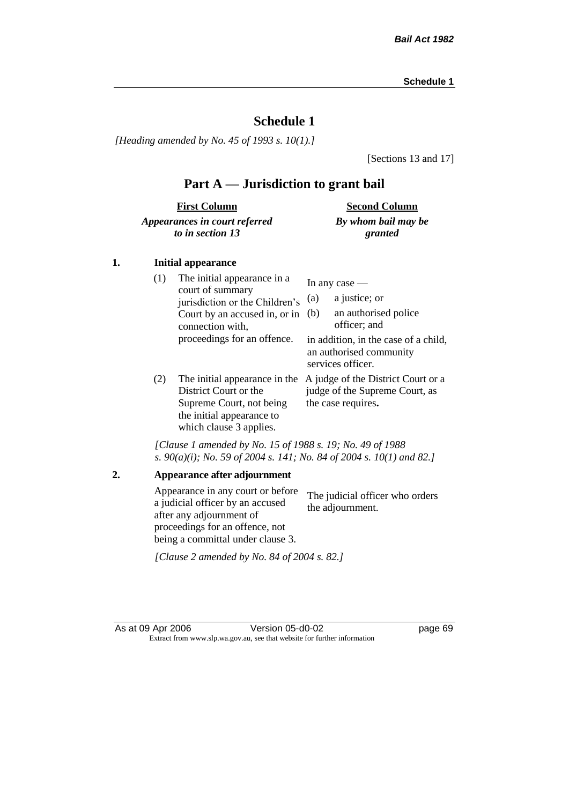*[Heading amended by No. 45 of 1993 s. 10(1).]*

[Sections 13 and 17]

# **Part A — Jurisdiction to grant bail**

| <b>First Column</b>           | <b>Second Column</b> |
|-------------------------------|----------------------|
| Appearances in court referred | By whom bail may be  |
| to in section 13              | granted              |

## **1. Initial appearance**

| (1) | The initial appearance in a<br>court of summary<br>jurisdiction or the Children's<br>Court by an accused in, or in<br>connection with,<br>proceedings for an offence. | In any case $-$<br>a justice; or<br>(a)<br>an authorised police<br>(b)<br>officer; and<br>in addition, in the case of a child,<br>an authorised community |
|-----|-----------------------------------------------------------------------------------------------------------------------------------------------------------------------|-----------------------------------------------------------------------------------------------------------------------------------------------------------|
| (2) | The initial appearance in the<br>District Court or the<br>Supreme Court, not being<br>the initial appearance to<br>which clause 3 applies.                            | services officer.<br>A judge of the District Court or a<br>judge of the Supreme Court, as<br>the case requires.                                           |

*[Clause 1 amended by No. 15 of 1988 s. 19; No. 49 of 1988 s. 90(a)(i); No. 59 of 2004 s. 141; No. 84 of 2004 s. 10(1) and 82.]*

**2. Appearance after adjournment** Appearance in any court or before a judicial officer by an accused after any adjournment of proceedings for an offence, not being a committal under clause 3. The judicial officer who orders the adjournment. *[Clause 2 amended by No. 84 of 2004 s. 82.]*

As at 09 Apr 2006 Version 05-d0-02 page 69 Extract from www.slp.wa.gov.au, see that website for further information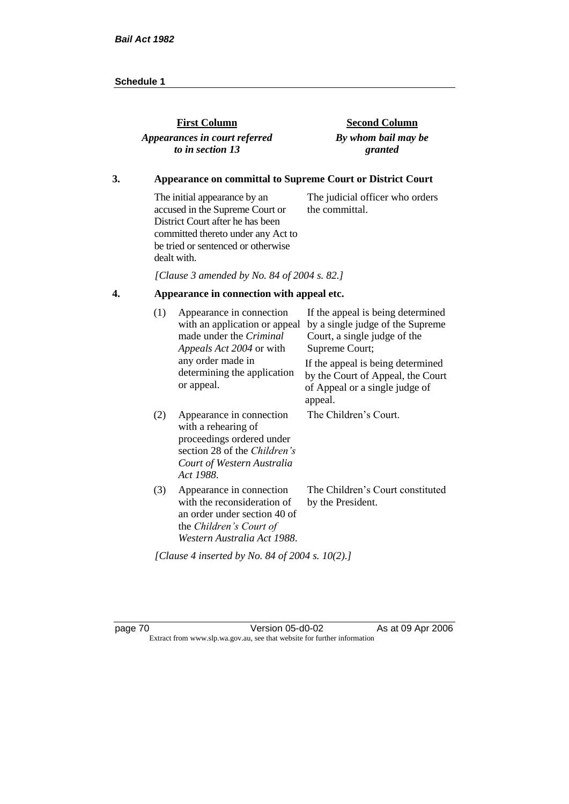| <b>First Column</b>           | <b>Second Column</b> |
|-------------------------------|----------------------|
| Appearances in court referred | By whom bail may be  |
| to in section 13              | granted              |
|                               |                      |

## **3. Appearance on committal to Supreme Court or District Court**

The initial appearance by an accused in the Supreme Court or District Court after he has been committed thereto under any Act to be tried or sentenced or otherwise dealt with. The judicial officer who orders the committal.

*[Clause 3 amended by No. 84 of 2004 s. 82.]*

# **4. Appearance in connection with appeal etc.**

| (1) | Appearance in connection<br>with an application or appeal<br>made under the Criminal<br><i>Appeals Act 2004</i> or with                                        | If the appeal is being determined<br>by a single judge of the Supreme<br>Court, a single judge of the<br>Supreme Court; |
|-----|----------------------------------------------------------------------------------------------------------------------------------------------------------------|-------------------------------------------------------------------------------------------------------------------------|
|     | any order made in<br>determining the application<br>or appeal.                                                                                                 | If the appeal is being determined<br>by the Court of Appeal, the Court<br>of Appeal or a single judge of<br>appeal.     |
| (2) | Appearance in connection<br>with a rehearing of<br>proceedings ordered under<br>section 28 of the <i>Children's</i><br>Court of Western Australia<br>Act 1988. | The Children's Court.                                                                                                   |
| (3) | Appearance in connection<br>with the reconsideration of<br>an order under section 40 of<br>the Children's Court of<br>Western Australia Act 1988.              | The Children's Court constituted<br>by the President.                                                                   |
|     | [Clause 4 inserted by No. 84 of 2004 s. 10(2).]                                                                                                                |                                                                                                                         |

page 70 Version 05-d0-02 As at 09 Apr 2006 Extract from www.slp.wa.gov.au, see that website for further information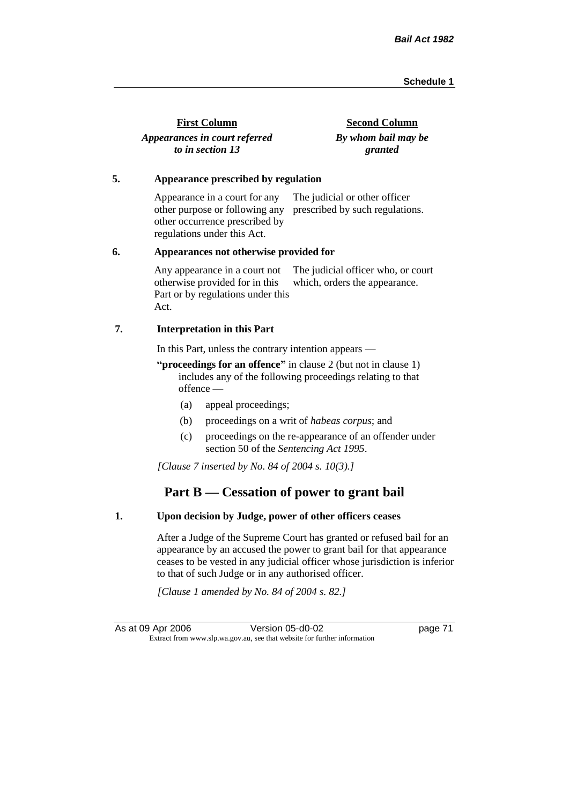| <b>First Column</b>           | <b>Second Column</b> |
|-------------------------------|----------------------|
| Appearances in court referred | By whom bail may be  |
| to in section 13              | granted              |

#### **5. Appearance prescribed by regulation**

Appearance in a court for any other purpose or following any prescribed by such regulations. other occurrence prescribed by regulations under this Act. The judicial or other officer

#### **6. Appearances not otherwise provided for**

Any appearance in a court not otherwise provided for in this Part or by regulations under this Act. The judicial officer who, or court which, orders the appearance.

#### **7. Interpretation in this Part**

In this Part, unless the contrary intention appears —

**"proceedings for an offence"** in clause 2 (but not in clause 1) includes any of the following proceedings relating to that offence —

- (a) appeal proceedings;
- (b) proceedings on a writ of *habeas corpus*; and
- (c) proceedings on the re-appearance of an offender under section 50 of the *Sentencing Act 1995*.

*[Clause 7 inserted by No. 84 of 2004 s. 10(3).]*

# **Part B — Cessation of power to grant bail**

#### **1. Upon decision by Judge, power of other officers ceases**

After a Judge of the Supreme Court has granted or refused bail for an appearance by an accused the power to grant bail for that appearance ceases to be vested in any judicial officer whose jurisdiction is inferior to that of such Judge or in any authorised officer.

*[Clause 1 amended by No. 84 of 2004 s. 82.]*

As at 09 Apr 2006 Version 05-d0-02 page 71 Extract from www.slp.wa.gov.au, see that website for further information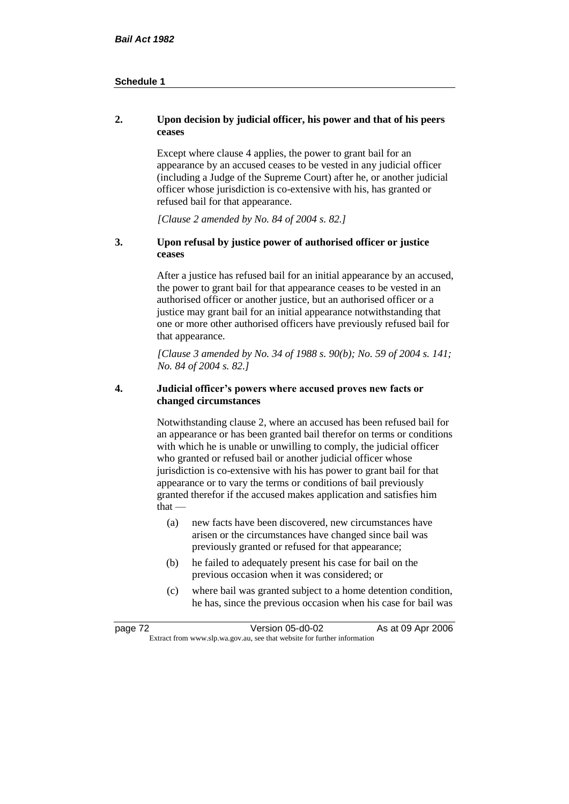## **2. Upon decision by judicial officer, his power and that of his peers ceases**

Except where clause 4 applies, the power to grant bail for an appearance by an accused ceases to be vested in any judicial officer (including a Judge of the Supreme Court) after he, or another judicial officer whose jurisdiction is co-extensive with his, has granted or refused bail for that appearance.

*[Clause 2 amended by No. 84 of 2004 s. 82.]*

## **3. Upon refusal by justice power of authorised officer or justice ceases**

After a justice has refused bail for an initial appearance by an accused, the power to grant bail for that appearance ceases to be vested in an authorised officer or another justice, but an authorised officer or a justice may grant bail for an initial appearance notwithstanding that one or more other authorised officers have previously refused bail for that appearance.

*[Clause 3 amended by No. 34 of 1988 s. 90(b); No. 59 of 2004 s. 141; No. 84 of 2004 s. 82.]*

#### **4. Judicial officer's powers where accused proves new facts or changed circumstances**

Notwithstanding clause 2, where an accused has been refused bail for an appearance or has been granted bail therefor on terms or conditions with which he is unable or unwilling to comply, the judicial officer who granted or refused bail or another judicial officer whose jurisdiction is co-extensive with his has power to grant bail for that appearance or to vary the terms or conditions of bail previously granted therefor if the accused makes application and satisfies him  $that -$ 

- (a) new facts have been discovered, new circumstances have arisen or the circumstances have changed since bail was previously granted or refused for that appearance;
- (b) he failed to adequately present his case for bail on the previous occasion when it was considered; or
- (c) where bail was granted subject to a home detention condition, he has, since the previous occasion when his case for bail was

| page 72 | Version 05-d0-02                                                         | As at 09 Apr 2006 |
|---------|--------------------------------------------------------------------------|-------------------|
|         | Extract from www.slp.wa.gov.au, see that website for further information |                   |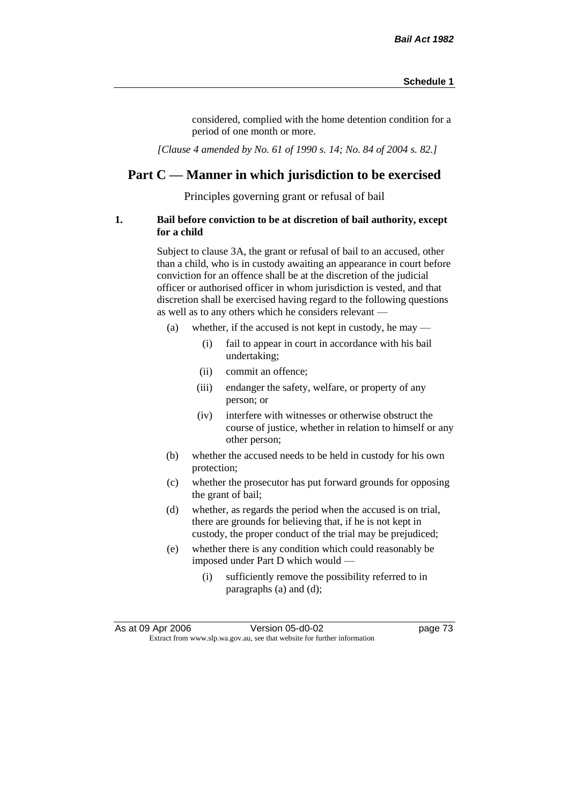considered, complied with the home detention condition for a period of one month or more.

*[Clause 4 amended by No. 61 of 1990 s. 14; No. 84 of 2004 s. 82.]*

# **Part C — Manner in which jurisdiction to be exercised**

Principles governing grant or refusal of bail

## **1. Bail before conviction to be at discretion of bail authority, except for a child**

Subject to clause 3A, the grant or refusal of bail to an accused, other than a child, who is in custody awaiting an appearance in court before conviction for an offence shall be at the discretion of the judicial officer or authorised officer in whom jurisdiction is vested, and that discretion shall be exercised having regard to the following questions as well as to any others which he considers relevant —

- (a) whether, if the accused is not kept in custody, he may
	- (i) fail to appear in court in accordance with his bail undertaking;
	- (ii) commit an offence;
	- (iii) endanger the safety, welfare, or property of any person; or
	- (iv) interfere with witnesses or otherwise obstruct the course of justice, whether in relation to himself or any other person;
- (b) whether the accused needs to be held in custody for his own protection;
- (c) whether the prosecutor has put forward grounds for opposing the grant of bail;
- (d) whether, as regards the period when the accused is on trial, there are grounds for believing that, if he is not kept in custody, the proper conduct of the trial may be prejudiced;
- (e) whether there is any condition which could reasonably be imposed under Part D which would —
	- (i) sufficiently remove the possibility referred to in paragraphs (a) and (d);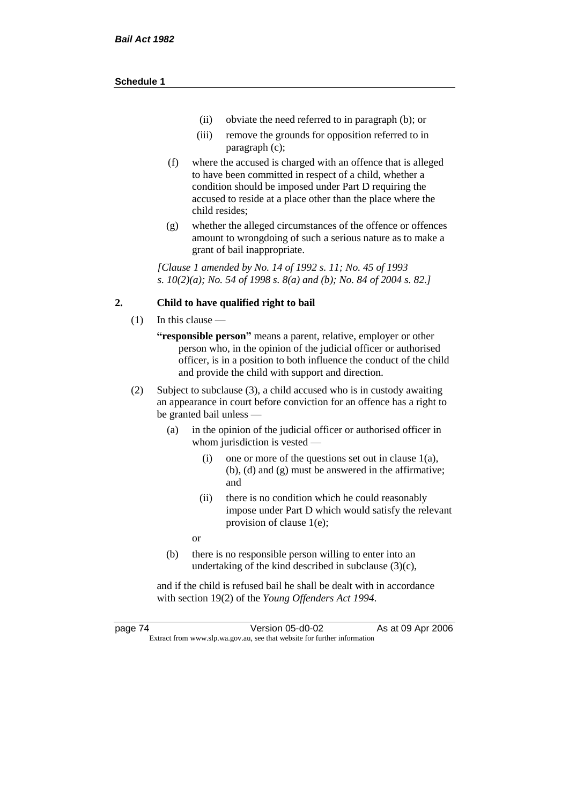- (ii) obviate the need referred to in paragraph (b); or
- (iii) remove the grounds for opposition referred to in paragraph (c);
- (f) where the accused is charged with an offence that is alleged to have been committed in respect of a child, whether a condition should be imposed under Part D requiring the accused to reside at a place other than the place where the child resides;
- (g) whether the alleged circumstances of the offence or offences amount to wrongdoing of such a serious nature as to make a grant of bail inappropriate.

*[Clause 1 amended by No. 14 of 1992 s. 11; No. 45 of 1993 s. 10(2)(a); No. 54 of 1998 s. 8(a) and (b); No. 84 of 2004 s. 82.]*

## **2. Child to have qualified right to bail**

- (1) In this clause
	- **"responsible person"** means a parent, relative, employer or other person who, in the opinion of the judicial officer or authorised officer, is in a position to both influence the conduct of the child and provide the child with support and direction.
- (2) Subject to subclause (3), a child accused who is in custody awaiting an appearance in court before conviction for an offence has a right to be granted bail unless —
	- (a) in the opinion of the judicial officer or authorised officer in whom jurisdiction is vested —
		- (i) one or more of the questions set out in clause 1(a), (b), (d) and (g) must be answered in the affirmative; and
		- (ii) there is no condition which he could reasonably impose under Part D which would satisfy the relevant provision of clause 1(e);
		- or
	- (b) there is no responsible person willing to enter into an undertaking of the kind described in subclause (3)(c),

and if the child is refused bail he shall be dealt with in accordance with section 19(2) of the *Young Offenders Act 1994*.

page 74 Version 05-d0-02 As at 09 Apr 2006 Extract from www.slp.wa.gov.au, see that website for further information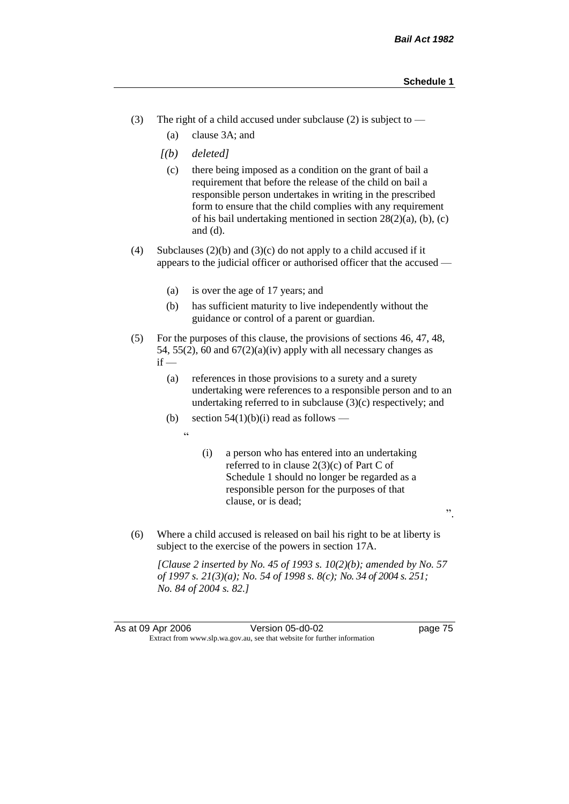".

- (3) The right of a child accused under subclause (2) is subject to  $-$ 
	- (a) clause 3A; and
	- *[(b) deleted]*
		- (c) there being imposed as a condition on the grant of bail a requirement that before the release of the child on bail a responsible person undertakes in writing in the prescribed form to ensure that the child complies with any requirement of his bail undertaking mentioned in section 28(2)(a), (b), (c) and (d).
- (4) Subclauses (2)(b) and (3)(c) do not apply to a child accused if it appears to the judicial officer or authorised officer that the accused —
	- (a) is over the age of 17 years; and
	- (b) has sufficient maturity to live independently without the guidance or control of a parent or guardian.
- (5) For the purposes of this clause, the provisions of sections 46, 47, 48, 54, 55(2), 60 and  $67(2)(a)(iv)$  apply with all necessary changes as  $if -$ 
	- (a) references in those provisions to a surety and a surety undertaking were references to a responsible person and to an undertaking referred to in subclause  $(3)(c)$  respectively; and
	- (b) section  $54(1)(b)(i)$  read as follows
		- "
- (i) a person who has entered into an undertaking referred to in clause 2(3)(c) of Part C of Schedule 1 should no longer be regarded as a responsible person for the purposes of that clause, or is dead;
- (6) Where a child accused is released on bail his right to be at liberty is subject to the exercise of the powers in section 17A.

*[Clause 2 inserted by No. 45 of 1993 s. 10(2)(b); amended by No. 57 of 1997 s. 21(3)(a); No. 54 of 1998 s. 8(c); No. 34 of 2004 s. 251; No. 84 of 2004 s. 82.]*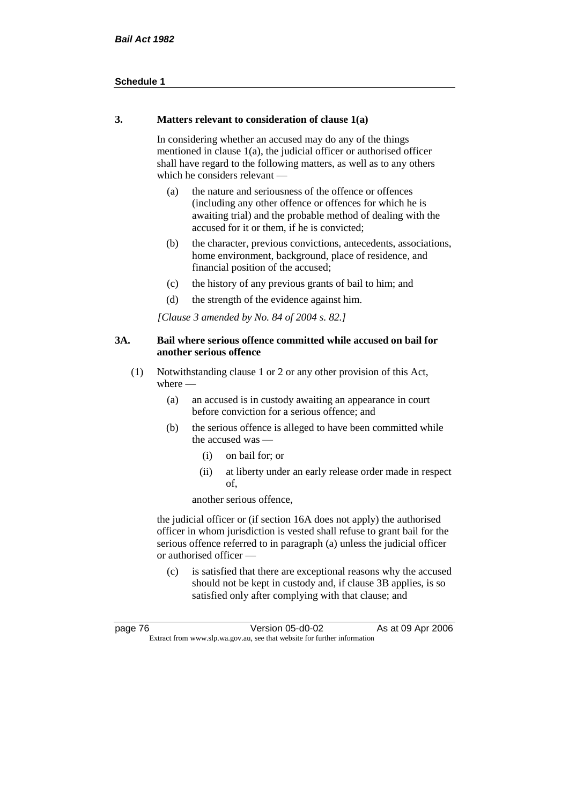## **3. Matters relevant to consideration of clause 1(a)**

In considering whether an accused may do any of the things mentioned in clause 1(a), the judicial officer or authorised officer shall have regard to the following matters, as well as to any others which he considers relevant —

- (a) the nature and seriousness of the offence or offences (including any other offence or offences for which he is awaiting trial) and the probable method of dealing with the accused for it or them, if he is convicted;
- (b) the character, previous convictions, antecedents, associations, home environment, background, place of residence, and financial position of the accused;
- (c) the history of any previous grants of bail to him; and
- (d) the strength of the evidence against him.

*[Clause 3 amended by No. 84 of 2004 s. 82.]*

## **3A. Bail where serious offence committed while accused on bail for another serious offence**

- (1) Notwithstanding clause 1 or 2 or any other provision of this Act, where —
	- (a) an accused is in custody awaiting an appearance in court before conviction for a serious offence; and
	- (b) the serious offence is alleged to have been committed while the accused was —
		- (i) on bail for; or
		- (ii) at liberty under an early release order made in respect of,

another serious offence,

the judicial officer or (if section 16A does not apply) the authorised officer in whom jurisdiction is vested shall refuse to grant bail for the serious offence referred to in paragraph (a) unless the judicial officer or authorised officer —

(c) is satisfied that there are exceptional reasons why the accused should not be kept in custody and, if clause 3B applies, is so satisfied only after complying with that clause; and

| page 76                                                                  | Version 05-d0-02 | As at 09 Apr 2006 |
|--------------------------------------------------------------------------|------------------|-------------------|
| Extract from www.slp.wa.gov.au, see that website for further information |                  |                   |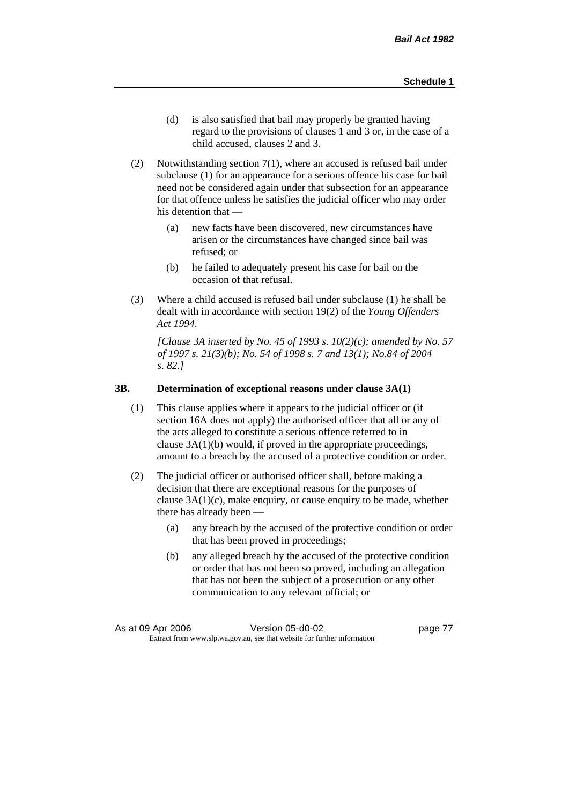- (d) is also satisfied that bail may properly be granted having regard to the provisions of clauses 1 and 3 or, in the case of a child accused, clauses 2 and 3.
- (2) Notwithstanding section 7(1), where an accused is refused bail under subclause (1) for an appearance for a serious offence his case for bail need not be considered again under that subsection for an appearance for that offence unless he satisfies the judicial officer who may order his detention that —
	- (a) new facts have been discovered, new circumstances have arisen or the circumstances have changed since bail was refused; or
	- (b) he failed to adequately present his case for bail on the occasion of that refusal.
- (3) Where a child accused is refused bail under subclause (1) he shall be dealt with in accordance with section 19(2) of the *Young Offenders Act 1994*.

*[Clause 3A inserted by No. 45 of 1993 s. 10(2)(c); amended by No. 57 of 1997 s. 21(3)(b); No. 54 of 1998 s. 7 and 13(1); No.84 of 2004 s. 82.]*

#### **3B. Determination of exceptional reasons under clause 3A(1)**

- (1) This clause applies where it appears to the judicial officer or (if section 16A does not apply) the authorised officer that all or any of the acts alleged to constitute a serious offence referred to in clause 3A(1)(b) would, if proved in the appropriate proceedings, amount to a breach by the accused of a protective condition or order.
- (2) The judicial officer or authorised officer shall, before making a decision that there are exceptional reasons for the purposes of clause  $3A(1)(c)$ , make enquiry, or cause enquiry to be made, whether there has already been -
	- (a) any breach by the accused of the protective condition or order that has been proved in proceedings;
	- (b) any alleged breach by the accused of the protective condition or order that has not been so proved, including an allegation that has not been the subject of a prosecution or any other communication to any relevant official; or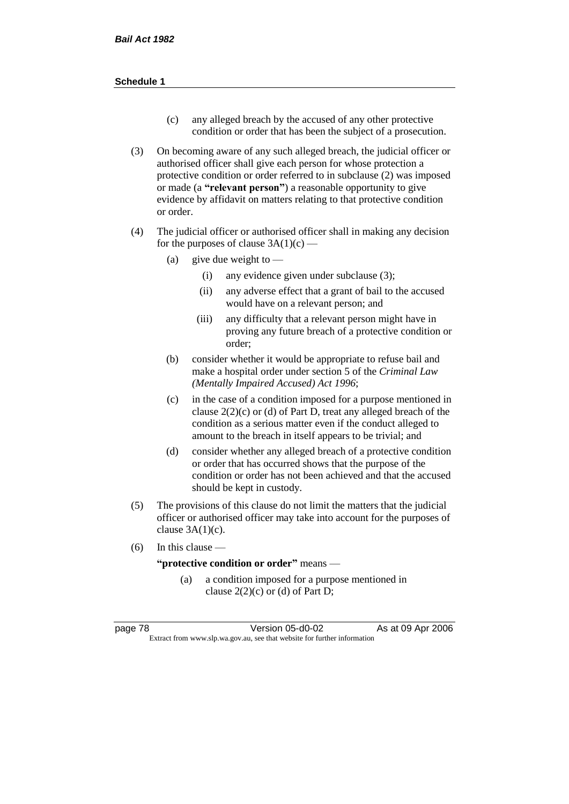- (c) any alleged breach by the accused of any other protective condition or order that has been the subject of a prosecution.
- (3) On becoming aware of any such alleged breach, the judicial officer or authorised officer shall give each person for whose protection a protective condition or order referred to in subclause (2) was imposed or made (a **"relevant person"**) a reasonable opportunity to give evidence by affidavit on matters relating to that protective condition or order.
- (4) The judicial officer or authorised officer shall in making any decision for the purposes of clause  $3A(1)(c)$  —
	- (a) give due weight to  $-$ 
		- (i) any evidence given under subclause (3);
		- (ii) any adverse effect that a grant of bail to the accused would have on a relevant person; and
		- (iii) any difficulty that a relevant person might have in proving any future breach of a protective condition or order;
	- (b) consider whether it would be appropriate to refuse bail and make a hospital order under section 5 of the *Criminal Law (Mentally Impaired Accused) Act 1996*;
	- (c) in the case of a condition imposed for a purpose mentioned in clause  $2(2)(c)$  or (d) of Part D, treat any alleged breach of the condition as a serious matter even if the conduct alleged to amount to the breach in itself appears to be trivial; and
	- (d) consider whether any alleged breach of a protective condition or order that has occurred shows that the purpose of the condition or order has not been achieved and that the accused should be kept in custody.
- (5) The provisions of this clause do not limit the matters that the judicial officer or authorised officer may take into account for the purposes of clause  $3A(1)(c)$ .
- $(6)$  In this clause —

**"protective condition or order"** means —

(a) a condition imposed for a purpose mentioned in clause  $2(2)(c)$  or (d) of Part D;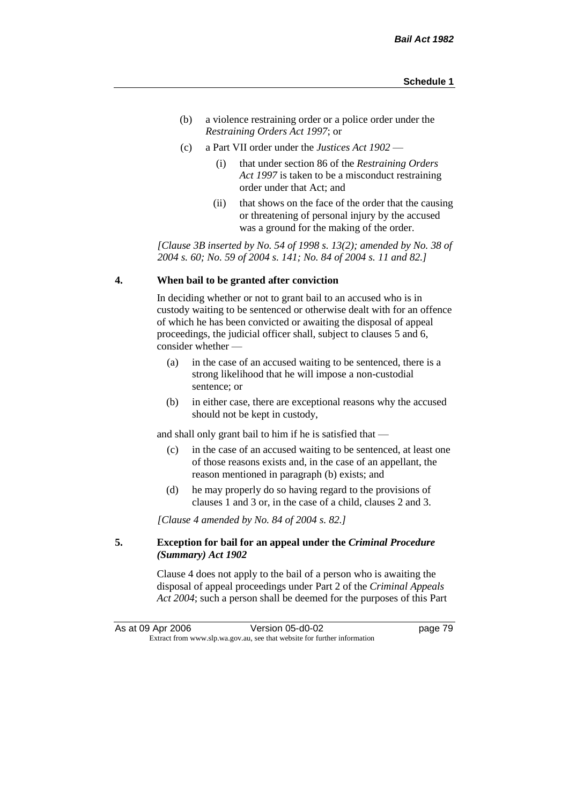- (b) a violence restraining order or a police order under the *Restraining Orders Act 1997*; or
- (c) a Part VII order under the *Justices Act 1902*
	- (i) that under section 86 of the *Restraining Orders Act 1997* is taken to be a misconduct restraining order under that Act; and
	- (ii) that shows on the face of the order that the causing or threatening of personal injury by the accused was a ground for the making of the order.

*[Clause 3B inserted by No. 54 of 1998 s. 13(2); amended by No. 38 of 2004 s. 60; No. 59 of 2004 s. 141; No. 84 of 2004 s. 11 and 82.]*

#### **4. When bail to be granted after conviction**

In deciding whether or not to grant bail to an accused who is in custody waiting to be sentenced or otherwise dealt with for an offence of which he has been convicted or awaiting the disposal of appeal proceedings, the judicial officer shall, subject to clauses 5 and 6, consider whether —

- (a) in the case of an accused waiting to be sentenced, there is a strong likelihood that he will impose a non-custodial sentence; or
- (b) in either case, there are exceptional reasons why the accused should not be kept in custody,

and shall only grant bail to him if he is satisfied that —

- (c) in the case of an accused waiting to be sentenced, at least one of those reasons exists and, in the case of an appellant, the reason mentioned in paragraph (b) exists; and
- (d) he may properly do so having regard to the provisions of clauses 1 and 3 or, in the case of a child, clauses 2 and 3.

*[Clause 4 amended by No. 84 of 2004 s. 82.]*

## **5. Exception for bail for an appeal under the** *Criminal Procedure (Summary) Act 1902*

Clause 4 does not apply to the bail of a person who is awaiting the disposal of appeal proceedings under Part 2 of the *Criminal Appeals Act 2004*; such a person shall be deemed for the purposes of this Part

As at 09 Apr 2006 Version 05-d0-02 Page 79 Extract from www.slp.wa.gov.au, see that website for further information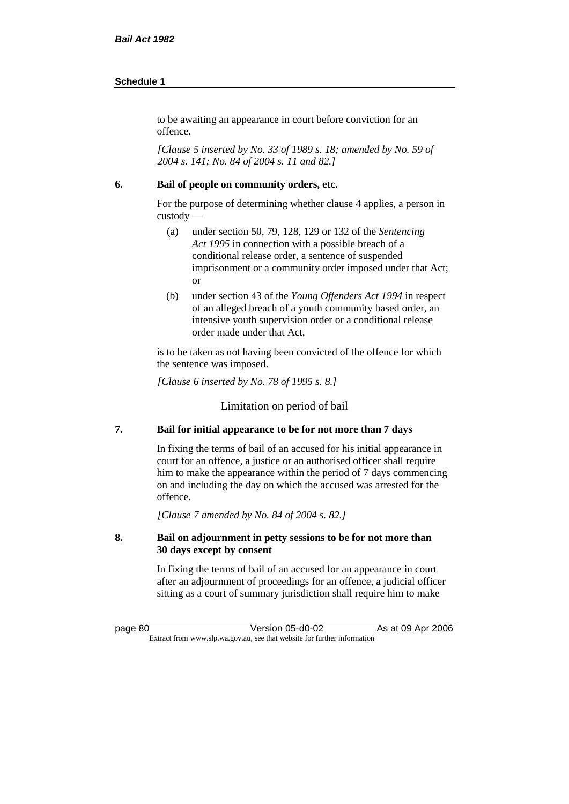to be awaiting an appearance in court before conviction for an offence.

*[Clause 5 inserted by No. 33 of 1989 s. 18; amended by No. 59 of 2004 s. 141; No. 84 of 2004 s. 11 and 82.]*

### **6. Bail of people on community orders, etc.**

For the purpose of determining whether clause 4 applies, a person in custody —

- (a) under section 50, 79, 128, 129 or 132 of the *Sentencing Act 1995* in connection with a possible breach of a conditional release order, a sentence of suspended imprisonment or a community order imposed under that Act; or
- (b) under section 43 of the *Young Offenders Act 1994* in respect of an alleged breach of a youth community based order, an intensive youth supervision order or a conditional release order made under that Act,

is to be taken as not having been convicted of the offence for which the sentence was imposed.

*[Clause 6 inserted by No. 78 of 1995 s. 8.]*

Limitation on period of bail

## **7. Bail for initial appearance to be for not more than 7 days**

In fixing the terms of bail of an accused for his initial appearance in court for an offence, a justice or an authorised officer shall require him to make the appearance within the period of 7 days commencing on and including the day on which the accused was arrested for the offence.

*[Clause 7 amended by No. 84 of 2004 s. 82.]*

## **8. Bail on adjournment in petty sessions to be for not more than 30 days except by consent**

In fixing the terms of bail of an accused for an appearance in court after an adjournment of proceedings for an offence, a judicial officer sitting as a court of summary jurisdiction shall require him to make

page 80 Version 05-d0-02 As at 09 Apr 2006 Extract from www.slp.wa.gov.au, see that website for further information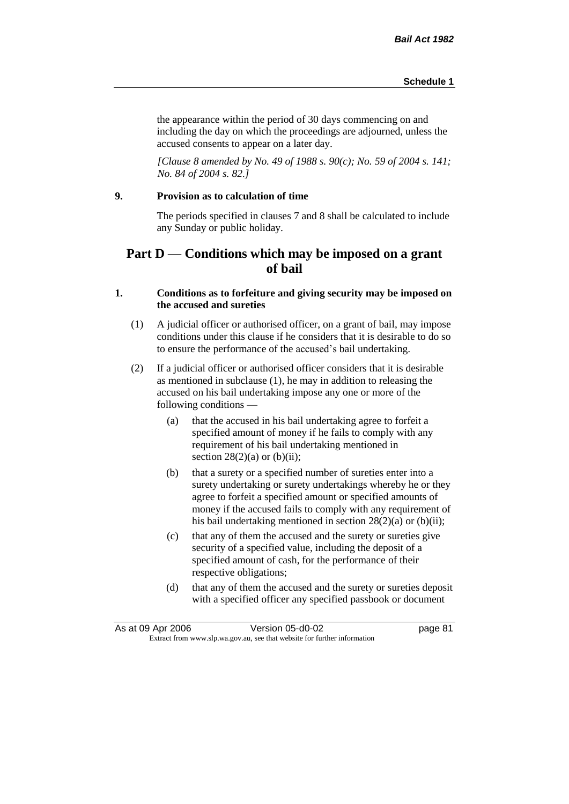the appearance within the period of 30 days commencing on and including the day on which the proceedings are adjourned, unless the accused consents to appear on a later day.

*[Clause 8 amended by No. 49 of 1988 s. 90(c); No. 59 of 2004 s. 141; No. 84 of 2004 s. 82.]*

#### **9. Provision as to calculation of time**

The periods specified in clauses 7 and 8 shall be calculated to include any Sunday or public holiday.

# **Part D — Conditions which may be imposed on a grant of bail**

## **1. Conditions as to forfeiture and giving security may be imposed on the accused and sureties**

- (1) A judicial officer or authorised officer, on a grant of bail, may impose conditions under this clause if he considers that it is desirable to do so to ensure the performance of the accused's bail undertaking.
- (2) If a judicial officer or authorised officer considers that it is desirable as mentioned in subclause (1), he may in addition to releasing the accused on his bail undertaking impose any one or more of the following conditions —
	- (a) that the accused in his bail undertaking agree to forfeit a specified amount of money if he fails to comply with any requirement of his bail undertaking mentioned in section  $28(2)(a)$  or  $(b)(ii)$ ;
	- (b) that a surety or a specified number of sureties enter into a surety undertaking or surety undertakings whereby he or they agree to forfeit a specified amount or specified amounts of money if the accused fails to comply with any requirement of his bail undertaking mentioned in section 28(2)(a) or (b)(ii);
	- (c) that any of them the accused and the surety or sureties give security of a specified value, including the deposit of a specified amount of cash, for the performance of their respective obligations;
	- (d) that any of them the accused and the surety or sureties deposit with a specified officer any specified passbook or document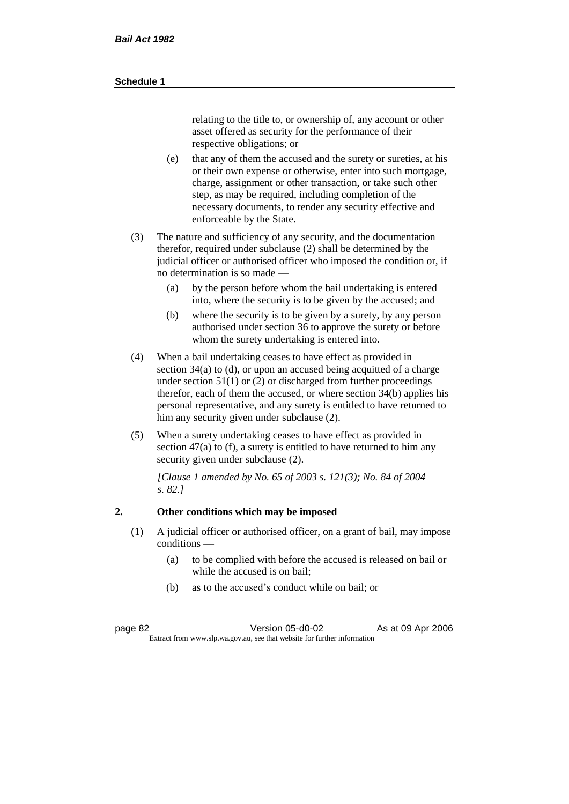relating to the title to, or ownership of, any account or other asset offered as security for the performance of their respective obligations; or

- (e) that any of them the accused and the surety or sureties, at his or their own expense or otherwise, enter into such mortgage, charge, assignment or other transaction, or take such other step, as may be required, including completion of the necessary documents, to render any security effective and enforceable by the State.
- (3) The nature and sufficiency of any security, and the documentation therefor, required under subclause (2) shall be determined by the judicial officer or authorised officer who imposed the condition or, if no determination is so made —
	- (a) by the person before whom the bail undertaking is entered into, where the security is to be given by the accused; and
	- (b) where the security is to be given by a surety, by any person authorised under section 36 to approve the surety or before whom the surety undertaking is entered into.
- (4) When a bail undertaking ceases to have effect as provided in section 34(a) to (d), or upon an accused being acquitted of a charge under section  $51(1)$  or (2) or discharged from further proceedings therefor, each of them the accused, or where section 34(b) applies his personal representative, and any surety is entitled to have returned to him any security given under subclause (2).
- (5) When a surety undertaking ceases to have effect as provided in section 47(a) to (f), a surety is entitled to have returned to him any security given under subclause  $(2)$ .

*[Clause 1 amended by No. 65 of 2003 s. 121(3); No. 84 of 2004 s. 82.]*

## **2. Other conditions which may be imposed**

- (1) A judicial officer or authorised officer, on a grant of bail, may impose conditions —
	- (a) to be complied with before the accused is released on bail or while the accused is on bail<sup>.</sup>
	- (b) as to the accused's conduct while on bail; or

page 82 Version 05-d0-02 As at 09 Apr 2006 Extract from www.slp.wa.gov.au, see that website for further information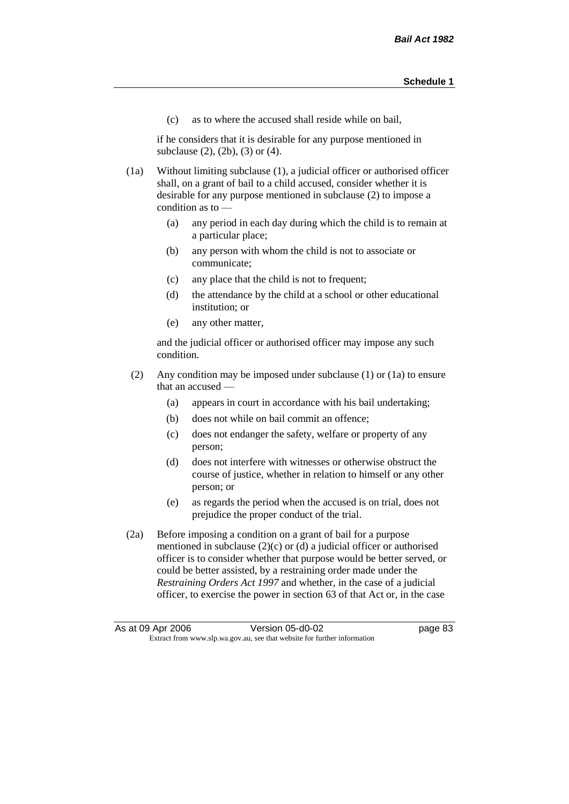(c) as to where the accused shall reside while on bail,

if he considers that it is desirable for any purpose mentioned in subclause (2), (2b), (3) or (4).

(1a) Without limiting subclause (1), a judicial officer or authorised officer shall, on a grant of bail to a child accused, consider whether it is desirable for any purpose mentioned in subclause (2) to impose a condition as to —

- (a) any period in each day during which the child is to remain at a particular place;
- (b) any person with whom the child is not to associate or communicate;
- (c) any place that the child is not to frequent;
- (d) the attendance by the child at a school or other educational institution; or
- (e) any other matter,

and the judicial officer or authorised officer may impose any such condition.

- (2) Any condition may be imposed under subclause (1) or (1a) to ensure that an accused —
	- (a) appears in court in accordance with his bail undertaking;
	- (b) does not while on bail commit an offence;
	- (c) does not endanger the safety, welfare or property of any person;
	- (d) does not interfere with witnesses or otherwise obstruct the course of justice, whether in relation to himself or any other person; or
	- (e) as regards the period when the accused is on trial, does not prejudice the proper conduct of the trial.
- (2a) Before imposing a condition on a grant of bail for a purpose mentioned in subclause (2)(c) or (d) a judicial officer or authorised officer is to consider whether that purpose would be better served, or could be better assisted, by a restraining order made under the *Restraining Orders Act 1997* and whether, in the case of a judicial officer, to exercise the power in section 63 of that Act or, in the case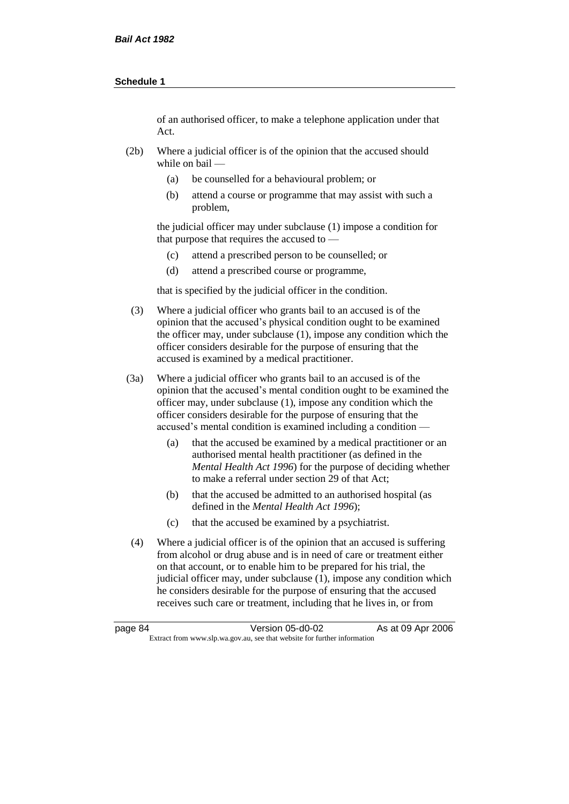of an authorised officer, to make a telephone application under that Act.

- (2b) Where a judicial officer is of the opinion that the accused should while on bail —
	- (a) be counselled for a behavioural problem; or
	- (b) attend a course or programme that may assist with such a problem,

the judicial officer may under subclause (1) impose a condition for that purpose that requires the accused to —

- (c) attend a prescribed person to be counselled; or
- (d) attend a prescribed course or programme,

that is specified by the judicial officer in the condition.

- (3) Where a judicial officer who grants bail to an accused is of the opinion that the accused's physical condition ought to be examined the officer may, under subclause (1), impose any condition which the officer considers desirable for the purpose of ensuring that the accused is examined by a medical practitioner.
- (3a) Where a judicial officer who grants bail to an accused is of the opinion that the accused's mental condition ought to be examined the officer may, under subclause (1), impose any condition which the officer considers desirable for the purpose of ensuring that the accused's mental condition is examined including a condition -
	- (a) that the accused be examined by a medical practitioner or an authorised mental health practitioner (as defined in the *Mental Health Act 1996*) for the purpose of deciding whether to make a referral under section 29 of that Act;
	- (b) that the accused be admitted to an authorised hospital (as defined in the *Mental Health Act 1996*);
	- (c) that the accused be examined by a psychiatrist.
- (4) Where a judicial officer is of the opinion that an accused is suffering from alcohol or drug abuse and is in need of care or treatment either on that account, or to enable him to be prepared for his trial, the judicial officer may, under subclause (1), impose any condition which he considers desirable for the purpose of ensuring that the accused receives such care or treatment, including that he lives in, or from

page 84 Version 05-d0-02 As at 09 Apr 2006 Extract from www.slp.wa.gov.au, see that website for further information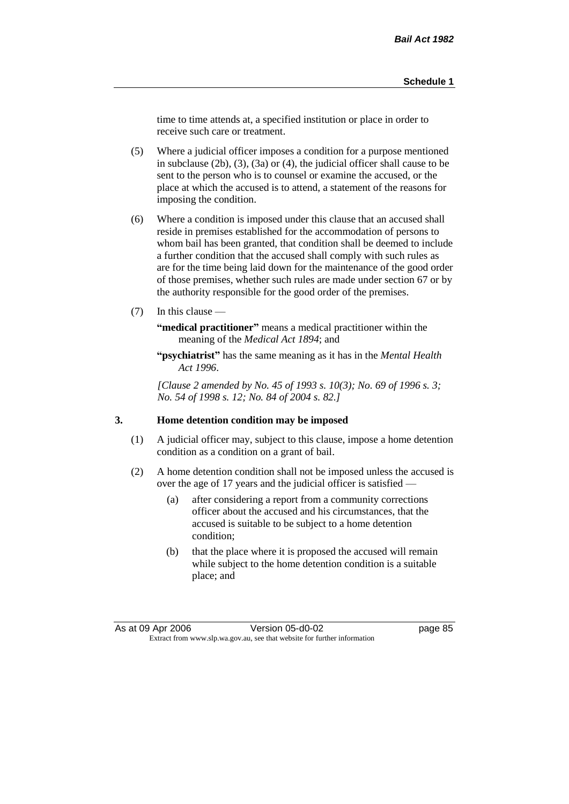time to time attends at, a specified institution or place in order to receive such care or treatment.

(5) Where a judicial officer imposes a condition for a purpose mentioned in subclause (2b), (3), (3a) or (4), the judicial officer shall cause to be sent to the person who is to counsel or examine the accused, or the place at which the accused is to attend, a statement of the reasons for imposing the condition.

- (6) Where a condition is imposed under this clause that an accused shall reside in premises established for the accommodation of persons to whom bail has been granted, that condition shall be deemed to include a further condition that the accused shall comply with such rules as are for the time being laid down for the maintenance of the good order of those premises, whether such rules are made under section 67 or by the authority responsible for the good order of the premises.
- (7) In this clause —

**"medical practitioner"** means a medical practitioner within the meaning of the *Medical Act 1894*; and

**"psychiatrist"** has the same meaning as it has in the *Mental Health Act 1996*.

*[Clause 2 amended by No. 45 of 1993 s. 10(3); No. 69 of 1996 s. 3; No. 54 of 1998 s. 12; No. 84 of 2004 s. 82.]*

#### **3. Home detention condition may be imposed**

- (1) A judicial officer may, subject to this clause, impose a home detention condition as a condition on a grant of bail.
- (2) A home detention condition shall not be imposed unless the accused is over the age of 17 years and the judicial officer is satisfied —
	- (a) after considering a report from a community corrections officer about the accused and his circumstances, that the accused is suitable to be subject to a home detention condition;
	- (b) that the place where it is proposed the accused will remain while subject to the home detention condition is a suitable place; and

As at 09 Apr 2006 Version 05-d0-02 Page 85 Extract from www.slp.wa.gov.au, see that website for further information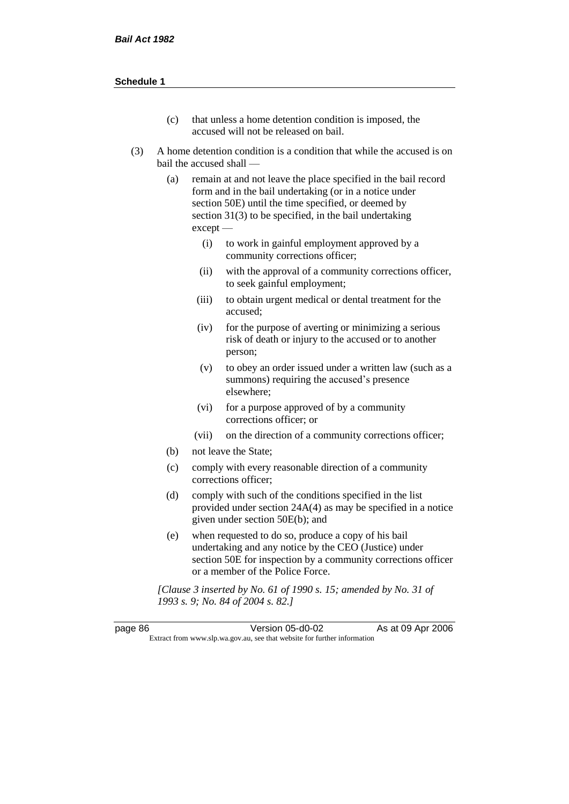- (c) that unless a home detention condition is imposed, the accused will not be released on bail.
- (3) A home detention condition is a condition that while the accused is on bail the accused shall —
	- (a) remain at and not leave the place specified in the bail record form and in the bail undertaking (or in a notice under section 50E) until the time specified, or deemed by section 31(3) to be specified, in the bail undertaking except —
		- (i) to work in gainful employment approved by a community corrections officer;
		- (ii) with the approval of a community corrections officer, to seek gainful employment;
		- (iii) to obtain urgent medical or dental treatment for the accused;
		- (iv) for the purpose of averting or minimizing a serious risk of death or injury to the accused or to another person;
		- (v) to obey an order issued under a written law (such as a summons) requiring the accused's presence elsewhere;
		- (vi) for a purpose approved of by a community corrections officer; or
		- (vii) on the direction of a community corrections officer;
	- (b) not leave the State;
	- (c) comply with every reasonable direction of a community corrections officer;
	- (d) comply with such of the conditions specified in the list provided under section 24A(4) as may be specified in a notice given under section 50E(b); and
	- (e) when requested to do so, produce a copy of his bail undertaking and any notice by the CEO (Justice) under section 50E for inspection by a community corrections officer or a member of the Police Force.

*[Clause 3 inserted by No. 61 of 1990 s. 15; amended by No. 31 of 1993 s. 9; No. 84 of 2004 s. 82.]*

| page 86                                                                  | Version 05-d0-02 | As at 09 Apr 2006 |
|--------------------------------------------------------------------------|------------------|-------------------|
| Extract from www.slp.wa.gov.au, see that website for further information |                  |                   |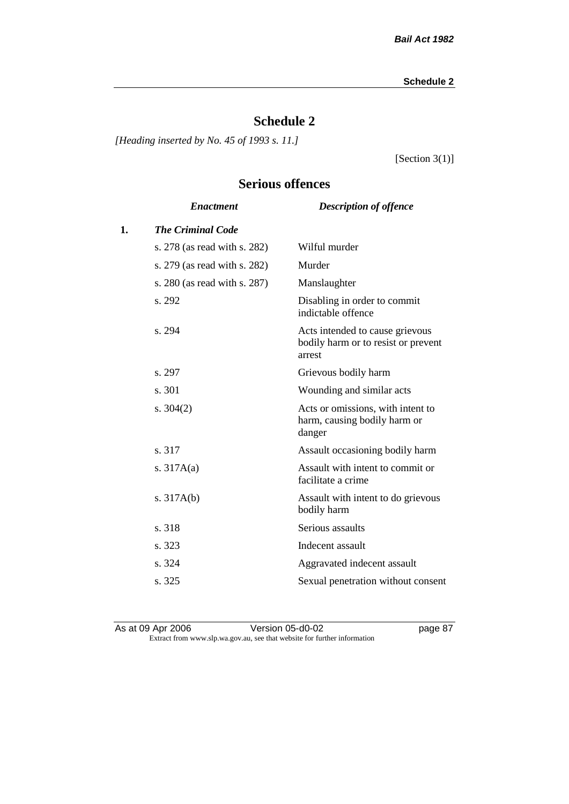# **Schedule 2**

*[Heading inserted by No. 45 of 1993 s. 11.]*

[Section 3(1)]

# **Serious offences**

|                              | <b>Description of offence</b>                                                    |
|------------------------------|----------------------------------------------------------------------------------|
| <b>The Criminal Code</b>     |                                                                                  |
| s. 278 (as read with s. 282) | Wilful murder                                                                    |
| s. 279 (as read with s. 282) | Murder                                                                           |
| s. 280 (as read with s. 287) | Manslaughter                                                                     |
| s. 292                       | Disabling in order to commit<br>indictable offence                               |
| s. 294                       | Acts intended to cause grievous<br>bodily harm or to resist or prevent<br>arrest |
| s. 297                       | Grievous bodily harm                                                             |
| s. 301                       | Wounding and similar acts                                                        |
| s. $304(2)$                  | Acts or omissions, with intent to<br>harm, causing bodily harm or<br>danger      |
| s. 317                       | Assault occasioning bodily harm                                                  |
| s. $317A(a)$                 | Assault with intent to commit or<br>facilitate a crime                           |
| s. $317A(b)$                 | Assault with intent to do grievous<br>bodily harm                                |
| s. 318                       | Serious assaults                                                                 |
| s. 323                       | Indecent assault                                                                 |
| s. 324                       | Aggravated indecent assault                                                      |
| s. 325                       | Sexual penetration without consent                                               |
|                              | <b>Enactment</b>                                                                 |

As at 09 Apr 2006 **Version 05-d0-02 page 87** Extract from www.slp.wa.gov.au, see that website for further information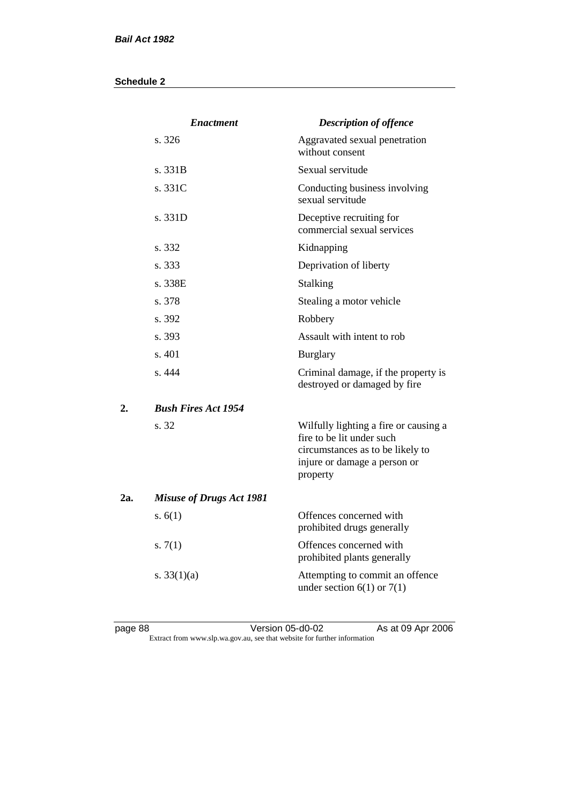|                  | <b>Enactment</b>                | <b>Description of offence</b>                                                                                                                      |
|------------------|---------------------------------|----------------------------------------------------------------------------------------------------------------------------------------------------|
|                  | s. 326                          | Aggravated sexual penetration<br>without consent                                                                                                   |
|                  | s.331B                          | Sexual servitude                                                                                                                                   |
|                  | s. 331C                         | Conducting business involving<br>sexual servitude                                                                                                  |
|                  | s. 331D                         | Deceptive recruiting for<br>commercial sexual services                                                                                             |
|                  | s. 332                          | Kidnapping                                                                                                                                         |
|                  | s. 333                          | Deprivation of liberty                                                                                                                             |
|                  | s. 338E                         | Stalking                                                                                                                                           |
|                  | s. 378                          | Stealing a motor vehicle                                                                                                                           |
|                  | s. 392                          | Robbery                                                                                                                                            |
|                  | s. 393                          | Assault with intent to rob                                                                                                                         |
|                  | s. 401                          | <b>Burglary</b>                                                                                                                                    |
|                  | s. 444                          | Criminal damage, if the property is<br>destroyed or damaged by fire                                                                                |
| $\overline{2}$ . | <b>Bush Fires Act 1954</b>      |                                                                                                                                                    |
|                  | s. 32                           | Wilfully lighting a fire or causing a<br>fire to be lit under such<br>circumstances as to be likely to<br>injure or damage a person or<br>property |
| 2a.              | <b>Misuse of Drugs Act 1981</b> |                                                                                                                                                    |
|                  | s. $6(1)$                       | Offences concerned with<br>prohibited drugs generally                                                                                              |
|                  | s. $7(1)$                       | Offences concerned with<br>prohibited plants generally                                                                                             |
|                  | s. $33(1)(a)$                   | Attempting to commit an offence<br>under section $6(1)$ or $7(1)$                                                                                  |

page 88 Version 05-d0-02 As at 09 Apr 2006 Extract from www.slp.wa.gov.au, see that website for further information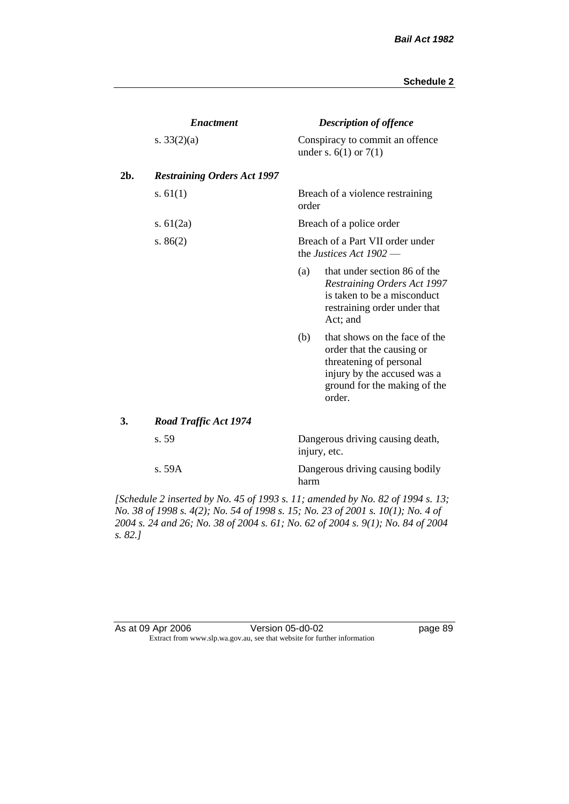|     | <b>Enactment</b>                   |       | <b>Description of offence</b>                                                                                                                                  |
|-----|------------------------------------|-------|----------------------------------------------------------------------------------------------------------------------------------------------------------------|
|     | s. $33(2)(a)$                      |       | Conspiracy to commit an offence<br>under s. $6(1)$ or $7(1)$                                                                                                   |
| 2b. | <b>Restraining Orders Act 1997</b> |       |                                                                                                                                                                |
|     | s. $61(1)$                         | order | Breach of a violence restraining                                                                                                                               |
|     | s. $61(2a)$                        |       | Breach of a police order                                                                                                                                       |
|     | s. $86(2)$                         |       | Breach of a Part VII order under<br>the Justices Act $1902$ —                                                                                                  |
|     |                                    | (a)   | that under section 86 of the<br><b>Restraining Orders Act 1997</b><br>is taken to be a misconduct<br>restraining order under that<br>Act; and                  |
|     |                                    | (b)   | that shows on the face of the<br>order that the causing or<br>threatening of personal<br>injury by the accused was a<br>ground for the making of the<br>order. |
| 3.  | <b>Road Traffic Act 1974</b>       |       |                                                                                                                                                                |
|     | s. 59                              |       | Dangerous driving causing death,<br>injury, etc.                                                                                                               |
|     | s.59A                              | harm  | Dangerous driving causing bodily                                                                                                                               |

*[Schedule 2 inserted by No. 45 of 1993 s. 11; amended by No. 82 of 1994 s. 13; No. 38 of 1998 s. 4(2); No. 54 of 1998 s. 15; No. 23 of 2001 s. 10(1); No. 4 of 2004 s. 24 and 26; No. 38 of 2004 s. 61; No. 62 of 2004 s. 9(1); No. 84 of 2004 s. 82.]* 

| As at 09 Apr 2006 | Version 05-d0-02                                                         |
|-------------------|--------------------------------------------------------------------------|
|                   | Extract from www.slp.wa.gov.au, see that website for further information |

page 89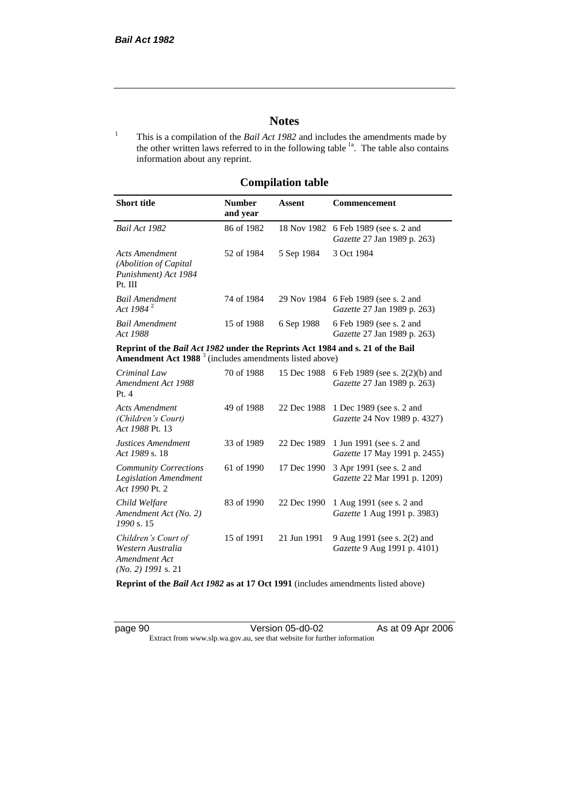# **Notes**

<sup>1</sup> This is a compilation of the *Bail Act 1982* and includes the amendments made by the other written laws referred to in the following table <sup>1a</sup>. The table also contains information about any reprint.

## **Compilation table**

| <b>Short title</b>                                                          | Number<br>and year | Assent     | <b>Commencement</b>                                                        |
|-----------------------------------------------------------------------------|--------------------|------------|----------------------------------------------------------------------------|
| Bail Act 1982                                                               | 86 of 1982         |            | 18 Nov 1982 6 Feb 1989 (see s. 2 and<br>Gazette 27 Jan 1989 p. 263)        |
| Acts Amendment<br>(Abolition of Capital)<br>Punishment) Act 1984<br>Pt. III | 52 of 1984         | 5 Sep 1984 | 3 Oct 1984                                                                 |
| Bail Amendment<br>Act 1984 <sup>2</sup>                                     | 74 of 1984         |            | 29 Nov 1984 6 Feb 1989 (see s. 2 and<br><i>Gazette</i> 27 Jan 1989 p. 263) |
| <b>Bail Amendment</b><br>Act 1988                                           | 15 of 1988         | 6 Sep 1988 | 6 Feb 1989 (see s. 2 and<br><i>Gazette</i> 27 Jan 1989 p. 263)             |

**Reprint of the** *Bail Act 1982* **under the Reprints Act 1984 and s. 21 of the Bail Amendment Act 1988** <sup>3</sup> (includes amendments listed above)

| Criminal Law<br>Amendment Act 1988<br>Pt. 4                                       | 70 of 1988 | 15 Dec 1988 | 6 Feb 1989 (see s. 2(2)(b) and<br><i>Gazette</i> 27 Jan 1989 p. 263) |
|-----------------------------------------------------------------------------------|------------|-------------|----------------------------------------------------------------------|
| Acts Amendment<br>(Children's Court)<br>Act 1988 Pt. 13                           | 49 of 1988 | 22 Dec 1988 | 1 Dec 1989 (see s. 2 and<br><i>Gazette</i> 24 Nov 1989 p. 4327)      |
| Justices Amendment<br>Act 1989 s. 18                                              | 33 of 1989 | 22 Dec 1989 | 1 Jun 1991 (see s. 2 and<br><i>Gazette</i> 17 May 1991 p. 2455)      |
| <b>Community Corrections</b><br><b>Legislation Amendment</b><br>Act 1990 Pt. 2    | 61 of 1990 | 17 Dec 1990 | 3 Apr 1991 (see s. 2 and<br><i>Gazette</i> 22 Mar 1991 p. 1209)      |
| Child Welfare<br>Amendment Act (No. 2)<br>1990 s. 15                              | 83 of 1990 | 22 Dec 1990 | 1 Aug 1991 (see s. 2 and<br><i>Gazette</i> 1 Aug 1991 p. 3983)       |
| Children's Court of<br>Western Australia<br>Amendment Act<br>$(No. 2)$ 1991 s. 21 | 15 of 1991 | 21 Jun 1991 | 9 Aug 1991 (see s. 2(2) and<br><i>Gazette</i> 9 Aug 1991 p. 4101)    |

**Reprint of the** *Bail Act 1982* **as at 17 Oct 1991** (includes amendments listed above)

page 90 Version 05-d0-02 As at 09 Apr 2006 Extract from www.slp.wa.gov.au, see that website for further information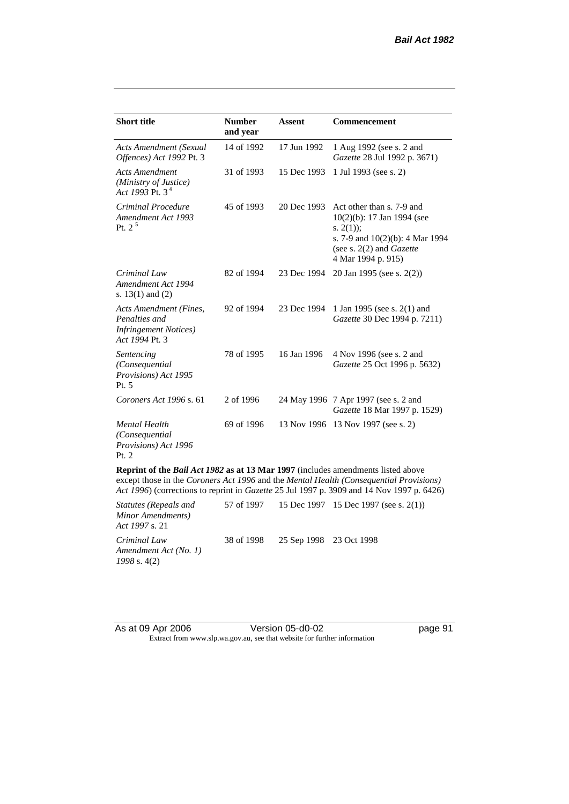| <b>Short title</b>                                                                         | <b>Number</b><br>and year | <b>Assent</b> | <b>Commencement</b>                                                                                                                                                     |
|--------------------------------------------------------------------------------------------|---------------------------|---------------|-------------------------------------------------------------------------------------------------------------------------------------------------------------------------|
| <b>Acts Amendment (Sexual</b><br>Offences) Act 1992 Pt. 3                                  | 14 of 1992                | 17 Jun 1992   | 1 Aug 1992 (see s. 2 and<br>Gazette 28 Jul 1992 p. 3671)                                                                                                                |
| <b>Acts Amendment</b><br>(Ministry of Justice)<br>Act 1993 Pt. $3^4$                       | 31 of 1993                | 15 Dec 1993   | 1 Jul 1993 (see s. 2)                                                                                                                                                   |
| Criminal Procedure<br>Amendment Act 1993<br>Pt. $2^5$                                      | 45 of 1993                | 20 Dec 1993   | Act other than s. 7-9 and<br>10(2)(b): 17 Jan 1994 (see<br>s. $2(1)$ ;<br>s. 7-9 and $10(2)(b)$ : 4 Mar 1994<br>(see s. $2(2)$ and <i>Gazette</i><br>4 Mar 1994 p. 915) |
| Criminal Law<br>Amendment Act 1994<br>s. $13(1)$ and $(2)$                                 | 82 of 1994                | 23 Dec 1994   | 20 Jan 1995 (see s. 2(2))                                                                                                                                               |
| Acts Amendment (Fines,<br>Penalties and<br><b>Infringement Notices</b> )<br>Act 1994 Pt. 3 | 92 of 1994                | 23 Dec 1994   | 1 Jan 1995 (see s. 2(1) and<br>Gazette 30 Dec 1994 p. 7211)                                                                                                             |
| Sentencing<br>(Consequential<br>Provisions) Act 1995<br>Pt. 5                              | 78 of 1995                | 16 Jan 1996   | 4 Nov 1996 (see s. 2 and<br>Gazette 25 Oct 1996 p. 5632)                                                                                                                |
| Coroners Act 1996 s. 61                                                                    | 2 of 1996                 |               | 24 May 1996 7 Apr 1997 (see s. 2 and<br>Gazette 18 Mar 1997 p. 1529)                                                                                                    |
| <b>Mental Health</b><br>(Consequential<br>Provisions) Act 1996<br>Pt. 2                    | 69 of 1996                |               | 13 Nov 1996 13 Nov 1997 (see s. 2)                                                                                                                                      |
| Reprint of the Bail Act 1982 as at 13 Mar 1997 (includes amendments listed above           |                           |               | except those in the Coroners Act 1996 and the Mental Health (Consequential Provisions)                                                                                  |

*Act 1996*) (corrections to reprint in *Gazette* 25 Jul 1997 p. 3909 and 14 Nov 1997 p. 6426)

| <i>Statutes (Repeals and</i><br>Minor Amendments)<br><i>Act 1997 s.</i> 21 |                                    | 57 of 1997 15 Dec 1997 15 Dec 1997 (see s. 2(1)) |
|----------------------------------------------------------------------------|------------------------------------|--------------------------------------------------|
| Criminal Law<br>Amendment Act (No. 1)<br>$1998$ s. 4(2)                    | 38 of 1998 25 Sep 1998 23 Oct 1998 |                                                  |

| As at 09 Apr 2006 | Version 05-d0-02                                                         |
|-------------------|--------------------------------------------------------------------------|
|                   | Extract from www.slp.wa.gov.au, see that website for further information |

page 91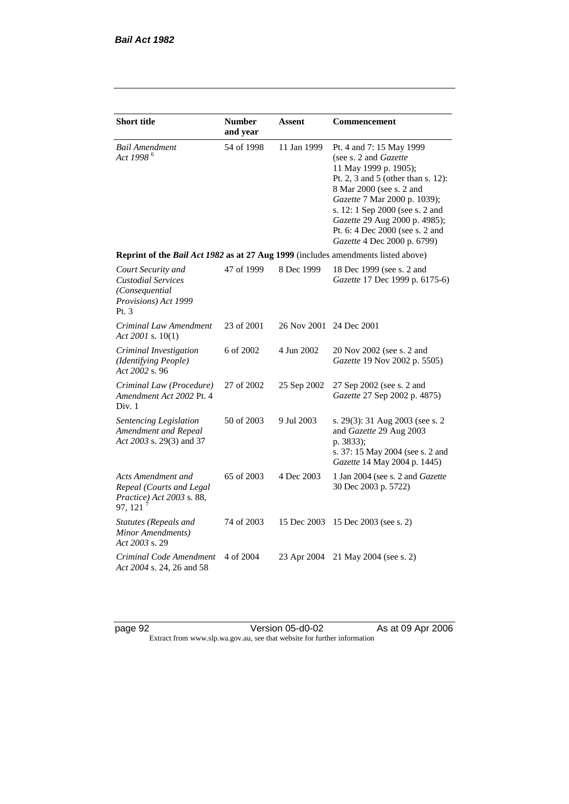| <b>Short title</b>                                                                                | <b>Number</b><br>and year | Assent                  | <b>Commencement</b>                                                                                                                                                                                                                                                                                                         |
|---------------------------------------------------------------------------------------------------|---------------------------|-------------------------|-----------------------------------------------------------------------------------------------------------------------------------------------------------------------------------------------------------------------------------------------------------------------------------------------------------------------------|
| Bail Amendment<br>Act 1998 <sup>6</sup>                                                           | 54 of 1998                | 11 Jan 1999             | Pt. 4 and 7: 15 May 1999<br>(see s. 2 and <i>Gazette</i> )<br>11 May 1999 p. 1905);<br>Pt. 2, 3 and 5 (other than s. 12):<br>8 Mar 2000 (see s. 2 and<br>Gazette 7 Mar 2000 p. 1039);<br>s. 12: 1 Sep 2000 (see s. 2 and<br>Gazette 29 Aug 2000 p. 4985);<br>Pt. 6: 4 Dec 2000 (see s. 2 and<br>Gazette 4 Dec 2000 p. 6799) |
| Reprint of the Bail Act 1982 as at 27 Aug 1999 (includes amendments listed above)                 |                           |                         |                                                                                                                                                                                                                                                                                                                             |
| Court Security and<br><b>Custodial Services</b><br>(Consequential<br>Provisions) Act 1999<br>Pt.3 | 47 of 1999                | 8 Dec 1999              | 18 Dec 1999 (see s. 2 and<br>Gazette 17 Dec 1999 p. 6175-6)                                                                                                                                                                                                                                                                 |
| Criminal Law Amendment<br>Act 2001 s. 10(1)                                                       | 23 of 2001                | 26 Nov 2001 24 Dec 2001 |                                                                                                                                                                                                                                                                                                                             |
| Criminal Investigation<br>(Identifying People)<br>Act 2002 s. 96                                  | 6 of 2002                 | 4 Jun 2002              | 20 Nov 2002 (see s. 2 and<br>Gazette 19 Nov 2002 p. 5505)                                                                                                                                                                                                                                                                   |
| Criminal Law (Procedure)<br>Amendment Act 2002 Pt. 4<br>Div. 1                                    | 27 of 2002                | 25 Sep 2002             | 27 Sep 2002 (see s. 2 and<br>Gazette 27 Sep 2002 p. 4875)                                                                                                                                                                                                                                                                   |
| Sentencing Legislation<br>Amendment and Repeal<br>Act 2003 s. 29(3) and 37                        | 50 of 2003                | 9 Jul 2003              | s. 29(3): 31 Aug 2003 (see s. 2<br>and Gazette 29 Aug 2003<br>p. 3833);<br>s. 37: 15 May 2004 (see s. 2 and<br>Gazette 14 May 2004 p. 1445)                                                                                                                                                                                 |
| Acts Amendment and<br>Repeal (Courts and Legal<br>Practice) Act 2003 s. 88,<br>97, 121            | 65 of 2003                | 4 Dec 2003              | 1 Jan 2004 (see s. 2 and Gazette<br>30 Dec 2003 p. 5722)                                                                                                                                                                                                                                                                    |
| Statutes (Repeals and<br>Minor Amendments)<br>Act 2003 s. 29                                      | 74 of 2003                | 15 Dec 2003             | 15 Dec 2003 (see s. 2)                                                                                                                                                                                                                                                                                                      |
| Criminal Code Amendment<br>Act 2004 s. 24, 26 and 58                                              | 4 of 2004                 | 23 Apr 2004             | 21 May 2004 (see s. 2)                                                                                                                                                                                                                                                                                                      |

page 92 Version 05-d0-02 As at 09 Apr 2006 Extract from www.slp.wa.gov.au, see that website for further information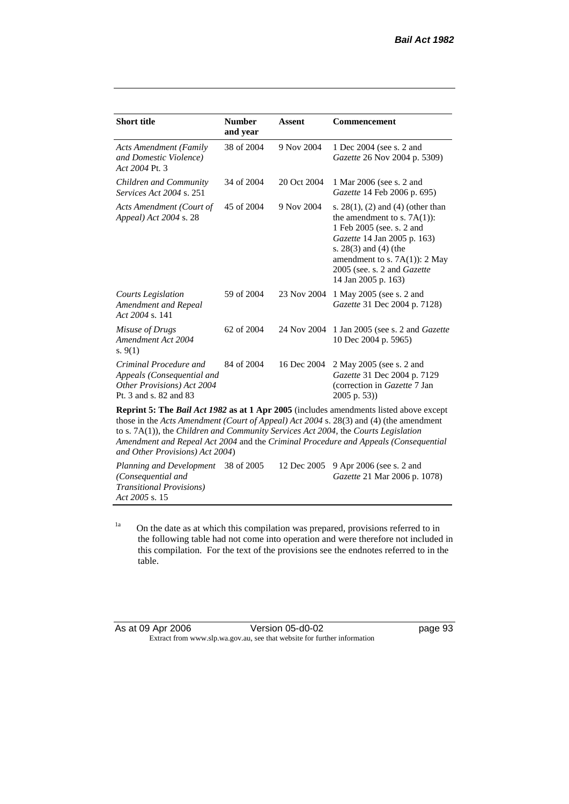| <b>Short title</b>                                                                                                                                                                      | <b>Number</b><br>and year | <b>Assent</b> | <b>Commencement</b>                                                                                                                                                                                                                                     |
|-----------------------------------------------------------------------------------------------------------------------------------------------------------------------------------------|---------------------------|---------------|---------------------------------------------------------------------------------------------------------------------------------------------------------------------------------------------------------------------------------------------------------|
| <b>Acts Amendment (Family</b><br>and Domestic Violence)<br>Act 2004 Pt. 3                                                                                                               | 38 of 2004                | 9 Nov 2004    | 1 Dec 2004 (see s. 2 and<br>Gazette 26 Nov 2004 p. 5309)                                                                                                                                                                                                |
| Children and Community<br><i>Services Act 2004 s. 251</i>                                                                                                                               | 34 of 2004                | 20 Oct 2004   | 1 Mar 2006 (see s. 2 and<br>Gazette 14 Feb 2006 p. 695)                                                                                                                                                                                                 |
| Acts Amendment (Court of<br>Appeal) Act 2004 s. 28                                                                                                                                      | 45 of 2004                | 9 Nov 2004    | s. $28(1)$ , (2) and (4) (other than<br>the amendment to s. $7A(1)$ :<br>1 Feb 2005 (see. s. 2 and<br>Gazette 14 Jan 2005 p. 163)<br>s. $28(3)$ and $(4)$ (the<br>amendment to s. $7A(1)$ : 2 May<br>2005 (see. s. 2 and Gazette<br>14 Jan 2005 p. 163) |
| <b>Courts Legislation</b><br>Amendment and Repeal<br>Act 2004 s. 141                                                                                                                    | 59 of 2004                | 23 Nov 2004   | 1 May 2005 (see s. 2 and<br><i>Gazette</i> 31 Dec 2004 p. 7128)                                                                                                                                                                                         |
| Misuse of Drugs<br>Amendment Act 2004<br>s. $9(1)$                                                                                                                                      | 62 of 2004                | 24 Nov 2004   | 1 Jan 2005 (see s. 2 and <i>Gazette</i><br>10 Dec 2004 p. 5965)                                                                                                                                                                                         |
| Criminal Procedure and<br>Appeals (Consequential and<br>Other Provisions) Act 2004<br>Pt. 3 and s. 82 and 83                                                                            | 84 of 2004                | 16 Dec 2004   | 2 May 2005 (see s. 2 and<br>Gazette 31 Dec 2004 p. 7129<br>(correction in Gazette 7 Jan<br>2005 p. 53))                                                                                                                                                 |
| <b>Reprint 5: The Bail Act 1982 as at 1 Apr 2005</b> (includes amendments listed above except<br>those in the Acts Amendment (Court of Appeal) Act 2004 s. 28(3) and (4) (the amendment |                           |               |                                                                                                                                                                                                                                                         |

to s. 7A(1)), the *Children and Community Services Act 2004*, the *Courts Legislation Amendment and Repeal Act 2004* and the *Criminal Procedure and Appeals (Consequential and Other Provisions) Act 2004*)

*Planning and Development*  38 of 2005 12 Dec 2005 9 Apr 2006 (see s. 2 and *(Consequential and Transitional Provisions) Act 2005* s. 15 *Gazette* 21 Mar 2006 p. 1078)

<sup>1a</sup> On the date as at which this compilation was prepared, provisions referred to in the following table had not come into operation and were therefore not included in this compilation. For the text of the provisions see the endnotes referred to in the table.

| As at 09 Apr 2006 | Version 05-d0-02                                                         |
|-------------------|--------------------------------------------------------------------------|
|                   | Extract from www.slp.wa.gov.au, see that website for further information |

page 93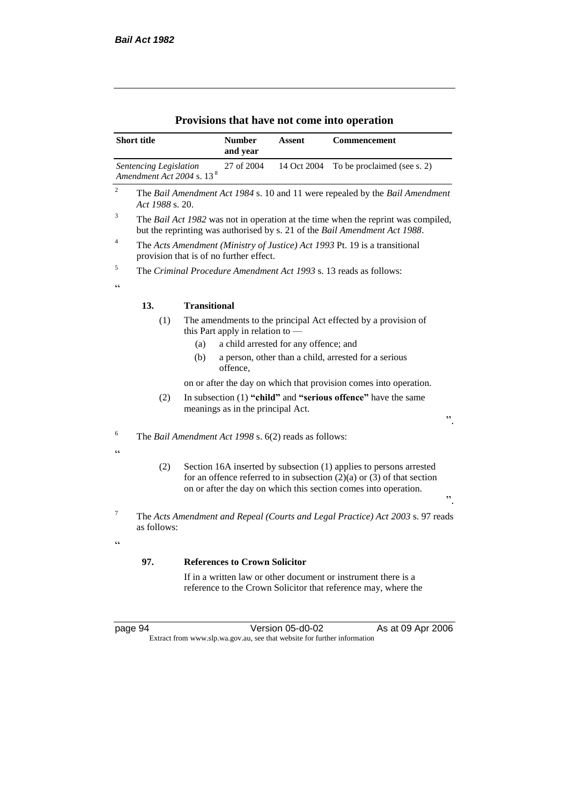|                                                   | <b>Short title</b>                                              |                                                                                                                                                                                                                           | <b>Number</b><br>and year                    | Assent                                                | Commencement                                                                                                                                                    |
|---------------------------------------------------|-----------------------------------------------------------------|---------------------------------------------------------------------------------------------------------------------------------------------------------------------------------------------------------------------------|----------------------------------------------|-------------------------------------------------------|-----------------------------------------------------------------------------------------------------------------------------------------------------------------|
|                                                   | Sentencing Legislation<br>Amendment Act 2004 s. 13 <sup>8</sup> |                                                                                                                                                                                                                           | 27 of 2004                                   | 14 Oct 2004                                           | To be proclaimed (see s. 2)                                                                                                                                     |
| $\sqrt{2}$                                        | Act 1988 s. 20.                                                 |                                                                                                                                                                                                                           |                                              |                                                       | The Bail Amendment Act 1984 s. 10 and 11 were repealed by the Bail Amendment                                                                                    |
| 3                                                 |                                                                 |                                                                                                                                                                                                                           |                                              |                                                       | The Bail Act 1982 was not in operation at the time when the reprint was compiled,<br>but the reprinting was authorised by s. 21 of the Bail Amendment Act 1988. |
| $\overline{4}$                                    |                                                                 |                                                                                                                                                                                                                           | provision that is of no further effect.      |                                                       | The Acts Amendment (Ministry of Justice) Act 1993 Pt. 19 is a transitional                                                                                      |
| 5<br>$\epsilon$                                   |                                                                 |                                                                                                                                                                                                                           |                                              |                                                       | The Criminal Procedure Amendment Act 1993 s. 13 reads as follows:                                                                                               |
|                                                   | 13.                                                             | <b>Transitional</b>                                                                                                                                                                                                       |                                              |                                                       |                                                                                                                                                                 |
|                                                   | (1)                                                             | (a)<br>(b)                                                                                                                                                                                                                | this Part apply in relation to —<br>offence, | a child arrested for any offence; and                 | The amendments to the principal Act effected by a provision of<br>a person, other than a child, arrested for a serious                                          |
|                                                   |                                                                 |                                                                                                                                                                                                                           |                                              |                                                       | on or after the day on which that provision comes into operation.                                                                                               |
|                                                   | (2)                                                             |                                                                                                                                                                                                                           | meanings as in the principal Act.            |                                                       | In subsection (1) "child" and "serious offence" have the same<br>,,                                                                                             |
| 6<br>$\epsilon$                                   |                                                                 |                                                                                                                                                                                                                           |                                              | The Bail Amendment Act 1998 s. 6(2) reads as follows: |                                                                                                                                                                 |
|                                                   | (2)                                                             | Section 16A inserted by subsection (1) applies to persons arrested<br>for an offence referred to in subsection $(2)(a)$ or $(3)$ of that section<br>on or after the day on which this section comes into operation.<br>,, |                                              |                                                       |                                                                                                                                                                 |
| $\overline{7}$                                    | as follows:                                                     |                                                                                                                                                                                                                           |                                              |                                                       | The Acts Amendment and Repeal (Courts and Legal Practice) Act 2003 s. 97 reads                                                                                  |
| $\boldsymbol{\varsigma}$ $\boldsymbol{\varsigma}$ |                                                                 |                                                                                                                                                                                                                           |                                              |                                                       |                                                                                                                                                                 |
|                                                   | 97.                                                             |                                                                                                                                                                                                                           | <b>References to Crown Solicitor</b>         |                                                       |                                                                                                                                                                 |
|                                                   |                                                                 |                                                                                                                                                                                                                           |                                              |                                                       | If in a written law or other document or instrument there is a<br>reference to the Crown Solicitor that reference may, where the                                |

## **Provisions that have not come into operation**

page 94 Version 05-d0-02 As at 09 Apr 2006 Extract from www.slp.wa.gov.au, see that website for further information